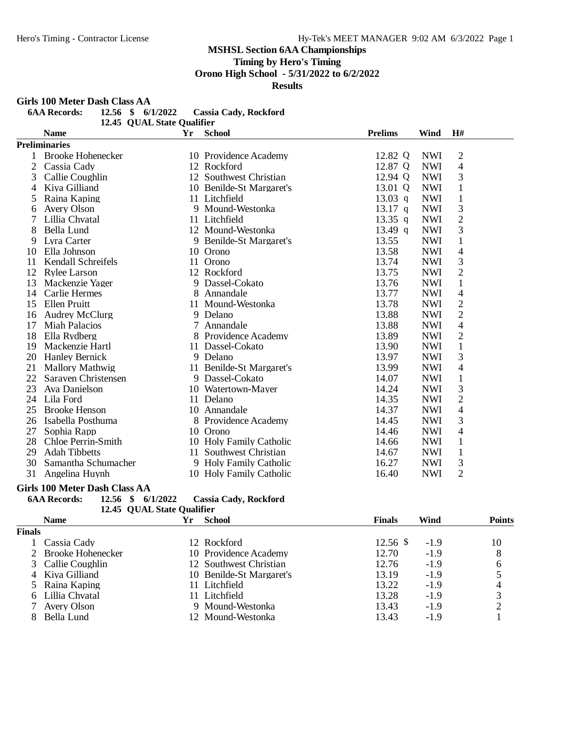**Timing by Hero's Timing**

**Orono High School - 5/31/2022 to 6/2/2022**

**Results**

**Girls 100 Meter Dash Class AA**

| <b>6AA Records:</b> |                            | 12.56 \$ 6/1/2022 Cassia Cady, Rockford |
|---------------------|----------------------------|-----------------------------------------|
|                     | 12.45 OUAL State Qualifier |                                         |
|                     |                            |                                         |

|    | <b>Name</b>              | Yr | <b>School</b>            | <b>Prelims</b> | Wind       | H#             |  |
|----|--------------------------|----|--------------------------|----------------|------------|----------------|--|
|    | <b>Preliminaries</b>     |    |                          |                |            |                |  |
| 1  | <b>Brooke Hohenecker</b> |    | 10 Providence Academy    | 12.82 Q        | <b>NWI</b> | 2              |  |
| 2  | Cassia Cady              |    | 12 Rockford              | 12.87 Q        | <b>NWI</b> | $\overline{4}$ |  |
| 3  | Callie Coughlin          |    | 12 Southwest Christian   | 12.94 Q        | <b>NWI</b> | 3              |  |
| 4  | Kiya Gilliand            |    | 10 Benilde-St Margaret's | 13.01 Q        | <b>NWI</b> | 1              |  |
| 5  | Raina Kaping             |    | 11 Litchfield            | 13.03 q        | <b>NWI</b> | 1              |  |
| 6  | Avery Olson              | 9  | Mound-Westonka           | $13.17$ q      | <b>NWI</b> | 3              |  |
|    | Lillia Chvatal           |    | 11 Litchfield            | $13.35$ q      | <b>NWI</b> | $\overline{2}$ |  |
| 8  | Bella Lund               |    | 12 Mound-Westonka        | 13.49 q        | <b>NWI</b> | 3              |  |
| 9  | Lyra Carter              | 9  | Benilde-St Margaret's    | 13.55          | <b>NWI</b> | 1              |  |
| 10 | Ella Johnson             | 10 | Orono                    | 13.58          | <b>NWI</b> | 4              |  |
| 11 | Kendall Schreifels       | 11 | Orono                    | 13.74          | <b>NWI</b> | 3              |  |
| 12 | <b>Rylee Larson</b>      |    | 12 Rockford              | 13.75          | <b>NWI</b> | $\overline{2}$ |  |
| 13 | Mackenzie Yager          |    | 9 Dassel-Cokato          | 13.76          | <b>NWI</b> | 1              |  |
| 14 | Carlie Hermes            |    | Annandale                | 13.77          | <b>NWI</b> | $\overline{4}$ |  |
| 15 | Ellen Pruitt             | 11 | Mound-Westonka           | 13.78          | <b>NWI</b> | $\overline{2}$ |  |
| 16 | <b>Audrey McClurg</b>    |    | 9 Delano                 | 13.88          | <b>NWI</b> | $\overline{2}$ |  |
| 17 | Miah Palacios            |    | 7 Annandale              | 13.88          | <b>NWI</b> | $\overline{4}$ |  |
| 18 | Ella Rydberg             |    | Providence Academy       | 13.89          | <b>NWI</b> | $\overline{2}$ |  |
| 19 | Mackenzie Hartl          |    | 11 Dassel-Cokato         | 13.90          | <b>NWI</b> | $\mathbf{1}$   |  |
| 20 | <b>Hanley Bernick</b>    |    | 9 Delano                 | 13.97          | <b>NWI</b> | 3              |  |
| 21 | <b>Mallory Mathwig</b>   | 11 | Benilde-St Margaret's    | 13.99          | <b>NWI</b> | 4              |  |
| 22 | Saraven Christensen      | 9  | Dassel-Cokato            | 14.07          | <b>NWI</b> | $\mathbf{1}$   |  |
| 23 | Ava Danielson            |    | 10 Watertown-Mayer       | 14.24          | <b>NWI</b> | 3              |  |
| 24 | Lila Ford                |    | 11 Delano                | 14.35          | <b>NWI</b> | $\overline{2}$ |  |
| 25 | <b>Brooke Henson</b>     |    | 10 Annandale             | 14.37          | <b>NWI</b> | 4              |  |
| 26 | Isabella Posthuma        | 8  | Providence Academy       | 14.45          | <b>NWI</b> | 3              |  |
| 27 | Sophia Rapp              |    | 10 Orono                 | 14.46          | <b>NWI</b> | 4              |  |
| 28 | Chloe Perrin-Smith       |    | 10 Holy Family Catholic  | 14.66          | <b>NWI</b> | 1              |  |
| 29 | <b>Adah Tibbetts</b>     |    | 11 Southwest Christian   | 14.67          | <b>NWI</b> | 1              |  |
| 30 | Samantha Schumacher      |    | 9 Holy Family Catholic   | 16.27          | <b>NWI</b> | 3              |  |
| 31 | Angelina Huynh           |    | 10 Holy Family Catholic  | 16.40          | <b>NWI</b> | $\overline{2}$ |  |

# **Girls 100 Meter Dash Class AA**<br>**6AA Records:** 12.56 \$ 6/2

| <b>6AA Records:</b> |  |                            |  | <b>Cassia Cady, Rockford</b> |
|---------------------|--|----------------------------|--|------------------------------|
|                     |  | 12.45 OUAL State Qualifier |  |                              |

|               | <b>Name</b>         | <b>School</b>            | <b>Finals</b>    | Wind   | <b>Points</b> |
|---------------|---------------------|--------------------------|------------------|--------|---------------|
| <b>Finals</b> |                     |                          |                  |        |               |
|               | 1 Cassia Cady       | 12 Rockford              | $12.56 \text{ }$ | $-1.9$ | 10            |
|               | 2 Brooke Hohenecker | 10 Providence Academy    | 12.70            | $-1.9$ | 8             |
|               | 3 Callie Coughlin   | 12 Southwest Christian   | 12.76            | $-1.9$ | 6             |
|               | 4 Kiya Gilliand     | 10 Benilde-St Margaret's | 13.19            | $-1.9$ |               |
|               | 5 Raina Kaping      | 11 Litchfield            | 13.22            | $-1.9$ |               |
|               | 6 Lillia Chvatal    | 11 Litchfield            | 13.28            | $-1.9$ |               |
|               | Avery Olson         | 9 Mound-Westonka         | 13.43            | $-1.9$ |               |
|               | Bella Lund          | 12 Mound-Westonka        | 13.43            | $-1.9$ |               |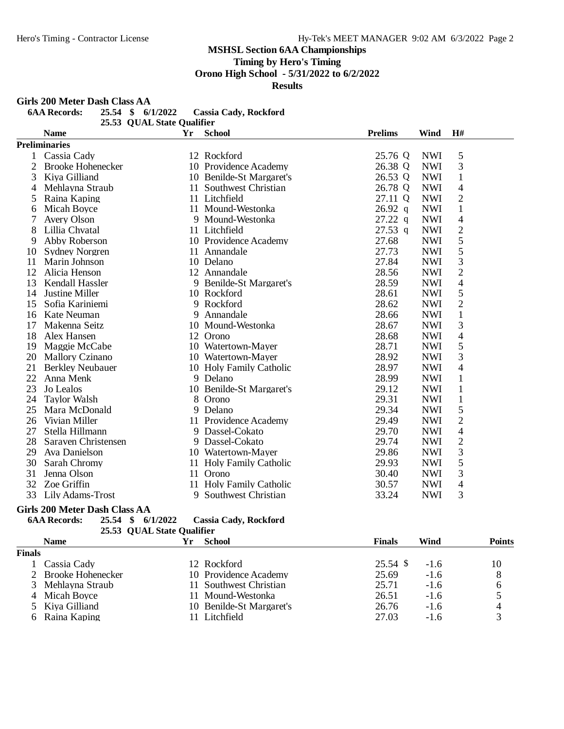**Timing by Hero's Timing**

**Orono High School - 5/31/2022 to 6/2/2022**

**Results**

**Girls 200 Meter Dash Class AA**

| <b>6AA Records:</b> |                            | 25.54 \$ 6/1/2022 Cassia Cady, Rockford |  |
|---------------------|----------------------------|-----------------------------------------|--|
|                     | 25.53 QUAL State Qualifier |                                         |  |
|                     |                            |                                         |  |

|    | <b>Name</b>              | Yr | <b>School</b>            | <b>Prelims</b> | Wind       | H#                       |  |
|----|--------------------------|----|--------------------------|----------------|------------|--------------------------|--|
|    | <b>Preliminaries</b>     |    |                          |                |            |                          |  |
|    | Cassia Cady              |    | 12 Rockford              | 25.76 Q        | <b>NWI</b> | 5                        |  |
| 2  | <b>Brooke Hohenecker</b> |    | 10 Providence Academy    | 26.38 Q        | <b>NWI</b> | 3                        |  |
| 3  | Kiya Gilliand            |    | 10 Benilde-St Margaret's | 26.53 Q        | <b>NWI</b> | $\mathbf{1}$             |  |
| 4  | Mehlayna Straub          | 11 | Southwest Christian      | 26.78 Q        | <b>NWI</b> | $\overline{4}$           |  |
| 5  | Raina Kaping             |    | 11 Litchfield            | 27.11 Q        | <b>NWI</b> | $\overline{2}$           |  |
| 6  | <b>Micah Boyce</b>       |    | 11 Mound-Westonka        | $26.92$ q      | <b>NWI</b> | $\mathbf{1}$             |  |
| 7  | Avery Olson              | 9  | Mound-Westonka           | $27.22$ q      | <b>NWI</b> | $\overline{4}$           |  |
| 8  | Lillia Chvatal           |    | 11 Litchfield            | 27.53q         | <b>NWI</b> | $\sqrt{2}$               |  |
| 9  | Abby Roberson            |    | 10 Providence Academy    | 27.68          | <b>NWI</b> | 5                        |  |
| 10 | <b>Sydney Norgren</b>    |    | 11 Annandale             | 27.73          | <b>NWI</b> | 5                        |  |
| 11 | Marin Johnson            |    | 10 Delano                | 27.84          | <b>NWI</b> | $\mathfrak{Z}$           |  |
| 12 | Alicia Henson            |    | 12 Annandale             | 28.56          | <b>NWI</b> | $\sqrt{2}$               |  |
| 13 | Kendall Hassler          | 9  | Benilde-St Margaret's    | 28.59          | <b>NWI</b> | $\overline{4}$           |  |
| 14 | <b>Justine Miller</b>    |    | 10 Rockford              | 28.61          | <b>NWI</b> | 5                        |  |
| 15 | Sofia Kariniemi          | 9  | Rockford                 | 28.62          | <b>NWI</b> | $\overline{2}$           |  |
| 16 | Kate Neuman              | 9  | Annandale                | 28.66          | <b>NWI</b> | $\mathbf{1}$             |  |
| 17 | Makenna Seitz            |    | 10 Mound-Westonka        | 28.67          | <b>NWI</b> | 3                        |  |
| 18 | Alex Hansen              |    | 12 Orono                 | 28.68          | <b>NWI</b> | $\overline{4}$           |  |
| 19 | Maggie McCabe            |    | 10 Watertown-Mayer       | 28.71          | <b>NWI</b> | $\mathfrak s$            |  |
| 20 | <b>Mallory Czinano</b>   |    | 10 Watertown-Mayer       | 28.92          | <b>NWI</b> | 3                        |  |
| 21 | <b>Berkley Neubauer</b>  |    | 10 Holy Family Catholic  | 28.97          | <b>NWI</b> | $\overline{4}$           |  |
| 22 | Anna Menk                | 9  | Delano                   | 28.99          | <b>NWI</b> | $\mathbf{1}$             |  |
| 23 | Jo Lealos                |    | 10 Benilde-St Margaret's | 29.12          | <b>NWI</b> | $\mathbf{1}$             |  |
| 24 | <b>Taylor Walsh</b>      | 8  | Orono                    | 29.31          | <b>NWI</b> | $\mathbf{1}$             |  |
| 25 | Mara McDonald            | 9  | Delano                   | 29.34          | <b>NWI</b> | 5                        |  |
| 26 | Vivian Miller            |    | 11 Providence Academy    | 29.49          | <b>NWI</b> | $\overline{2}$           |  |
| 27 | Stella Hillmann          |    | 9 Dassel-Cokato          | 29.70          | <b>NWI</b> | $\overline{4}$           |  |
| 28 | Saraven Christensen      |    | 9 Dassel-Cokato          | 29.74          | <b>NWI</b> | $\sqrt{2}$               |  |
| 29 | Ava Danielson            |    | 10 Watertown-Mayer       | 29.86          | <b>NWI</b> | 3                        |  |
| 30 | Sarah Chromy             |    | 11 Holy Family Catholic  | 29.93          | <b>NWI</b> | 5                        |  |
| 31 | Jenna Olson              | 11 | Orono                    | 30.40          | <b>NWI</b> | 3                        |  |
| 32 | Zoe Griffin              |    | 11 Holy Family Catholic  | 30.57          | <b>NWI</b> | $\overline{\mathcal{A}}$ |  |
| 33 | Lily Adams-Trost         | 9  | Southwest Christian      | 33.24          | <b>NWI</b> | 3                        |  |

## **Girls 200 Meter Dash Class AA**

| <b>6AA Records:</b> |  |                            | 25.54 \$ 6/1/2022 Cassia Cady, Rockford |
|---------------------|--|----------------------------|-----------------------------------------|
|                     |  | 25.53 OUAL State Qualifier |                                         |
| <b>Name</b>         |  |                            | Yr School                               |

|               | <b>Name</b>         | Yг | School                   | <b>Finals</b> | Wind   | <b>Points</b> |
|---------------|---------------------|----|--------------------------|---------------|--------|---------------|
| <b>Finals</b> |                     |    |                          |               |        |               |
|               | Cassia Cady         |    | 12 Rockford              | 25.54 \$      | $-1.6$ | 10            |
|               | 2 Brooke Hohenecker |    | 10 Providence Academy    | 25.69         | $-1.6$ | 8             |
|               | 3 Mehlayna Straub   |    | 11 Southwest Christian   | 25.71         | $-1.6$ | 6             |
|               | 4 Micah Boyce       |    | 11 Mound-Westonka        | 26.51         | $-1.6$ |               |
|               | 5 Kiya Gilliand     |    | 10 Benilde-St Margaret's | 26.76         | $-1.6$ |               |
|               | 6 Raina Kaping      |    | Litchfield               | 27.03         | $-1.6$ |               |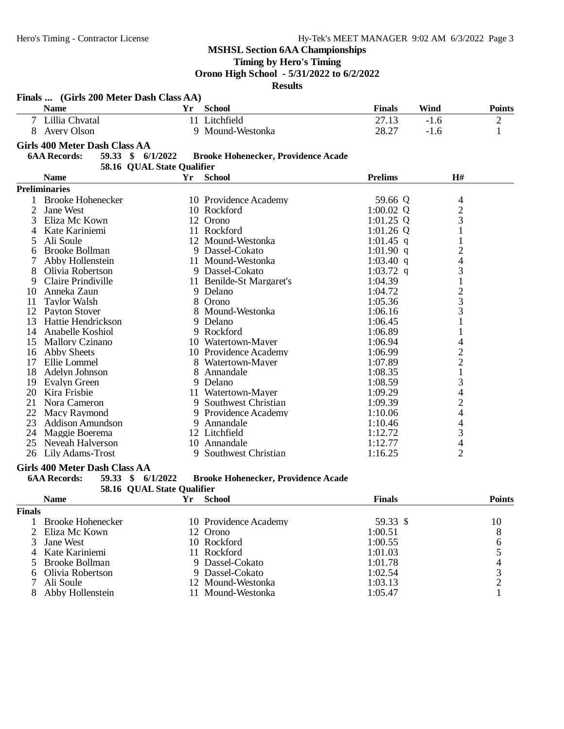**Timing by Hero's Timing**

**Orono High School - 5/31/2022 to 6/2/2022**

**Results**

|                | Finals  (Girls 200 Meter Dash Class AA)       |           |                                            |                |                          |                |
|----------------|-----------------------------------------------|-----------|--------------------------------------------|----------------|--------------------------|----------------|
|                | <b>Name</b>                                   | <b>Yr</b> | <b>School</b>                              | <b>Finals</b>  | Wind                     | <b>Points</b>  |
|                | 7 Lillia Chvatal                              |           | 11 Litchfield                              | 27.13          | $-1.6$                   | $\overline{c}$ |
|                | 8 Avery Olson                                 |           | 9 Mound-Westonka                           | 28.27          | $-1.6$                   | $\mathbf{1}$   |
|                | <b>Girls 400 Meter Dash Class AA</b>          |           |                                            |                |                          |                |
|                | 59.33 \$ 6/1/2022<br><b>6AA Records:</b>      |           | <b>Brooke Hohenecker, Providence Acade</b> |                |                          |                |
|                | 58.16 QUAL State Qualifier                    |           |                                            |                |                          |                |
|                | <b>Name</b>                                   | <b>Yr</b> | <b>School</b>                              | <b>Prelims</b> | H#                       |                |
|                | <b>Preliminaries</b>                          |           |                                            |                |                          |                |
|                | <b>Brooke Hohenecker</b>                      |           | 10 Providence Academy                      | 59.66 Q        | 4                        |                |
| $\overline{2}$ | Jane West                                     |           | 10 Rockford                                | $1:00.02$ Q    |                          |                |
| 3              | Eliza Mc Kown                                 |           | 12 Orono                                   | $1:01.25$ Q    | $\frac{2}{3}$            |                |
| 4              | Kate Kariniemi                                |           | 11 Rockford                                | $1:01.26$ Q    | $\mathbf{1}$             |                |
| 5              | Ali Soule                                     |           | 12 Mound-Westonka                          | $1:01.45$ q    |                          |                |
| 6              | <b>Brooke Bollman</b>                         |           | 9 Dassel-Cokato                            | 1:01.90 $q$    | $\overline{c}$           |                |
|                | Abby Hollenstein                              |           | 11 Mound-Westonka                          | 1:03.40 q      | 4                        |                |
| 8              | Olivia Robertson                              |           | 9 Dassel-Cokato                            | 1:03.72 q      | 3                        |                |
| 9              | Claire Prindiville                            |           | 11 Benilde-St Margaret's                   | 1:04.39        | $\mathbf{1}$             |                |
| 10             | Anneka Zaun                                   |           | 9 Delano                                   | 1:04.72        |                          |                |
| 11             | <b>Taylor Walsh</b>                           | 8         | Orono                                      | 1:05.36        | $\frac{2}{3}$            |                |
| 12             | <b>Payton Stover</b>                          |           | 8 Mound-Westonka                           | 1:06.16        |                          |                |
| 13             | Hattie Hendrickson                            |           | 9 Delano                                   | 1:06.45        | $\mathbf{1}$             |                |
| 14             | Anabelle Koshiol                              |           | 9 Rockford                                 | 1:06.89        | $\mathbf{1}$             |                |
| 15             | <b>Mallory Czinano</b>                        |           | 10 Watertown-Mayer                         | 1:06.94        | 4                        |                |
| 16             | Abby Sheets                                   |           | 10 Providence Academy                      | 1:06.99        | $\overline{\mathbf{c}}$  |                |
| 17             | Ellie Lommel                                  |           | 8 Watertown-Mayer                          | 1:07.89        | $\overline{c}$           |                |
| 18             | Adelyn Johnson                                |           | 8 Annandale                                | 1:08.35        | $\mathbf{1}$             |                |
| 19             | Evalyn Green                                  |           | 9 Delano                                   | 1:08.59        | 3                        |                |
| 20             | Kira Frisbie                                  |           | 11 Watertown-Mayer                         | 1:09.29        | $\overline{\mathcal{L}}$ |                |
| 21             | Nora Cameron                                  |           | 9 Southwest Christian                      | 1:09.39        | $\overline{c}$           |                |
| 22             | Macy Raymond                                  |           | 9 Providence Academy                       | 1:10.06        | $\overline{\mathcal{L}}$ |                |
| 23             | Addison Amundson                              | 9         | Annandale                                  | 1:10.46        |                          |                |
| 24             | Maggie Boerema                                |           | 12 Litchfield                              | 1:12.72        | 4<br>3                   |                |
| 25             | Neveah Halverson                              |           | 10 Annandale                               | 1:12.77        | 4                        |                |
| 26             | Lily Adams-Trost                              | 9         | Southwest Christian                        | 1:16.25        | $\overline{2}$           |                |
|                | <b>Girls 400 Meter Dash Class AA</b>          |           |                                            |                |                          |                |
|                | $59.33$ \$<br>6/1/2022<br><b>6AA Records:</b> |           | <b>Brooke Hohenecker, Providence Acade</b> |                |                          |                |

**58.16 QUAL State Qualifier**

|        | <b>Name</b>              | Yr | <b>School</b>         | <b>Finals</b> | <b>Points</b> |
|--------|--------------------------|----|-----------------------|---------------|---------------|
| Finals |                          |    |                       |               |               |
|        | <b>Brooke Hohenecker</b> |    | 10 Providence Academy | 59.33 \$      | 10            |
|        | 2 Eliza Mc Kown          |    | 12 Orono              | 1:00.51       | 8             |
|        | 3 Jane West              |    | 10 Rockford           | 1:00.55       | 6             |
|        | 4 Kate Kariniemi         |    | 11 Rockford           | 1:01.03       |               |
|        | 5 Brooke Bollman         |    | 9 Dassel-Cokato       | 1:01.78       |               |
| 6.     | Olivia Robertson         |    | 9 Dassel-Cokato       | 1:02.54       |               |
|        | Ali Soule                |    | 12 Mound-Westonka     | 1:03.13       |               |
|        | Abby Hollenstein         |    | 11 Mound-Westonka     | 1:05.47       |               |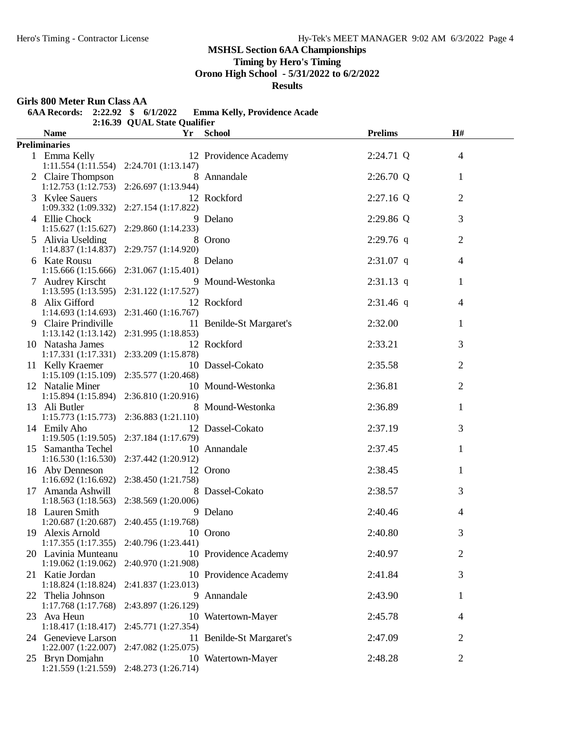**Timing by Hero's Timing**

**Orono High School - 5/31/2022 to 6/2/2022**

**Results**

**Girls 800 Meter Run Class AA**

**6AA Records: 2:22.92 \$ 6/1/2022 Emma Kelly, Providence Acade**

2:16.39 QUAL State Qualifier

| <b>Name</b>                                                  | Yr                  | <b>School</b>            | <b>Prelims</b> | H#             |  |
|--------------------------------------------------------------|---------------------|--------------------------|----------------|----------------|--|
| <b>Preliminaries</b>                                         |                     |                          |                |                |  |
| 1 Emma Kelly<br>1:11.554 (1:11.554) 2:24.701 (1:13.147)      |                     | 12 Providence Academy    | 2:24.71 Q      | $\overline{4}$ |  |
| 2 Claire Thompson<br>1:12.753 (1:12.753) 2:26.697 (1:13.944) |                     | 8 Annandale              | $2:26.70$ Q    | $\mathbf{1}$   |  |
| 3 Kylee Sauers<br>1:09.332(1:09.332)                         | 2:27.154 (1:17.822) | 12 Rockford              | $2:27.16$ Q    | $\mathbf{2}$   |  |
| 4 Ellie Chock<br>1:15.627(1:15.627)                          | 2:29.860 (1:14.233) | 9 Delano                 | 2:29.86 Q      | 3              |  |
| 5 Alivia Uselding<br>1:14.837(1:14.837)                      | 2:29.757 (1:14.920) | 8 Orono                  | $2:29.76$ q    | $\overline{2}$ |  |
| 6 Kate Rousu<br>1:15.666(1:15.666)                           | 2:31.067 (1:15.401) | 8 Delano                 | $2:31.07$ q    | $\overline{4}$ |  |
| 7 Audrey Kirscht<br>1:13.595(1:13.595)                       | 2:31.122 (1:17.527) | 9 Mound-Westonka         | $2:31.13$ q    | $\mathbf{1}$   |  |
| 8 Alix Gifford<br>1:14.693 (1:14.693)                        | 2:31.460 (1:16.767) | 12 Rockford              | $2:31.46$ q    | 4              |  |
| 9 Claire Prindiville<br>1:13.142(1:13.142)                   | 2:31.995 (1:18.853) | 11 Benilde-St Margaret's | 2:32.00        | 1              |  |
| 10 Natasha James<br>1:17.331(1:17.331)                       | 2:33.209 (1:15.878) | 12 Rockford              | 2:33.21        | 3              |  |
| 11 Kelly Kraemer<br>1:15.109(1:15.109)                       | 2:35.577 (1:20.468) | 10 Dassel-Cokato         | 2:35.58        | $\overline{2}$ |  |
| 12 Natalie Miner<br>1:15.894(1:15.894)                       | 2:36.810 (1:20.916) | 10 Mound-Westonka        | 2:36.81        | $\overline{2}$ |  |
| 13 Ali Butler<br>1:15.773(1:15.773)                          | 2:36.883 (1:21.110) | 8 Mound-Westonka         | 2:36.89        | $\mathbf{1}$   |  |
| 14 Emily Aho<br>1:19.505(1:19.505)                           | 2:37.184 (1:17.679) | 12 Dassel-Cokato         | 2:37.19        | 3              |  |
| 15 Samantha Techel<br>1:16.530(1:16.530)                     | 2:37.442 (1:20.912) | 10 Annandale             | 2:37.45        | $\mathbf{1}$   |  |
| 16 Aby Denneson<br>1:16.692(1:16.692)                        | 2:38.450 (1:21.758) | 12 Orono                 | 2:38.45        | $\mathbf{1}$   |  |
| 17 Amanda Ashwill<br>1:18.563(1:18.563)                      | 2:38.569 (1:20.006) | 8 Dassel-Cokato          | 2:38.57        | 3              |  |
| 18 Lauren Smith<br>1:20.687(1:20.687)                        | 2:40.455 (1:19.768) | 9 Delano                 | 2:40.46        | 4              |  |
| 19 Alexis Arnold<br>1:17.355 (1:17.355) 2:40.796 (1:23.441)  |                     | 10 Orono                 | 2:40.80        | 3              |  |
| 20 Lavinia Munteanu<br>1:19.062(1:19.062)                    | 2:40.970 (1:21.908) | 10 Providence Academy    | 2:40.97        | $\overline{2}$ |  |
| 21 Katie Jordan<br>1:18.824(1:18.824)                        | 2:41.837 (1:23.013) | 10 Providence Academy    | 2:41.84        | 3              |  |
| 22 Thelia Johnson<br>1:17.768(1:17.768)                      | 2:43.897 (1:26.129) | 9 Annandale              | 2:43.90        | 1              |  |
| 23 Ava Heun<br>1:18.417(1:18.417)                            | 2:45.771 (1:27.354) | 10 Watertown-Mayer       | 2:45.78        | 4              |  |
| 24 Genevieve Larson<br>1:22.007(1:22.007)                    | 2:47.082 (1:25.075) | 11 Benilde-St Margaret's | 2:47.09        | $\overline{2}$ |  |
| 25 Bryn Domjahn<br>1:21.559(1:21.559)                        | 2:48.273 (1:26.714) | 10 Watertown-Mayer       | 2:48.28        | $\overline{2}$ |  |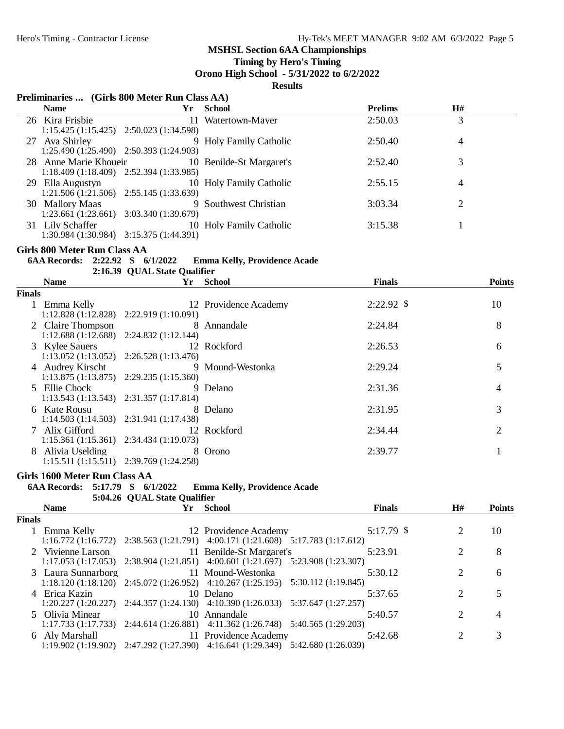**Timing by Hero's Timing**

**Orono High School - 5/31/2022 to 6/2/2022**

**Results**

## **Preliminaries ... (Girls 800 Meter Run Class AA)**

| <b>Name</b>           |                                           | Yr School                | <b>Prelims</b> | <b>H#</b> |  |
|-----------------------|-------------------------------------------|--------------------------|----------------|-----------|--|
| 26 Kira Frisbie       | 11                                        | Watertown-Mayer          | 2:50.03        | 3         |  |
|                       | $1:15.425(1:15.425)$ $2:50.023(1:34.598)$ |                          |                |           |  |
| Ava Shirley<br>27     |                                           | 9 Holy Family Catholic   | 2:50.40        | 4         |  |
|                       | $1:25.490(1:25.490)$ $2:50.393(1:24.903)$ |                          |                |           |  |
| 28 Anne Marie Khoueir |                                           | 10 Benilde-St Margaret's | 2:52.40        |           |  |
|                       | $1:18.409(1:18.409)$ $2:52.394(1:33.985)$ |                          |                |           |  |
| 29 Ella Augustyn      |                                           | 10 Holy Family Catholic  | 2:55.15        | 4         |  |
|                       | $1:21.506(1:21.506)$ $2:55.145(1:33.639)$ |                          |                |           |  |
| Mallory Maas<br>30    |                                           | 9 Southwest Christian    | 3:03.34        | 2         |  |
|                       | $1:23.661(1:23.661)$ $3:03.340(1:39.679)$ |                          |                |           |  |
| Lily Schaffer<br>31   |                                           | 10 Holy Family Catholic  | 3:15.38        |           |  |
|                       | $1:30.984(1:30.984)$ $3:15.375(1:44.391)$ |                          |                |           |  |

#### **Girls 800 Meter Run Class AA**

| 6AA Records: $2:22.92 \quad $6/1/2022$ |  |                              |  | <b>Emma Kelly, Providence Acade</b> |  |
|----------------------------------------|--|------------------------------|--|-------------------------------------|--|
|                                        |  | 2:16.39 QUAL State Qualifier |  |                                     |  |

|               | <b>Name</b>       |                                             | Yr School             | <b>Finals</b> | <b>Points</b>               |
|---------------|-------------------|---------------------------------------------|-----------------------|---------------|-----------------------------|
| <b>Finals</b> |                   |                                             |                       |               |                             |
|               | 1 Emma Kelly      |                                             | 12 Providence Academy | $2:22.92$ \$  | 10                          |
|               |                   | $1:12.828(1:12.828)$ $2:22.919(1:10.091)$   |                       |               |                             |
|               | 2 Claire Thompson |                                             | 8 Annandale           | 2:24.84       | 8                           |
|               |                   | $1:12.688(1:12.688)$ $2:24.832(1:12.144)$   |                       |               |                             |
|               | 3 Kylee Sauers    |                                             | 12 Rockford           | 2:26.53       | 6                           |
|               |                   | $1:13.052(1:13.052)$ $2:26.528(1:13.476)$   |                       |               |                             |
|               | 4 Audrey Kirscht  |                                             | 9 Mound-Westonka      | 2:29.24       | 5                           |
|               |                   | $1:13.875(1:13.875)$ $2:29.235(1:15.360)$   |                       |               |                             |
|               | 5 Ellie Chock     |                                             | 9 Delano              | 2:31.36       | 4                           |
|               |                   | $1:13.543(1:13.543)$ $2:31.357(1:17.814)$   |                       |               |                             |
|               | 6 Kate Rousu      |                                             | 8 Delano              | 2:31.95       | 3                           |
|               |                   | $1:14.503(1:14.503)$ $2:31.941(1:17.438)$   |                       |               |                             |
|               | 7 Alix Gifford    |                                             | 12 Rockford           | 2:34.44       | $\mathcal{D}_{\mathcal{A}}$ |
|               |                   | $1:15.361(1:15.361)$ $2:34.434(1:19.073)$   |                       |               |                             |
|               | 8 Alivia Uselding |                                             | 8 Orono               | 2:39.77       |                             |
|               |                   | $1:15.511 (1:15.511)$ $2:39.769 (1:24.258)$ |                       |               |                             |

## **Girls 1600 Meter Run Class AA**

## **6AA Records: 5:17.79 \$ 6/1/2022 Emma Kelly, Providence Acade**

**5:04.26 QUAL State Qualifier**<br>**Vr.** School

|               | <b>Name</b>       | Yr | School                                                                                          | <b>Finals</b> | H#                    | <b>Points</b> |
|---------------|-------------------|----|-------------------------------------------------------------------------------------------------|---------------|-----------------------|---------------|
| <b>Finals</b> |                   |    |                                                                                                 |               |                       |               |
|               | 1 Emma Kelly      |    | 12 Providence Academy                                                                           | $5:17.79$ \$  |                       | 10            |
|               |                   |    | $1:16.772$ $(1:16.772)$ $2:38.563$ $(1:21.791)$ $4:00.171$ $(1:21.608)$ $5:17.783$ $(1:17.612)$ |               |                       |               |
|               | 2 Vivienne Larson |    | 11 Benilde-St Margaret's                                                                        | 5:23.91       |                       | 8             |
|               |                   |    | $1:17.053(1:17.053)$ $2:38.904(1:21.851)$ $4:00.601(1:21.697)$ $5:23.908(1:23.307)$             |               |                       |               |
|               |                   |    | 3 Laura Sunnarborg 11 Mound-Westonka                                                            | 5:30.12       | $\mathcal{D}_{\cdot}$ | 6             |
|               |                   |    | $1:18.120(1:18.120)$ $2:45.072(1:26.952)$ $4:10.267(1:25.195)$ $5:30.112(1:19.845)$             |               |                       |               |
|               | 4 Erica Kazin     |    | 10 Delano                                                                                       | 5:37.65       |                       |               |
|               |                   |    | $1:20.227(1:20.227)$ $2:44.357(1:24.130)$ $4:10.390(1:26.033)$ $5:37.647(1:27.257)$             |               |                       |               |
|               | 5 Olivia Minear   |    | 10 Annandale                                                                                    | 5:40.57       |                       | 4             |
|               |                   |    | $1:17.733(1:17.733)$ $2:44.614(1:26.881)$ $4:11.362(1:26.748)$ $5:40.565(1:29.203)$             |               |                       |               |
|               | 6 Aly Marshall    |    | 11 Providence Academy                                                                           | 5:42.68       |                       | 3             |
|               |                   |    | 1:19.902 (1:19.902) 2:47.292 (1:27.390) 4:16.641 (1:29.349) 5:42.680 (1:26.039)                 |               |                       |               |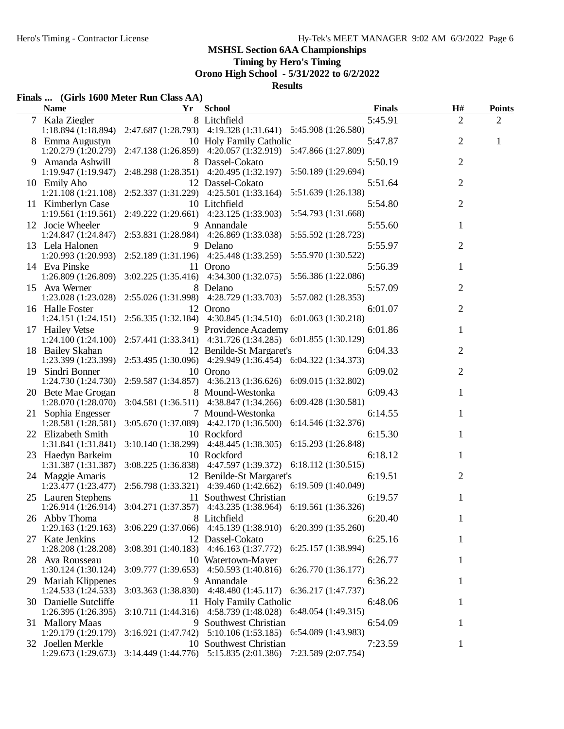**Timing by Hero's Timing**

**Orono High School - 5/31/2022 to 6/2/2022**

**Results**

## **Finals ... (Girls 1600 Meter Run Class AA)**

|    | <b>Name</b>                             |                     | Yr School                                                                       | <b>Finals</b>                  | H#             | <b>Points</b> |
|----|-----------------------------------------|---------------------|---------------------------------------------------------------------------------|--------------------------------|----------------|---------------|
|    | 7 Kala Ziegler                          |                     | 8 Litchfield                                                                    | 5:45.91                        | 2              | 2             |
|    |                                         |                     | 1:18.894 (1:18.894) 2:47.687 (1:28.793) 4:19.328 (1:31.641) 5:45.908 (1:26.580) |                                |                |               |
|    | 8 Emma Augustyn                         |                     | 10 Holy Family Catholic                                                         | 5:47.87                        | $\overline{2}$ | 1             |
|    | 1:20.279 (1:20.279)                     |                     | 2:47.138 (1:26.859) 4:20.057 (1:32.919) 5:47.866 (1:27.809)                     |                                |                |               |
|    | 9 Amanda Ashwill                        |                     | 8 Dassel-Cokato                                                                 | 5:50.19                        | $\overline{2}$ |               |
|    | 1:19.947(1:19.947)                      |                     | 2:48.298 (1:28.351) 4:20.495 (1:32.197) 5:50.189 (1:29.694)                     |                                |                |               |
|    | 10 Emily Aho                            |                     | 12 Dassel-Cokato                                                                | 5:51.64                        | $\overline{2}$ |               |
|    |                                         |                     | 1:21.108 (1:21.108) 2:52.337 (1:31.229) 4:25.501 (1:33.164) 5:51.639 (1:26.138) |                                |                |               |
|    | 11 Kimberlyn Case<br>1:19.561(1:19.561) |                     | 10 Litchfield<br>2:49.222 (1:29.661) 4:23.125 (1:33.903) 5:54.793 (1:31.668)    | 5:54.80                        | $\overline{2}$ |               |
|    | 12 Jocie Wheeler                        |                     | 9 Annandale                                                                     | 5:55.60                        | 1              |               |
|    |                                         |                     | 1:24.847 (1:24.847) 2:53.831 (1:28.984) 4:26.869 (1:33.038) 5:55.592 (1:28.723) |                                |                |               |
|    | 13 Lela Halonen                         |                     | 9 Delano                                                                        | 5:55.97                        | $\overline{2}$ |               |
|    |                                         |                     | 1:20.993 (1:20.993) 2:52.189 (1:31.196) 4:25.448 (1:33.259) 5:55.970 (1:30.522) |                                |                |               |
|    | 14 Eva Pinske                           |                     | 11 Orono                                                                        | 5:56.39                        | 1              |               |
|    |                                         |                     | 1:26.809 (1:26.809) 3:02.225 (1:35.416) 4:34.300 (1:32.075) 5:56.386 (1:22.086) |                                |                |               |
|    | 15 Ava Werner                           |                     | 8 Delano                                                                        | 5:57.09                        | 2              |               |
|    |                                         |                     | 1:23.028 (1:23.028) 2:55.026 (1:31.998) 4:28.729 (1:33.703) 5:57.082 (1:28.353) |                                |                |               |
|    | 16 Halle Foster                         |                     | 12 Orono                                                                        | 6:01.07                        | 2              |               |
|    |                                         |                     | 1:24.151 (1:24.151) 2:56.335 (1:32.184) 4:30.845 (1:34.510) 6:01.063 (1:30.218) |                                |                |               |
|    | 17 Hailey Vetse                         |                     | 9 Providence Academy                                                            | 6:01.86                        | 1              |               |
|    | 1:24.100(1:24.100)                      |                     | 2:57.441 (1:33.341) 4:31.726 (1:34.285) 6:01.855 (1:30.129)                     |                                |                |               |
|    | 18 Bailey Skahan                        |                     | 12 Benilde-St Margaret's                                                        | 6:04.33                        | $\overline{2}$ |               |
|    | 1:23.399(1:23.399)                      |                     | 2:53.495 (1:30.096) 4:29.949 (1:36.454) 6:04.322 (1:34.373)                     |                                |                |               |
|    | 19 Sindri Bonner<br>1:24.730 (1:24.730) |                     | 10 Orono<br>2:59.587 (1:34.857) 4:36.213 (1:36.626) 6:09.015 (1:32.802)         | 6:09.02                        | $\overline{2}$ |               |
|    | 20 Bete Mae Grogan                      |                     | 8 Mound-Westonka                                                                | 6:09.43                        | 1              |               |
|    | 1:28.070 (1:28.070)                     |                     | $3:04.581(1:36.511)$ $4:38.847(1:34.266)$                                       | 6:09.428 (1:30.581)            |                |               |
|    | 21 Sophia Engesser                      |                     | 7 Mound-Westonka                                                                | 6:14.55                        | 1              |               |
|    | 1:28.581 (1:28.581)                     |                     | 3:05.670 (1:37.089) 4:42.170 (1:36.500) 6:14.546 (1:32.376)                     |                                |                |               |
|    | 22 Elizabeth Smith                      |                     | 10 Rockford                                                                     | 6:15.30                        | 1              |               |
|    | 1:31.841 (1:31.841)                     |                     | 3:10.140 (1:38.299) 4:48.445 (1:38.305) 6:15.293 (1:26.848)                     |                                |                |               |
|    | 23 Haedyn Barkeim                       |                     | 10 Rockford                                                                     | 6:18.12                        | 1              |               |
|    |                                         |                     | 1:31.387 (1:31.387) 3:08.225 (1:36.838) 4:47.597 (1:39.372) 6:18.112 (1:30.515) |                                |                |               |
|    | 24 Maggie Amaris                        |                     | 12 Benilde-St Margaret's                                                        | 6:19.51                        | $\overline{2}$ |               |
|    |                                         |                     | 1:23.477 (1:23.477) 2:56.798 (1:33.321) 4:39.460 (1:42.662) 6:19.509 (1:40.049) |                                |                |               |
|    | 25 Lauren Stephens                      |                     | 11 Southwest Christian                                                          | 6:19.57                        | $\mathbf{1}$   |               |
|    |                                         |                     | 1:26.914 (1:26.914) 3:04.271 (1:37.357) 4:43.235 (1:38.964) 6:19.561 (1:36.326) |                                |                |               |
|    | 26 Abby Thoma                           |                     | 8 Litchfield                                                                    | 6:20.40                        | $\bf{l}$       |               |
|    | 1:29.163(1:29.163)                      | 3:06.229(1:37.066)  | 4:45.139 (1:38.910)                                                             | 6:20.399 (1:35.260)            |                |               |
|    | 27 Kate Jenkins<br>1:28.208 (1:28.208)  | 3:08.391 (1:40.183) | 12 Dassel-Cokato<br>4:46.163 (1:37.772)                                         | 6:25.16<br>6:25.157 (1:38.994) | 1              |               |
|    | 28 Ava Rousseau                         |                     | 10 Watertown-Mayer                                                              | 6:26.77                        | 1              |               |
|    | 1:30.124 (1:30.124)                     | 3:09.777 (1:39.653) | 4:50.593 (1:40.816)                                                             | 6:26.770 (1:36.177)            |                |               |
|    | 29 Mariah Klippenes                     | 9                   | Annandale                                                                       | 6:36.22                        | 1              |               |
|    | 1:24.533 (1:24.533)                     | 3:03.363 (1:38.830) | 4:48.480 (1:45.117) 6:36.217 (1:47.737)                                         |                                |                |               |
|    | 30 Danielle Sutcliffe                   |                     | 11 Holy Family Catholic                                                         | 6:48.06                        | 1              |               |
|    | 1:26.395(1:26.395)                      | 3:10.711(1:44.316)  | 4:58.739 (1:48.028) 6:48.054 (1:49.315)                                         |                                |                |               |
|    | 31 Mallory Maas                         | 9.                  | Southwest Christian                                                             | 6:54.09                        | 1              |               |
|    | 1:29.179 (1:29.179)                     | 3:16.921 (1:47.742) | 5:10.106(1:53.185)                                                              | 6:54.089 (1:43.983)            |                |               |
| 32 | Joellen Merkle                          |                     | 10 Southwest Christian                                                          | 7:23.59                        | 1              |               |
|    | 1:29.673 (1:29.673)                     | 3:14.449(1:44.776)  | 5:15.835 (2:01.386)                                                             | 7:23.589 (2:07.754)            |                |               |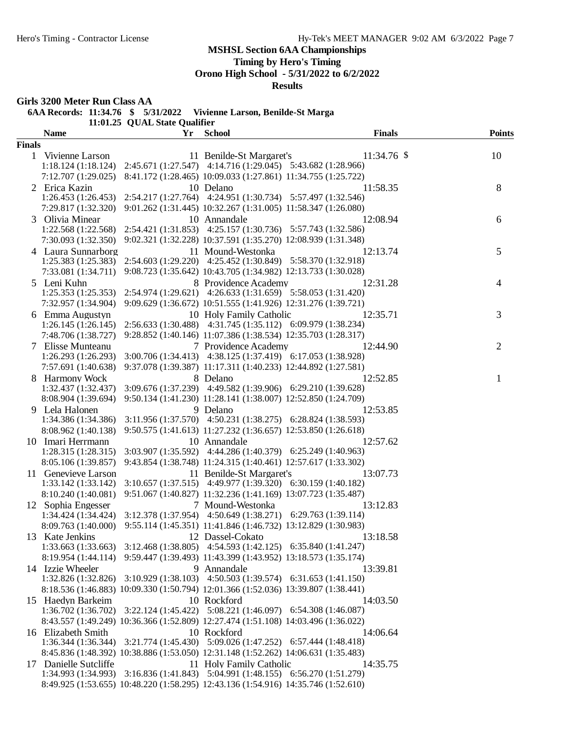**Timing by Hero's Timing**

**Orono High School - 5/31/2022 to 6/2/2022**

**Results**

## **Girls 3200 Meter Run Class AA**

**6AA Records: 11:34.76 \$ 5/31/2022 Vivienne Larson, Benilde-St Marga**

**11:01.25 QUAL State Qualifier** 

|               | <b>Name</b>           | Yr | <b>School</b>                                                                      | <b>Finals</b> | <b>Points</b>  |
|---------------|-----------------------|----|------------------------------------------------------------------------------------|---------------|----------------|
| <b>Finals</b> |                       |    |                                                                                    |               |                |
|               | 1 Vivienne Larson     |    | 11 Benilde-St Margaret's                                                           | $11:34.76$ \$ | 10             |
|               |                       |    | 1:18.124 (1:18.124) 2:45.671 (1:27.547) 4:14.716 (1:29.045) 5:43.682 (1:28.966)    |               |                |
|               | 7:12.707 (1:29.025)   |    | 8:41.172 (1:28.465) 10:09.033 (1:27.861) 11:34.755 (1:25.722)                      |               |                |
|               | 2 Erica Kazin         |    | 10 Delano                                                                          | 11:58.35      | 8              |
|               |                       |    | 1:26.453 (1:26.453) 2:54.217 (1:27.764) 4:24.951 (1:30.734) 5:57.497 (1:32.546)    |               |                |
|               | 7:29.817 (1:32.320)   |    | 9:01.262 (1:31.445) 10:32.267 (1:31.005) 11:58.347 (1:26.080)                      |               |                |
| 3             | Olivia Minear         |    | 10 Annandale                                                                       | 12:08.94      | 6              |
|               |                       |    | 1:22.568 (1:22.568) 2:54.421 (1:31.853) 4:25.157 (1:30.736) 5:57.743 (1:32.586)    |               |                |
|               |                       |    |                                                                                    |               |                |
|               |                       |    | 7:30.093 (1:32.350) 9:02.321 (1:32.228) 10:37.591 (1:35.270) 12:08.939 (1:31.348)  |               |                |
|               | 4 Laura Sunnarborg    |    | 11 Mound-Westonka                                                                  | 12:13.74      | 5              |
|               |                       |    | 1:25.383 (1:25.383) 2:54.603 (1:29.220) 4:25.452 (1:30.849) 5:58.370 (1:32.918)    |               |                |
|               |                       |    | 7:33.081 (1:34.711) 9:08.723 (1:35.642) 10:43.705 (1:34.982) 12:13.733 (1:30.028)  |               |                |
|               | 5 Leni Kuhn           |    | 8 Providence Academy                                                               | 12:31.28      | $\overline{4}$ |
|               | 1:25.353(1:25.353)    |    | 2:54.974 (1:29.621) 4:26.633 (1:31.659) 5:58.053 (1:31.420)                        |               |                |
|               | 7:32.957 (1:34.904)   |    | 9:09.629 (1:36.672) 10:51.555 (1:41.926) 12:31.276 (1:39.721)                      |               |                |
|               | 6 Emma Augustyn       |    | 10 Holy Family Catholic                                                            | 12:35.71      | 3              |
|               | 1:26.145(1:26.145)    |    | 2:56.633 (1:30.488) 4:31.745 (1:35.112) 6:09.979 (1:38.234)                        |               |                |
|               | 7:48.706 (1:38.727)   |    | 9:28.852 (1:40.146) 11:07.386 (1:38.534) 12:35.703 (1:28.317)                      |               |                |
|               | 7 Elisse Munteanu     |    | 7 Providence Academy                                                               | 12:44.90      | $\overline{2}$ |
|               | 1:26.293(1:26.293)    |    | 3:00.706 (1:34.413) 4:38.125 (1:37.419) 6:17.053 (1:38.928)                        |               |                |
|               | 7:57.691 (1:40.638)   |    | 9:37.078 (1:39.387) 11:17.311 (1:40.233) 12:44.892 (1:27.581)                      |               |                |
|               | 8 Harmony Wock        |    | 8 Delano                                                                           | 12:52.85      | 1              |
|               | 1:32.437(1:32.437)    |    | 3:09.676 (1:37.239) 4:49.582 (1:39.906) 6:29.210 (1:39.628)                        |               |                |
|               | 8:08.904 (1:39.694)   |    | 9:50.134 (1:41.230) 11:28.141 (1:38.007) 12:52.850 (1:24.709)                      |               |                |
|               | 9 Lela Halonen        |    | 9 Delano                                                                           | 12:53.85      |                |
|               | 1:34.386 (1:34.386)   |    | 3:11.956 (1:37.570) 4:50.231 (1:38.275) 6:28.824 (1:38.593)                        |               |                |
|               | 8:08.962 (1:40.138)   |    | 9:50.575 (1:41.613) 11:27.232 (1:36.657) 12:53.850 (1:26.618)                      |               |                |
|               | 10 Imari Herrmann     |    | 10 Annandale                                                                       | 12:57.62      |                |
|               | 1:28.315(1:28.315)    |    | 3:03.907 (1:35.592) 4:44.286 (1:40.379) 6:25.249 (1:40.963)                        |               |                |
|               | 8:05.106 (1:39.857)   |    | 9:43.854 (1:38.748) 11:24.315 (1:40.461) 12:57.617 (1:33.302)                      |               |                |
|               | 11 Genevieve Larson   |    |                                                                                    |               |                |
|               |                       |    | 11 Benilde-St Margaret's                                                           | 13:07.73      |                |
|               |                       |    | 1:33.142 (1:33.142) 3:10.657 (1:37.515) 4:49.977 (1:39.320) 6:30.159 (1:40.182)    |               |                |
|               | 8:10.240(1:40.081)    |    | 9:51.067 (1:40.827) 11:32.236 (1:41.169) 13:07.723 (1:35.487)                      |               |                |
|               | 12 Sophia Engesser    |    | 7 Mound-Westonka                                                                   | 13:12.83      |                |
|               |                       |    | 1:34.424 (1:34.424) 3:12.378 (1:37.954) 4:50.649 (1:38.271) 6:29.763 (1:39.114)    |               |                |
|               |                       |    | 8:09.763 (1:40.000) 9:55.114 (1:45.351) 11:41.846 (1:46.732) 13:12.829 (1:30.983)  |               |                |
|               | 13 Kate Jenkins       |    | 12 Dassel-Cokato                                                                   | 13:18.58      |                |
|               |                       |    | 1:33.663 (1:33.663) 3:12.468 (1:38.805) 4:54.593 (1:42.125) 6:35.840 (1:41.247)    |               |                |
|               |                       |    | 8:19.954 (1:44.114) 9:59.447 (1:39.493) 11:43.399 (1:43.952) 13:18.573 (1:35.174)  |               |                |
|               | 14 Izzie Wheeler      |    | 9 Annandale                                                                        | 13:39.81      |                |
|               |                       |    | 1:32.826 (1:32.826) 3:10.929 (1:38.103) 4:50.503 (1:39.574) 6:31.653 (1:41.150)    |               |                |
|               |                       |    | 8:18.536 (1:46.883) 10:09.330 (1:50.794) 12:01.366 (1:52.036) 13:39.807 (1:38.441) |               |                |
|               | 15 Haedyn Barkeim     |    | 10 Rockford                                                                        | 14:03.50      |                |
|               |                       |    | 1:36.702 (1:36.702) 3:22.124 (1:45.422) 5:08.221 (1:46.097) 6:54.308 (1:46.087)    |               |                |
|               |                       |    | 8:43.557 (1:49.249) 10:36.366 (1:52.809) 12:27.474 (1:51.108) 14:03.496 (1:36.022) |               |                |
|               | 16 Elizabeth Smith    |    | 10 Rockford                                                                        | 14:06.64      |                |
|               |                       |    | 1:36.344 (1:36.344) 3:21.774 (1:45.430) 5:09.026 (1:47.252) 6:57.444 (1:48.418)    |               |                |
|               |                       |    | 8:45.836 (1:48.392) 10:38.886 (1:53.050) 12:31.148 (1:52.262) 14:06.631 (1:35.483) |               |                |
|               | 17 Danielle Sutcliffe |    | 11 Holy Family Catholic                                                            | 14:35.75      |                |
|               |                       |    | 1:34.993 (1:34.993) 3:16.836 (1:41.843) 5:04.991 (1:48.155) 6:56.270 (1:51.279)    |               |                |
|               |                       |    | 8:49.925 (1:53.655) 10:48.220 (1:58.295) 12:43.136 (1:54.916) 14:35.746 (1:52.610) |               |                |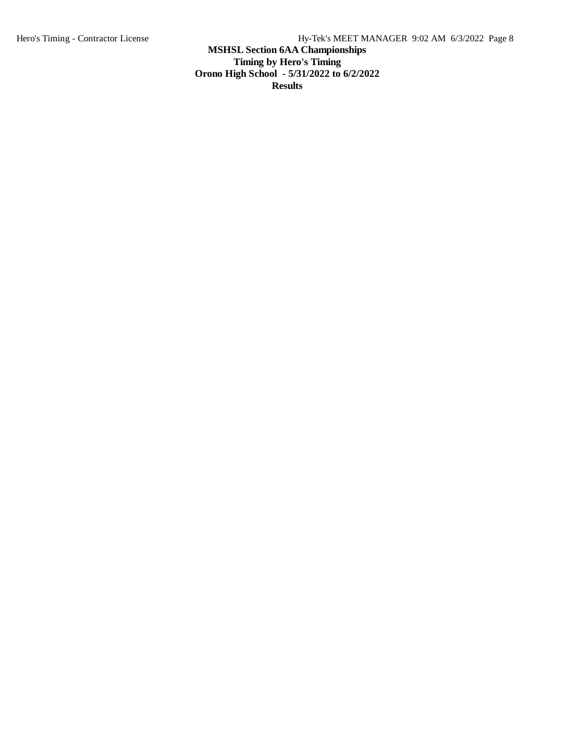**MSHSL Section 6AA Championships Timing by Hero's Timing Orono High School - 5/31/2022 to 6/2/2022 Results**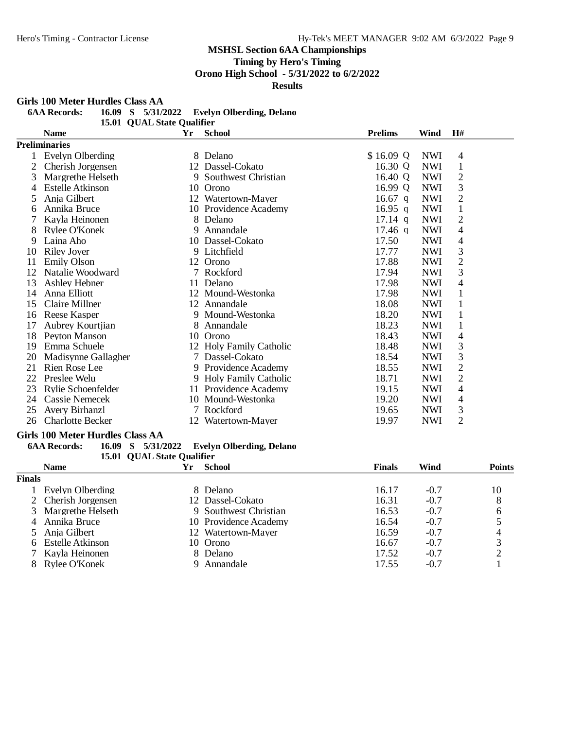**Timing by Hero's Timing**

**Orono High School - 5/31/2022 to 6/2/2022**

**Results**

**Girls 100 Meter Hurdles Class AA**

8 Rylee O'Konek

| <b>6AA Records:</b> |  | 16.09 \$ 5/31/2022 Evelyn Olberding, Delano |
|---------------------|--|---------------------------------------------|
|                     |  |                                             |

**15.01 QUAL State Qualifier** 

|                | <b>Name</b>                               | Yr                         | <b>School</b>                   | <b>Prelims</b> | <b>Wind</b> | H#             |                          |
|----------------|-------------------------------------------|----------------------------|---------------------------------|----------------|-------------|----------------|--------------------------|
|                | <b>Preliminaries</b>                      |                            |                                 |                |             |                |                          |
| $\mathbf{1}$   | Evelyn Olberding                          |                            | 8 Delano                        | \$16.09 Q      | <b>NWI</b>  | $\overline{4}$ |                          |
| 2              | Cherish Jorgensen                         |                            | 12 Dassel-Cokato                | 16.30 Q        | <b>NWI</b>  | $\mathbf{1}$   |                          |
| 3              | Margrethe Helseth                         |                            | 9 Southwest Christian           | 16.40 $Q$      | <b>NWI</b>  | $\overline{2}$ |                          |
| $\overline{4}$ | <b>Estelle Atkinson</b>                   |                            | 10 Orono                        | 16.99 Q        | <b>NWI</b>  | 3              |                          |
| 5              | Anja Gilbert                              |                            | 12 Watertown-Mayer              | $16.67$ q      | <b>NWI</b>  | $\overline{2}$ |                          |
| 6              | Annika Bruce                              |                            | 10 Providence Academy           | 16.95 $q$      | <b>NWI</b>  | $\mathbf{1}$   |                          |
| 7              | Kayla Heinonen                            |                            | 8 Delano                        | $17.14$ q      | <b>NWI</b>  | $\sqrt{2}$     |                          |
| 8              | Rylee O'Konek                             |                            | 9 Annandale                     | $17.46$ q      | <b>NWI</b>  | $\overline{4}$ |                          |
| 9              | Laina Aho                                 |                            | 10 Dassel-Cokato                | 17.50          | <b>NWI</b>  | $\overline{4}$ |                          |
| 10             | <b>Riley Joyer</b>                        |                            | 9 Litchfield                    | 17.77          | <b>NWI</b>  | 3              |                          |
| 11             | <b>Emily Olson</b>                        |                            | 12 Orono                        | 17.88          | <b>NWI</b>  | $\sqrt{2}$     |                          |
| 12             | Natalie Woodward                          |                            | 7 Rockford                      | 17.94          | <b>NWI</b>  | 3              |                          |
| 13             | <b>Ashley Hebner</b>                      |                            | 11 Delano                       | 17.98          | <b>NWI</b>  | $\overline{4}$ |                          |
| 14             | Anna Elliott                              |                            | 12 Mound-Westonka               | 17.98          | <b>NWI</b>  | $\mathbf{1}$   |                          |
| 15             | <b>Claire Millner</b>                     |                            | 12 Annandale                    | 18.08          | <b>NWI</b>  | 1              |                          |
| 16             | <b>Reese Kasper</b>                       |                            | 9 Mound-Westonka                | 18.20          | <b>NWI</b>  | 1              |                          |
| 17             | Aubrey Kourtjian                          |                            | 8 Annandale                     | 18.23          | <b>NWI</b>  | 1              |                          |
| 18             | <b>Peyton Manson</b>                      |                            | 10 Orono                        | 18.43          | <b>NWI</b>  | $\overline{4}$ |                          |
| 19             | Emma Schuele                              |                            | 12 Holy Family Catholic         | 18.48          | <b>NWI</b>  | 3              |                          |
| 20             | Madisynne Gallagher                       |                            | 7 Dassel-Cokato                 | 18.54          | <b>NWI</b>  | 3              |                          |
| 21             | Rien Rose Lee                             |                            | 9 Providence Academy            | 18.55          | <b>NWI</b>  | $\sqrt{2}$     |                          |
| 22             | Preslee Welu                              |                            | 9 Holy Family Catholic          | 18.71          | <b>NWI</b>  | $\overline{2}$ |                          |
| 23             | <b>Rylie Schoenfelder</b>                 |                            | 11 Providence Academy           | 19.15          | <b>NWI</b>  | $\overline{4}$ |                          |
| 24             | <b>Cassie Nemecek</b>                     |                            | 10 Mound-Westonka               | 19.20          | <b>NWI</b>  | $\overline{4}$ |                          |
| 25             | <b>Avery Birhanzl</b>                     | $\tau$                     | Rockford                        | 19.65          | <b>NWI</b>  | 3              |                          |
| 26             | <b>Charlotte Becker</b>                   |                            | 12 Watertown-Mayer              | 19.97          | <b>NWI</b>  | $\overline{2}$ |                          |
|                | <b>Girls 100 Meter Hurdles Class AA</b>   |                            |                                 |                |             |                |                          |
|                | <b>6AA Records:</b><br>16.09 \$ 5/31/2022 |                            | <b>Evelyn Olberding, Delano</b> |                |             |                |                          |
|                |                                           | 15.01 QUAL State Qualifier |                                 |                |             |                |                          |
|                | <b>Name</b>                               | Yr                         | <b>School</b>                   | <b>Finals</b>  | Wind        |                | <b>Points</b>            |
| <b>Finals</b>  |                                           |                            |                                 |                |             |                |                          |
| 1              | <b>Evelyn Olberding</b>                   |                            | 8 Delano                        | 16.17          | $-0.7$      |                | 10                       |
| $\overline{2}$ | Cherish Jorgensen                         |                            | 12 Dassel-Cokato                | 16.31          | $-0.7$      |                | 8                        |
| 3              | Margrethe Helseth                         |                            | 9 Southwest Christian           | 16.53          | $-0.7$      |                | $\sqrt{6}$               |
| 4              | Annika Bruce                              |                            | 10 Providence Academy           | 16.54          | $-0.7$      |                | 5                        |
| 5              | Anja Gilbert                              |                            | 12 Watertown-Mayer              | 16.59          | $-0.7$      |                | $\overline{\mathcal{L}}$ |
| 6              | <b>Estelle Atkinson</b>                   |                            | 10 Orono                        | 16.67          | $-0.7$      |                | 3                        |
| 7              | Kavla Heinonen                            |                            | 8 Delano                        | 17.52          | $-0.7$      |                | $\overline{2}$           |

Kayla Heinonen 8 Delano 17.52 -0.7 2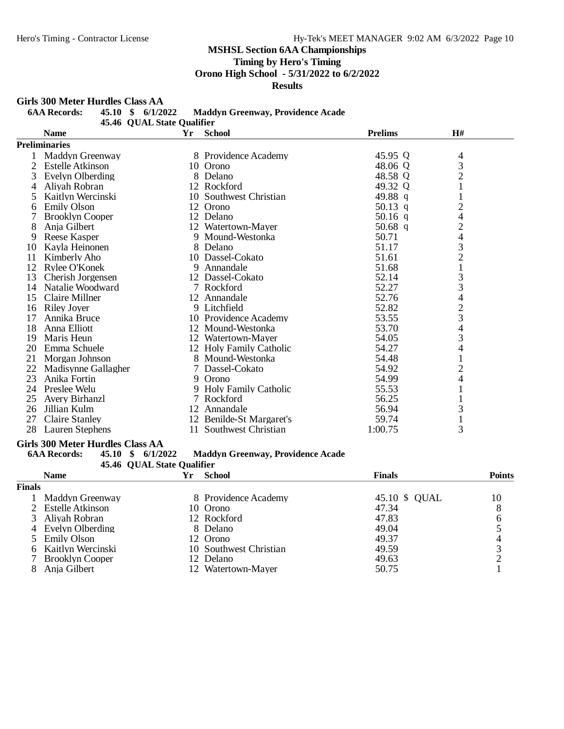**Timing by Hero's Timing**

**Orono High School - 5/31/2022 to 6/2/2022**

**Results**

**Girls 300 Meter Hurdles Class AA**<br>6AA Records: **45.10** \$ 6/1/2022

**6AA Records: 45.10 \$ 6/1/2022 Maddyn Greenway, Providence Acade**

|  | 45.46 QUAL State Qualifier |  |  |
|--|----------------------------|--|--|
|  |                            |  |  |

|                | <b>Name</b>            | Yr | <b>School</b>            | <b>Prelims</b> | H#             |  |
|----------------|------------------------|----|--------------------------|----------------|----------------|--|
|                | <b>Preliminaries</b>   |    |                          |                |                |  |
|                | Maddyn Greenway        |    | 8 Providence Academy     | 45.95 Q        | 4              |  |
| $\overline{2}$ | Estelle Atkinson       |    | 10 Orono                 | 48.06 Q        | 3              |  |
| 3              | Evelyn Olberding       |    | 8 Delano                 | 48.58 Q        | $\overline{c}$ |  |
| 4              | Alivah Robran          |    | 12 Rockford              | 49.32 Q        |                |  |
| 5              | Kaitlyn Wercinski      | 10 | Southwest Christian      | 49.88 q        |                |  |
| 6              | <b>Emily Olson</b>     |    | 12 Orono                 | 50.13 q        | $\overline{c}$ |  |
|                | <b>Brooklyn Cooper</b> |    | 12 Delano                | 50.16 $q$      | $\overline{4}$ |  |
| 8              | Anja Gilbert           |    | 12 Watertown-Mayer       | 50.68 $q$      | $\overline{c}$ |  |
| 9              | <b>Reese Kasper</b>    |    | 9 Mound-Westonka         | 50.71          | 4              |  |
| 10             | Kayla Heinonen         |    | 8 Delano                 | 51.17          | 3              |  |
| 11             | Kimberly Aho           |    | 10 Dassel-Cokato         | 51.61          | $\overline{2}$ |  |
| 12             | Rylee O'Konek          | 9  | Annandale                | 51.68          | $\mathbf{1}$   |  |
| 13             | Cherish Jorgensen      | 12 | Dassel-Cokato            | 52.14          | 3              |  |
| 14             | Natalie Woodward       |    | 7 Rockford               | 52.27          | 3              |  |
| 15             | Claire Millner         |    | 12 Annandale             | 52.76          | 4              |  |
| 16             | Riley Joyer            |    | 9 Litchfield             | 52.82          | $\overline{c}$ |  |
| 17             | Annika Bruce           |    | 10 Providence Academy    | 53.55          | 3              |  |
| 18             | Anna Elliott           |    | 12 Mound-Westonka        | 53.70          | 4              |  |
| 19             | Maris Heun             |    | 12 Watertown-Mayer       | 54.05          | 3              |  |
| 20             | Emma Schuele           |    | 12 Holy Family Catholic  | 54.27          | 4              |  |
| 21             | Morgan Johnson         |    | 8 Mound-Westonka         | 54.48          | 1              |  |
| 22             | Madisynne Gallagher    | 7  | Dassel-Cokato            | 54.92          | $\overline{c}$ |  |
| 23             | Anika Fortin           |    | 9 Orono                  | 54.99          | 4              |  |
| 24             | Preslee Welu           |    | 9 Holy Family Catholic   | 55.53          |                |  |
| 25             | <b>Avery Birhanzl</b>  | 7  | Rockford                 | 56.25          |                |  |
| 26             | Jillian Kulm           | 12 | Annandale                | 56.94          | 3              |  |
| 27             | <b>Claire Stanley</b>  |    | 12 Benilde-St Margaret's | 59.74          |                |  |
| 28             | Lauren Stephens        | 11 | Southwest Christian      | 1:00.75        | 3              |  |

# **Girls 300 Meter Hurdles Class AA**<br>**6AA Records: 45.10** \$ 6/1/2022

**Maddyn Greenway, Providence Acade** 

**45.46 QUAL State Qualifier<br>Vr.** School

|               | <b>Name</b>         | <b>School</b>          | <b>Finals</b> | <b>Points</b> |
|---------------|---------------------|------------------------|---------------|---------------|
| <b>Finals</b> |                     |                        |               |               |
|               | Maddyn Greenway     | 8 Providence Academy   | 45.10 \$ OUAL | 10            |
|               | 2 Estelle Atkinson  | 10 Orono               | 47.34         |               |
|               | 3 Aliyah Robran     | 12 Rockford            | 47.83         | h             |
|               | 4 Evelyn Olberding  | 8 Delano               | 49.04         |               |
|               | 5 Emily Olson       | 12 Orono               | 49.37         |               |
|               | 6 Kaitlyn Wercinski | 10 Southwest Christian | 49.59         |               |
|               | 7 Brooklyn Cooper   | 12 Delano              | 49.63         |               |
|               | Anja Gilbert        | 12 Watertown-Mayer     | 50.75         |               |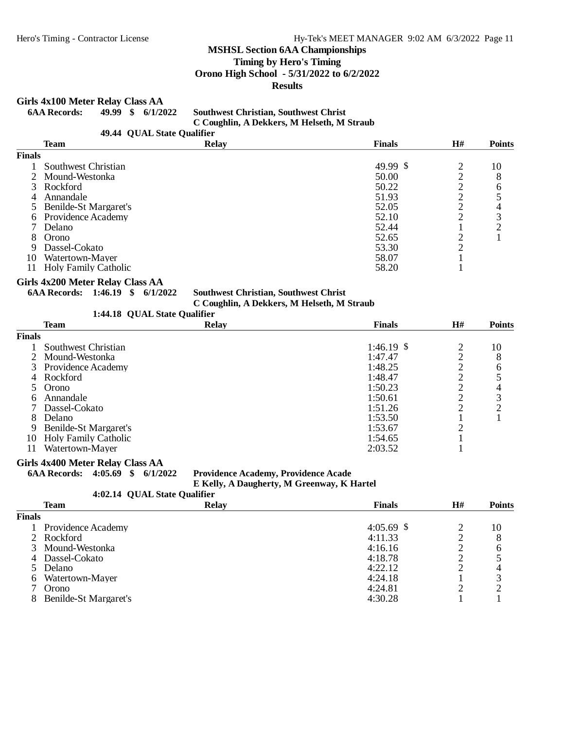**Timing by Hero's Timing**

**Orono High School - 5/31/2022 to 6/2/2022**

**Results**

# **Girls 4x100 Meter Relay Class AA**<br>6AA Records: 49.99 \$ 6/1/2022

Southwest Christian, Southwest Christ

**C Coughlin, A Dekkers, M Helseth, M Straub**

**49.44 OUAL State Qualifier** 

|               | <b>Team</b>                 | <b>Relay</b> | <b>Finals</b> | H# | <b>Points</b>     |
|---------------|-----------------------------|--------------|---------------|----|-------------------|
| <b>Finals</b> |                             |              |               |    |                   |
|               | Southwest Christian         |              | 49.99 \$      | ⌒  | 10                |
|               | 2 Mound-Westonka            |              | 50.00         |    | 8                 |
|               | 3 Rockford                  |              | 50.22         |    | O                 |
| 4             | Annandale                   |              | 51.93         |    |                   |
|               | 5 Benilde-St Margaret's     |              | 52.05         | ⌒  |                   |
|               | 6 Providence Academy        |              | 52.10         | ◠  | $\mathbf{\Omega}$ |
|               | Delano                      |              | 52.44         |    | ◠                 |
| 8             | Orono                       |              | 52.65         |    |                   |
| 9             | Dassel-Cokato               |              | 53.30         |    |                   |
| 10            | Watertown-Mayer             |              | 58.07         |    |                   |
|               | <b>Holy Family Catholic</b> |              | 58.20         |    |                   |

# **Girls 4x200 Meter Relay Class AA**<br>**6AA Records:** 1:46.19 \$ 6/1/2022

Southwest Christian, Southwest Christ

**C Coughlin, A Dekkers, M Helseth, M Straub**

## **1:44.18 QUAL State Qualifier**

|               | <b>Team</b>                 | <b>Relay</b> | <b>Finals</b> | H# | <b>Points</b> |
|---------------|-----------------------------|--------------|---------------|----|---------------|
| <b>Finals</b> |                             |              |               |    |               |
|               | Southwest Christian         |              | $1:46.19$ \$  | ◠  | 10            |
|               | 2 Mound-Westonka            |              | 1:47.47       |    | 8             |
|               | 3 Providence Academy        |              | 1:48.25       |    | 6             |
|               | 4 Rockford                  |              | 1:48.47       |    |               |
|               | Orono                       |              | 1:50.23       |    |               |
| h.            | Annandale                   |              | 1:50.61       |    | $\bigcap$     |
|               | Dassel-Cokato               |              | 1:51.26       |    | ◠             |
| 8             | Delano                      |              | 1:53.50       |    |               |
| 9             | Benilde-St Margaret's       |              | 1:53.67       | ◠  |               |
| 10            | <b>Holy Family Catholic</b> |              | 1:54.65       |    |               |
| 11            | Watertown-Mayer             |              | 2:03.52       |    |               |

# **Girls 4x400 Meter Relay Class AA**<br>**6AA Records:** 4:05.69 \$ 6/1/2022

**6AA Records: 4:05.69 \$ 6/1/2022 Providence Academy, Providence Acade**

|  |  | E Kelly, A Daugherty, M Greenway, K Hartel |  |  |  |  |
|--|--|--------------------------------------------|--|--|--|--|
|--|--|--------------------------------------------|--|--|--|--|

|               | 4:02.14 QUAL State Qualifier |              |               |    |               |
|---------------|------------------------------|--------------|---------------|----|---------------|
|               | <b>Team</b>                  | <b>Relay</b> | <b>Finals</b> | H# | <b>Points</b> |
| <b>Finals</b> |                              |              |               |    |               |
|               | Providence Academy           |              | $4:05.69$ \$  | ◠  | 10            |
|               | 2 Rockford                   |              | 4:11.33       | ◠  | 8             |
|               | 3 Mound-Westonka             |              | 4:16.16       | ◠  | 6             |
|               | 4 Dassel-Cokato              |              | 4:18.78       | ◠  |               |
|               | 5 Delano                     |              | 4:22.12       |    |               |
| 6             | Watertown-Mayer              |              | 4:24.18       |    | 3             |
|               | Orono                        |              | 4:24.81       | ⌒  | ◠             |
| 8             | Benilde-St Margaret's        |              | 4:30.28       |    |               |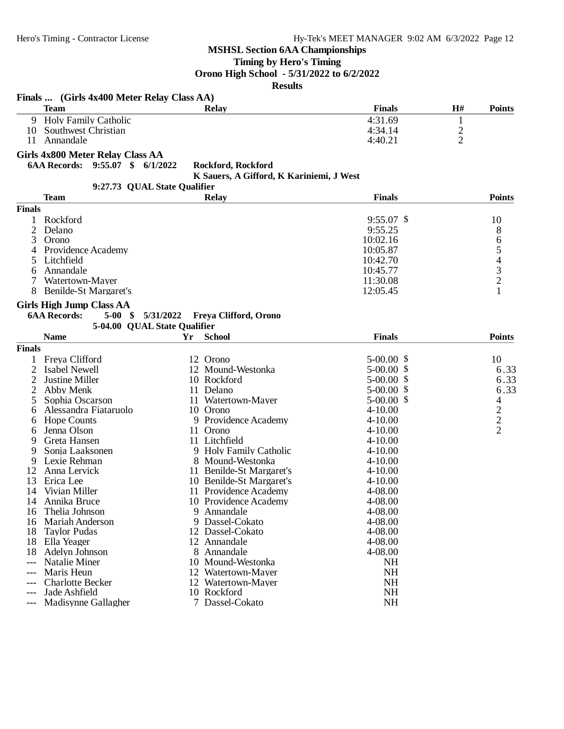**Timing by Hero's Timing**

**Orono High School - 5/31/2022 to 6/2/2022**

**Results**

|                | Finals  (Girls 4x400 Meter Relay Class AA) |    |                                          |                      |                         |                                                 |
|----------------|--------------------------------------------|----|------------------------------------------|----------------------|-------------------------|-------------------------------------------------|
|                | <b>Team</b>                                |    | <b>Relay</b>                             | <b>Finals</b>        | H#                      | <b>Points</b>                                   |
|                | 9 Holy Family Catholic                     |    |                                          | 4:31.69              | 1                       |                                                 |
|                | 10 Southwest Christian                     |    |                                          | 4:34.14              | $\overline{\mathbf{c}}$ |                                                 |
| 11             | Annandale                                  |    |                                          | 4:40.21              | $\overline{2}$          |                                                 |
|                | Girls 4x800 Meter Relay Class AA           |    |                                          |                      |                         |                                                 |
|                | 6AA Records: 9:55.07 \$ 6/1/2022           |    | Rockford, Rockford                       |                      |                         |                                                 |
|                |                                            |    | K Sauers, A Gifford, K Kariniemi, J West |                      |                         |                                                 |
|                | 9:27.73 QUAL State Qualifier               |    |                                          |                      |                         |                                                 |
|                | <b>Team</b>                                |    | <b>Relay</b>                             | <b>Finals</b>        |                         | <b>Points</b>                                   |
| <b>Finals</b>  |                                            |    |                                          |                      |                         |                                                 |
|                |                                            |    |                                          |                      |                         |                                                 |
|                | Rockford                                   |    |                                          | $9:55.07$ \$         |                         | 10                                              |
| 2<br>3         | Delano                                     |    |                                          | 9:55.25<br>10:02.16  |                         | 8                                               |
|                | Orono                                      |    |                                          |                      |                         | 6                                               |
| 4              | Providence Academy<br>Litchfield           |    |                                          | 10:05.87<br>10:42.70 |                         | $\begin{array}{c} 5 \\ 4 \\ 3 \\ 2 \end{array}$ |
|                | Annandale                                  |    |                                          |                      |                         |                                                 |
| 6              | Watertown-Mayer                            |    |                                          | 10:45.77<br>11:30.08 |                         |                                                 |
| 8              | Benilde-St Margaret's                      |    |                                          |                      |                         | $\mathbf{1}$                                    |
|                |                                            |    |                                          | 12:05.45             |                         |                                                 |
|                | <b>Girls High Jump Class AA</b>            |    |                                          |                      |                         |                                                 |
|                | <b>6AA Records:</b><br>5-00 \$ 5/31/2022   |    | <b>Freya Clifford, Orono</b>             |                      |                         |                                                 |
|                | 5-04.00 QUAL State Qualifier               |    |                                          |                      |                         |                                                 |
|                | <b>Name</b>                                | Yr | <b>School</b>                            | <b>Finals</b>        |                         | <b>Points</b>                                   |
| <b>Finals</b>  |                                            |    |                                          |                      |                         |                                                 |
|                | Freya Clifford                             |    | 12 Orono                                 | $5-00.00$ \$         |                         | 10                                              |
| 2              | <b>Isabel Newell</b>                       |    | 12 Mound-Westonka                        | $5-00.00$ \$         |                         | 6.33                                            |
| $\overline{c}$ | <b>Justine Miller</b>                      |    | 10 Rockford                              | $5-00.00$ \$         |                         | 6.33                                            |
| 2              | Abby Menk                                  |    | 11 Delano                                | $5-00.00$ \$         |                         | 6.33                                            |
| 5              | Sophia Oscarson                            |    | 11 Watertown-Mayer                       | $5-00.00$ \$         |                         | 4                                               |
| 6              | Alessandra Fiataruolo                      |    | 10 Orono                                 | $4 - 10.00$          |                         |                                                 |
| 6              | <b>Hope Counts</b>                         |    | 9 Providence Academy                     | $4 - 10.00$          |                         | $\frac{2}{2}$                                   |
| 6              | Jenna Olson                                |    | 11 Orono                                 | $4 - 10.00$          |                         |                                                 |
| 9              | Greta Hansen                               |    | 11 Litchfield                            | $4 - 10.00$          |                         |                                                 |
| 9              | Sonja Laaksonen                            |    | 9 Holy Family Catholic                   | $4 - 10.00$          |                         |                                                 |
| 9              | Lexie Rehman                               |    | 8 Mound-Westonka                         | $4 - 10.00$          |                         |                                                 |
| 12             | Anna Lervick                               |    | 11 Benilde-St Margaret's                 | $4 - 10.00$          |                         |                                                 |
| 13             | Erica Lee                                  |    | 10 Benilde-St Margaret's                 | $4 - 10.00$          |                         |                                                 |
| 14             | Vivian Miller                              |    | 11 Providence Academy                    | 4-08.00              |                         |                                                 |
| 14             | Annika Bruce                               |    | 10 Providence Academy                    | 4-08.00              |                         |                                                 |
| 16             | Thelia Johnson                             |    | 9 Annandale                              | 4-08.00              |                         |                                                 |
| 16             | Mariah Anderson                            |    | 9 Dassel-Cokato                          | 4-08.00              |                         |                                                 |
| 18             | <b>Taylor Pudas</b>                        |    | 12 Dassel-Cokato                         | 4-08.00              |                         |                                                 |
| 18             | Ella Yeager                                |    | 12 Annandale                             | 4-08.00              |                         |                                                 |
| 18             | Adelyn Johnson                             | 8  | Annandale                                | 4-08.00              |                         |                                                 |
| $---$          | Natalie Miner                              |    | 10 Mound-Westonka                        | NH                   |                         |                                                 |
| ---            | Maris Heun                                 |    | 12 Watertown-Mayer                       | <b>NH</b>            |                         |                                                 |
|                | <b>Charlotte Becker</b>                    |    | 12 Watertown-Mayer                       | <b>NH</b>            |                         |                                                 |
| ---            | Jade Ashfield                              |    | 10 Rockford                              | <b>NH</b>            |                         |                                                 |
| $---$          | Madisynne Gallagher                        |    | 7 Dassel-Cokato                          | <b>NH</b>            |                         |                                                 |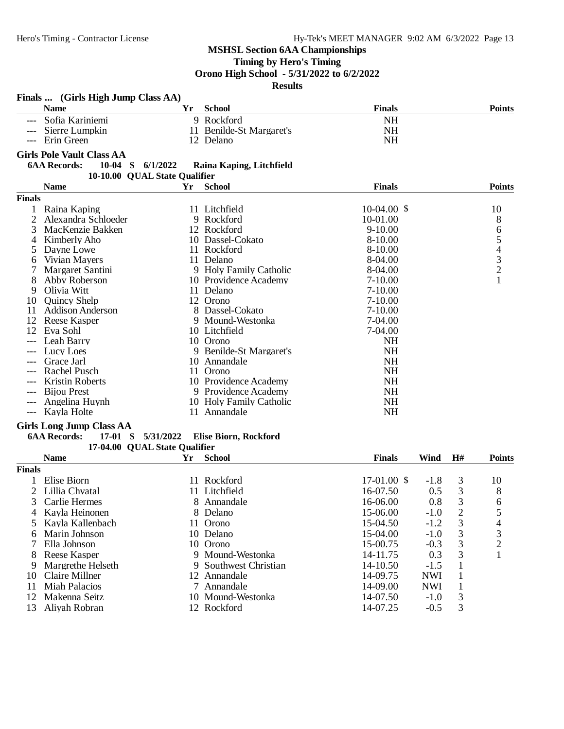**Timing by Hero's Timing**

**Orono High School - 5/31/2022 to 6/2/2022**

**Results**

|                | Finals  (Girls High Jump Class AA) |           |                              |               |            |                         |               |
|----------------|------------------------------------|-----------|------------------------------|---------------|------------|-------------------------|---------------|
|                | <b>Name</b>                        | Yr        | <b>School</b>                | <b>Finals</b> |            |                         | <b>Points</b> |
|                | Sofia Kariniemi                    |           | 9 Rockford                   | <b>NH</b>     |            |                         |               |
|                | Sierre Lumpkin                     |           | 11 Benilde-St Margaret's     | <b>NH</b>     |            |                         |               |
| $---$          | Erin Green                         |           | 12 Delano                    | <b>NH</b>     |            |                         |               |
|                | <b>Girls Pole Vault Class AA</b>   |           |                              |               |            |                         |               |
|                | <b>6AA Records:</b><br>10-04<br>\$ | 6/1/2022  | Raina Kaping, Litchfield     |               |            |                         |               |
|                | 10-10.00 QUAL State Qualifier      |           |                              |               |            |                         |               |
|                | <b>Name</b>                        | Yr        | <b>School</b>                | <b>Finals</b> |            |                         | <b>Points</b> |
| <b>Finals</b>  |                                    |           |                              |               |            |                         |               |
| 1              | Raina Kaping                       |           | 11 Litchfield                | $10-04.00$ \$ |            |                         | 10            |
| $\overline{2}$ | Alexandra Schloeder                |           | 9 Rockford                   | 10-01.00      |            |                         | 8             |
| 3              | MacKenzie Bakken                   |           | 12 Rockford                  | $9 - 10.00$   |            |                         |               |
| 4              | Kimberly Aho                       |           | 10 Dassel-Cokato             | 8-10.00       |            |                         | 65432         |
|                | Dayne Lowe                         |           | 11 Rockford                  | 8-10.00       |            |                         |               |
| 6              | Vivian Mayers                      |           | 11 Delano                    | 8-04.00       |            |                         |               |
|                | Margaret Santini                   |           | 9 Holy Family Catholic       | 8-04.00       |            |                         |               |
| 8              | Abby Roberson                      |           | 10 Providence Academy        | $7 - 10.00$   |            |                         | $\mathbf{1}$  |
| 9              | Olivia Witt                        |           | 11 Delano                    | $7 - 10.00$   |            |                         |               |
| 10             | Quincy Shelp                       |           | 12 Orono                     | $7 - 10.00$   |            |                         |               |
| 11             | <b>Addison Anderson</b>            |           | 8 Dassel-Cokato              | $7 - 10.00$   |            |                         |               |
| 12             | <b>Reese Kasper</b>                |           | 9 Mound-Westonka             | 7-04.00       |            |                         |               |
| 12             | Eva Sohl                           |           | 10 Litchfield                | 7-04.00       |            |                         |               |
|                | Leah Barry                         |           | 10 Orono                     | <b>NH</b>     |            |                         |               |
|                | Lucy Loes                          |           | 9 Benilde-St Margaret's      | <b>NH</b>     |            |                         |               |
|                | Grace Jarl                         |           | 10 Annandale                 | <b>NH</b>     |            |                         |               |
|                | Rachel Pusch                       |           | 11 Orono                     | <b>NH</b>     |            |                         |               |
|                | <b>Kristin Roberts</b>             |           | 10 Providence Academy        | <b>NH</b>     |            |                         |               |
|                | <b>Bijou Prest</b>                 |           | 9 Providence Academy         | <b>NH</b>     |            |                         |               |
| $---$          | Angelina Huynh                     |           | 10 Holy Family Catholic      | <b>NH</b>     |            |                         |               |
| $---$          | Kayla Holte                        |           | 11 Annandale                 | <b>NH</b>     |            |                         |               |
|                | <b>Girls Long Jump Class AA</b>    |           |                              |               |            |                         |               |
|                | <b>6AA Records:</b><br>$17-01$ \$  | 5/31/2022 | <b>Elise Biorn, Rockford</b> |               |            |                         |               |
|                | 17-04.00 QUAL State Qualifier      |           |                              |               |            |                         |               |
|                | <b>Name</b>                        | Yr        | <b>School</b>                | <b>Finals</b> | Wind       | H#                      | <b>Points</b> |
| <b>Finals</b>  |                                    |           |                              |               |            |                         |               |
|                | Elise Biorn                        |           | 11 Rockford                  | $17-01.00$ \$ | $-1.8$     | 3                       | 10            |
| 2              | Lillia Chvatal                     |           | 11 Litchfield                | 16-07.50      | 0.5        | 3                       | 8             |
| 3              | Carlie Hermes                      |           | 8 Annandale                  | 16-06.00      | 0.8        | 3                       | 6             |
| 4              | Kayla Heinonen                     |           | 8 Delano                     | 15-06.00      | $-1.0$     | $\overline{\mathbf{c}}$ | 5             |
| 5              | Kayla Kallenbach                   |           | 11 Orono                     | 15-04.50      | $-1.2$     | 3                       | 4             |
| 6              | Marin Johnson                      |           | 10 Delano                    | 15-04.00      | $-1.0$     | 3                       | $\frac{3}{2}$ |
| 7              | Ella Johnson                       |           | 10 Orono                     | 15-00.75      | $-0.3$     | 3                       |               |
| 8              | <b>Reese Kasper</b>                |           | 9 Mound-Westonka             | 14-11.75      | 0.3        | 3                       | 1             |
| 9              | Margrethe Helseth                  | 9         | Southwest Christian          | 14-10.50      | $-1.5$     | 1                       |               |
| 10             | Claire Millner                     |           | 12 Annandale                 | 14-09.75      | <b>NWI</b> | $\mathbf{1}$            |               |
| 11             | <b>Miah Palacios</b>               |           | 7 Annandale                  | 14-09.00      | <b>NWI</b> | $\mathbf{1}$            |               |
| 12             | Makenna Seitz                      |           | 10 Mound-Westonka            | 14-07.50      | $-1.0$     | 3                       |               |
| 13             | Aliyah Robran                      |           | 12 Rockford                  | 14-07.25      | $-0.5$     | 3                       |               |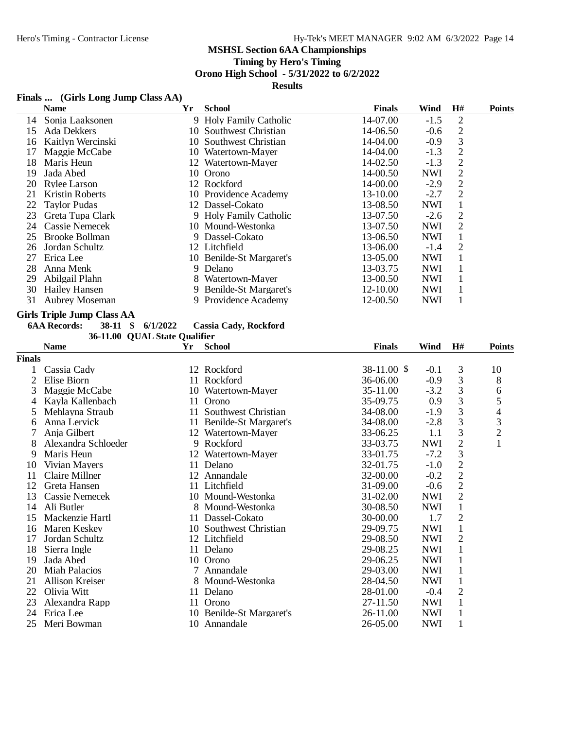**Timing by Hero's Timing**

**Orono High School - 5/31/2022 to 6/2/2022**

**Results**

#### **Finals ... (Girls Long Jump Class AA)**

|    | <b>Name</b>           | Yr | <b>School</b>            | <b>Finals</b> | Wind       | H#             | <b>Points</b> |
|----|-----------------------|----|--------------------------|---------------|------------|----------------|---------------|
| 14 | Sonja Laaksonen       |    | 9 Holy Family Catholic   | 14-07.00      | $-1.5$     | 2              |               |
| 15 | Ada Dekkers           |    | 10 Southwest Christian   | 14-06.50      | $-0.6$     | $\overline{2}$ |               |
| 16 | Kaitlyn Wercinski     |    | 10 Southwest Christian   | 14-04.00      | $-0.9$     | 3              |               |
| 17 | Maggie McCabe         |    | 10 Watertown-Mayer       | 14-04.00      | $-1.3$     | 2              |               |
| 18 | Maris Heun            |    | 12 Watertown-Mayer       | $14 - 02.50$  | $-1.3$     | $\overline{2}$ |               |
| 19 | Jada Abed             |    | 10 Orono                 | 14-00.50      | <b>NWI</b> | 2              |               |
| 20 | Rylee Larson          |    | 12 Rockford              | 14-00.00      | $-2.9$     | 2              |               |
| 21 | Kristin Roberts       |    | 10 Providence Academy    | 13-10.00      | $-2.7$     | 2              |               |
| 22 | <b>Taylor Pudas</b>   |    | 12 Dassel-Cokato         | 13-08.50      | <b>NWI</b> |                |               |
| 23 | Greta Tupa Clark      |    | 9 Holy Family Catholic   | 13-07.50      | $-2.6$     | 2              |               |
| 24 | <b>Cassie Nemecek</b> |    | 10 Mound-Westonka        | 13-07.50      | <b>NWI</b> | 2              |               |
| 25 | Brooke Bollman        |    | 9 Dassel-Cokato          | 13-06.50      | <b>NWI</b> |                |               |
| 26 | Jordan Schultz        |    | 12 Litchfield            | 13-06.00      | $-1.4$     | 2              |               |
| 27 | Erica Lee             |    | 10 Benilde-St Margaret's | 13-05.00      | <b>NWI</b> |                |               |
| 28 | Anna Menk             |    | 9 Delano                 | 13-03.75      | <b>NWI</b> |                |               |
| 29 | Abilgail Plahn        |    | 8 Watertown-Mayer        | 13-00.50      | <b>NWI</b> |                |               |
| 30 | <b>Hailey Hansen</b>  |    | 9 Benilde-St Margaret's  | 12-10.00      | <b>NWI</b> |                |               |
| 31 | Aubrey Moseman        |    | 9 Providence Academy     | 12-00.50      | <b>NWI</b> |                |               |

#### **Girls Triple Jump Class AA**

| 38-11 \$ 6/1/2022<br><b>6AA Records:</b> | <b>Cassia Cady, Rockford</b> |
|------------------------------------------|------------------------------|
|------------------------------------------|------------------------------|

**36-11.00 QUAL State Qualifier Name Yr School Finals Wind H# Points Finals** 1 Cassia Cady 12 Rockford 38-11.00 \$ -0.1 3 10<br>2 Elise Biorn 11 Rockford 36-06.00 -0.9 3 8 2 Elise Biorn 11 Rockford 36-06.00 -0.9 3 8<br>3 Maggie McCabe 10 Watertown-Mayer 35-11.00 -3.2 3 6 3 Maggie McCabe 10 Watertown-Mayer 35-11.00 -3.2 3 6 4 Kayla Kallenbach 11 Orono 35-09.75 0.9 3 5<br>5 Mehlayna Straub 11 Southwest Christian 34-08.00 -1.9 3 4 5 Mehlayna Straub 11 Southwest Christian 134-08.00 -1.9 3 4<br>5 Anna Lervick 11 Benilde-St Margaret's 34-08.00 -2.8 3 3 6 Anna Lervick 11 Benilde-St Margaret's 34-08.00 -2.8 3 3 7 Anja Gilbert 12 Watertown-Mayer 33-06.25 1.1 3 2 8 Alexandra Schloeder 9 Rockford 33-03.75 9 Maris Heun 12 Watertown-Mayer 33-01.75 -7.2 3 10 Vivian Mayers 11 Delano 11 Delano 32-01.75 -1.0 2<br>11 Claire Millner 12 Annandale 32-00.00 -0.2 2 11 Claire Millner 12 Annandale 32-00.00 -0.2 2<br>12 Greta Hansen 11 Litchfield 31-09.00 -0.6 2 12 Greta Hansen 11 Litchfield 31-09.00 -0.6 2<br>13 Cassie Nemecek 10 Mound-Westonka 31-02.00 NWI 2 10 Mound-Westonka 14 Ali Butler 8 Mound-Westonka 30-08.50 NWI 1 15 Mackenzie Hartl 11 Dassel-Cokato 130-00.00 1.7 2<br>16 Maren Keskey 10 Southwest Christian 29-09.75 NWI 1 10 Southwest Christian 29-09.75 17 Jordan Schultz 12 Litchfield 29-08.50 NWI 2 18 Sierra Ingle 11 Delano 29-08.25 NWI 1 19 Jada Abed 10 Orono 29-06.25 NWI 1 20 Miah Palacios 7 Annandale 29-03.00 NWI 1 21 Allison Kreiser 8 Mound-Westonka 28-04.50 NWI 1 22 Olivia Witt 11 Delano 28-01.00 -0.4 2<br>
23 Alexandra Rapp 11 Orono 27-11.50 NWI 1 23 Alexandra Rapp<br>24 Erica Lee 10 Benilde-St Margaret's 26-11.00 NWI 1<br>10 Annandale 26-05.00 NWI 1 25 Meri Bowman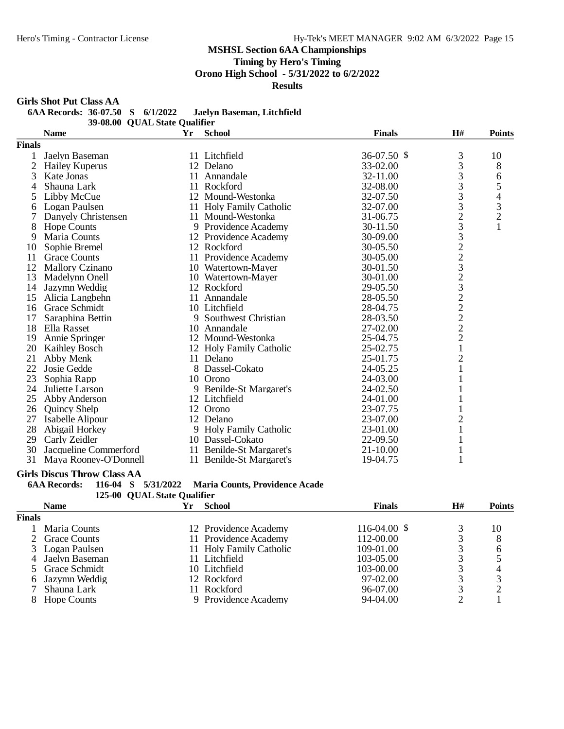**Timing by Hero's Timing**

**Orono High School - 5/31/2022 to 6/2/2022**

**Results**

**Girls Shot Put Class AA**

| 6AA Records: $36-07.50$ \$ $6/1/2022$ |  |                               |  | Jaelyn Baseman, Litchfield |
|---------------------------------------|--|-------------------------------|--|----------------------------|
|                                       |  | 30.08.00 OUAL State Qualifier |  |                            |

| 39-08.00 QUAL State Qualifier |                        |    |                          |               |                                                 |                                            |
|-------------------------------|------------------------|----|--------------------------|---------------|-------------------------------------------------|--------------------------------------------|
|                               | <b>Name</b>            | Yr | <b>School</b>            | <b>Finals</b> | H#                                              | <b>Points</b>                              |
| <b>Finals</b>                 |                        |    |                          |               |                                                 |                                            |
|                               | Jaelyn Baseman         |    | 11 Litchfield            | 36-07.50 \$   | 3                                               | 10                                         |
| 2                             | <b>Hailey Kuperus</b>  | 12 | Delano                   | 33-02.00      | 3                                               | 8                                          |
| 3                             | Kate Jonas             | 11 | Annandale                | 32-11.00      | 3                                               | 6                                          |
| 4                             | Shauna Lark            |    | 11 Rockford              | 32-08.00      | 3                                               | 5                                          |
| 5                             | Libby McCue            |    | 12 Mound-Westonka        | 32-07.50      | 3                                               | 4                                          |
| 6                             | Logan Paulsen          |    | 11 Holy Family Catholic  | 32-07.00      | 3                                               |                                            |
|                               | Danyely Christensen    |    | 11 Mound-Westonka        | 31-06.75      | $\overline{c}$                                  | $\begin{array}{c} 3 \\ 2 \\ 1 \end{array}$ |
| 8                             | <b>Hope Counts</b>     |    | 9 Providence Academy     | 30-11.50      |                                                 |                                            |
| 9                             | Maria Counts           |    | 12 Providence Academy    | 30-09.00      | $\frac{3}{3}$                                   |                                            |
| 10                            | Sophie Bremel          |    | 12 Rockford              | 30-05.50      |                                                 |                                            |
| 11                            | <b>Grace Counts</b>    |    | 11 Providence Academy    | 30-05.00      | $\frac{2}{2}$                                   |                                            |
| 12                            | <b>Mallory Czinano</b> |    | 10 Watertown-Mayer       | 30-01.50      |                                                 |                                            |
| 13                            | Madelynn Onell         |    | 10 Watertown-Mayer       | 30-01.00      | $\begin{array}{c} 3 \\ 2 \\ 3 \\ 2 \end{array}$ |                                            |
| 14                            | Jazymn Weddig          |    | 12 Rockford              | 29-05.50      |                                                 |                                            |
| 15                            | Alicia Langbehn        |    | 11 Annandale             | 28-05.50      |                                                 |                                            |
| 16                            | Grace Schmidt          |    | 10 Litchfield            | 28-04.75      | $\overline{c}$                                  |                                            |
| 17                            | Saraphina Bettin       | 9  | Southwest Christian      | 28-03.50      | $\overline{c}$                                  |                                            |
| 18                            | Ella Rasset            |    | 10 Annandale             | 27-02.00      | $\overline{2}$                                  |                                            |
| 19                            | Annie Springer         |    | 12 Mound-Westonka        | 25-04.75      | $\overline{2}$                                  |                                            |
| 20                            | <b>Kaihley Bosch</b>   |    | 12 Holy Family Catholic  | 25-02.75      | $\mathbf{1}$                                    |                                            |
| 21                            | Abby Menk              |    | 11 Delano                | 25-01.75      | $\overline{2}$                                  |                                            |
| 22                            | Josie Gedde            |    | Dassel-Cokato            | 24-05.25      | 1                                               |                                            |
| 23                            | Sophia Rapp            |    | 10 Orono                 | 24-03.00      |                                                 |                                            |
| 24                            | Juliette Larson        |    | 9 Benilde-St Margaret's  | 24-02.50      |                                                 |                                            |
| 25                            | Abby Anderson          |    | 12 Litchfield            | 24-01.00      |                                                 |                                            |
| 26                            | Quincy Shelp           |    | 12 Orono                 | 23-07.75      |                                                 |                                            |
| 27                            | Isabelle Alipour       |    | 12 Delano                | 23-07.00      | 2                                               |                                            |
| 28                            | Abigail Horkey         |    | 9 Holy Family Catholic   | 23-01.00      | 1                                               |                                            |
| 29                            | Carly Zeidler          |    | 10 Dassel-Cokato         | 22-09.50      |                                                 |                                            |
| 30                            | Jacqueline Commerford  |    | 11 Benilde-St Margaret's | 21-10.00      |                                                 |                                            |
| 31                            | Maya Rooney-O'Donnell  |    | 11 Benilde-St Margaret's | 19-04.75      |                                                 |                                            |

# Girls Discus Throw Class AA<br>6AA Records: 116-04 \$

| 6AA Records: 116-04 \$ 5/31/2022 Maria Counts, Providence Acade |  |
|-----------------------------------------------------------------|--|
|-----------------------------------------------------------------|--|

125-00 QUAL State Qualifier

|               | <b>Name</b>        | Yr | <b>School</b>           | <b>Finals</b>  | H# | <b>Points</b> |
|---------------|--------------------|----|-------------------------|----------------|----|---------------|
| <b>Finals</b> |                    |    |                         |                |    |               |
|               | Maria Counts       |    | 12 Providence Academy   | $116-04.00$ \$ |    | 10            |
|               | 2 Grace Counts     |    | 11 Providence Academy   | 112-00.00      |    | 8             |
|               | 3 Logan Paulsen    |    | 11 Holy Family Catholic | 109-01.00      |    |               |
| 4             | Jaelyn Baseman     |    | 11 Litchfield           | 103-05.00      |    |               |
|               | 5 Grace Schmidt    |    | 10 Litchfield           | 103-00.00      |    |               |
| 6             | Jazymn Weddig      |    | 12 Rockford             | 97-02.00       |    |               |
|               | Shauna Lark        |    | 11 Rockford             | 96-07.00       |    |               |
| 8             | <b>Hope Counts</b> |    | 9 Providence Academy    | $94 - 04.00$   |    |               |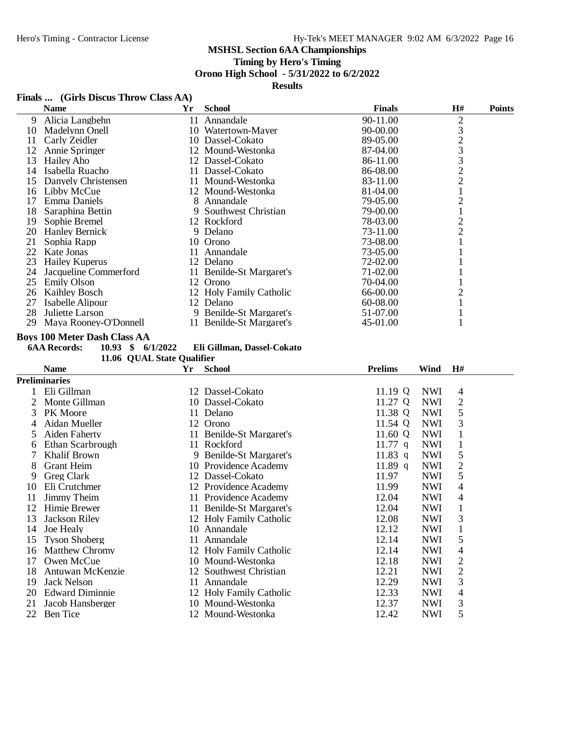**Timing by Hero's Timing**

**Orono High School - 5/31/2022 to 6/2/2022**

**Results**

## **Finals ... (Girls Discus Throw Class AA)**

|    | <b>Name</b>           | Yr | <b>School</b>            | <b>Finals</b> | <b>H#</b>      | <b>Points</b> |
|----|-----------------------|----|--------------------------|---------------|----------------|---------------|
| 9  | Alicia Langbehn       |    | 11 Annandale             | 90-11.00      | $\overline{2}$ |               |
| 10 | Madelynn Onell        |    | 10 Watertown-Mayer       | 90-00.00      | 3              |               |
| 11 | Carly Zeidler         |    | 10 Dassel-Cokato         | 89-05.00      | $\overline{2}$ |               |
| 12 | Annie Springer        |    | 12 Mound-Westonka        | 87-04.00      | 3              |               |
| 13 | Hailey Aho            |    | 12 Dassel-Cokato         | 86-11.00      | 3              |               |
| 14 | Isabella Ruacho       |    | 11 Dassel-Cokato         | 86-08.00      | $\overline{2}$ |               |
| 15 | Danyely Christensen   |    | 11 Mound-Westonka        | 83-11.00      | $\overline{2}$ |               |
| 16 | Libby McCue           |    | 12 Mound-Westonka        | 81-04.00      |                |               |
| 17 | Emma Daniels          |    | 8 Annandale              | 79-05.00      |                |               |
| 18 | Saraphina Bettin      |    | 9 Southwest Christian    | 79-00.00      |                |               |
| 19 | Sophie Bremel         |    | 12 Rockford              | 78-03.00      | 2              |               |
| 20 | <b>Hanley Bernick</b> |    | 9 Delano                 | 73-11.00      | 2              |               |
| 21 | Sophia Rapp           |    | 10 Orono                 | 73-08.00      |                |               |
| 22 | Kate Jonas            | 11 | Annandale                | 73-05.00      |                |               |
| 23 | Hailey Kuperus        |    | 12 Delano                | 72-02.00      |                |               |
| 24 | Jacqueline Commerford |    | 11 Benilde-St Margaret's | 71-02.00      |                |               |
| 25 | <b>Emily Olson</b>    |    | 12 Orono                 | 70-04.00      |                |               |
| 26 | Kaihley Bosch         |    | 12 Holy Family Catholic  | 66-00.00      |                |               |
| 27 | Isabelle Alipour      |    | 12 Delano                | 60-08.00      |                |               |
| 28 | Juliette Larson       |    | 9 Benilde-St Margaret's  | 51-07.00      |                |               |
| 29 | Maya Rooney-O'Donnell |    | 11 Benilde-St Margaret's | 45-01.00      |                |               |

# **Boys 100 Meter Dash Class AA**<br>6AA Records: 10.93 \$ 6/2



**11.06 QUAL State Qualifier**<br>**Vr.** School

|    | <b>Name</b>            | Yr | <b>School</b>            | <b>Prelims</b> | Wind       | H#             |  |
|----|------------------------|----|--------------------------|----------------|------------|----------------|--|
|    | Preliminaries          |    |                          |                |            |                |  |
|    | Eli Gillman            |    | 12 Dassel-Cokato         | $11.19 \Omega$ | <b>NWI</b> | 4              |  |
|    | Monte Gillman          |    | 10 Dassel-Cokato         | 11.27 Q        | <b>NWI</b> | $\overline{2}$ |  |
| 3  | PK Moore               | 11 | Delano                   | 11.38 Q        | <b>NWI</b> | 5              |  |
| 4  | Aidan Mueller          | 12 | Orono                    | 11.54 Q        | <b>NWI</b> | 3              |  |
| 5  | Aiden Faherty          |    | 11 Benilde-St Margaret's | 11.60 Q        | <b>NWI</b> |                |  |
| 6  | Ethan Scarbrough       |    | 11 Rockford              | $11.77$ q      | <b>NWI</b> |                |  |
|    | Khalif Brown           | 9. | Benilde-St Margaret's    | 11.83 q        | <b>NWI</b> | 5              |  |
| 8  | <b>Grant Heim</b>      |    | 10 Providence Academy    | 11.89 q        | <b>NWI</b> | $\overline{2}$ |  |
| 9  | Greg Clark             |    | 12 Dassel-Cokato         | 11.97          | <b>NWI</b> | 5              |  |
| 10 | Eli Crutchmer          |    | 12 Providence Academy    | 11.99          | <b>NWI</b> | 4              |  |
| 11 | Jimmy Theim            |    | 11 Providence Academy    | 12.04          | <b>NWI</b> | 4              |  |
| 12 | Himie Brewer           |    | 11 Benilde-St Margaret's | 12.04          | NWI        |                |  |
| 13 | Jackson Riley          |    | 12 Holy Family Catholic  | 12.08          | <b>NWI</b> | 3              |  |
| 14 | Joe Healy              | 10 | Annandale                | 12.12          | <b>NWI</b> |                |  |
| 15 | <b>Tyson Shoberg</b>   | 11 | Annandale                | 12.14          | <b>NWI</b> | 5              |  |
| 16 | <b>Matthew Chromy</b>  |    | 12 Holy Family Catholic  | 12.14          | <b>NWI</b> | 4              |  |
| 17 | Owen McCue             |    | 10 Mound-Westonka        | 12.18          | <b>NWI</b> | $\overline{2}$ |  |
| 18 | Antuwan McKenzie       |    | 12 Southwest Christian   | 12.21          | <b>NWI</b> | $\overline{2}$ |  |
| 19 | Jack Nelson            | 11 | Annandale                | 12.29          | NWI        | 3              |  |
| 20 | <b>Edward Diminnie</b> |    | 12 Holy Family Catholic  | 12.33          | <b>NWI</b> | 4              |  |
| 21 | Jacob Hansberger       |    | 10 Mound-Westonka        | 12.37          | <b>NWI</b> | 3              |  |
| 22 | Ben Tice               |    | 12 Mound-Westonka        | 12.42          | <b>NWI</b> | 5              |  |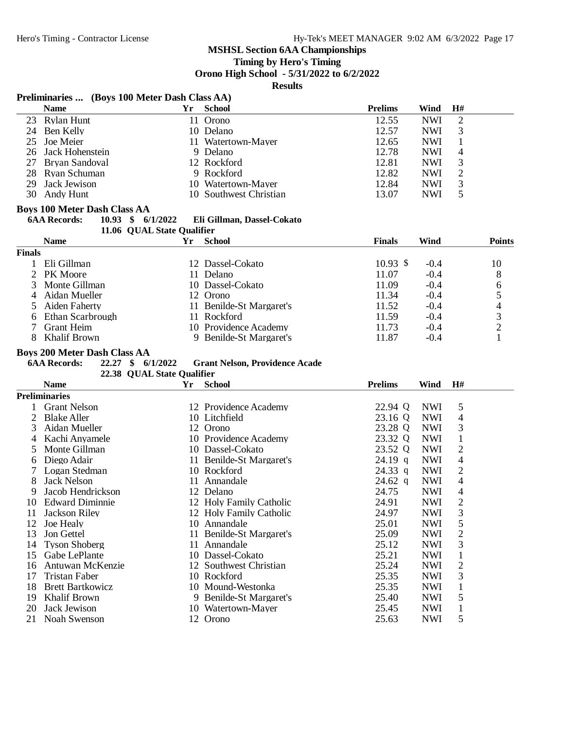**Timing by Hero's Timing**

**Orono High School - 5/31/2022 to 6/2/2022**

**Results**

## **Preliminaries ... (Boys 100 Meter Dash Class AA)**

|    | <b>Name</b>        | Үr | <b>School</b>          | <b>Prelims</b> | Wind       | H#             |  |
|----|--------------------|----|------------------------|----------------|------------|----------------|--|
|    | 23 Rylan Hunt      |    | 11 Orono               | 12.55          | <b>NWI</b> |                |  |
|    | 24 Ben Kelly       |    | 10 Delano              | 12.57          | <b>NWI</b> |                |  |
| 25 | Joe Meier          |    | 11 Watertown-Mayer     | 12.65          | <b>NWI</b> |                |  |
|    | 26 Jack Hohenstein |    | 9 Delano               | 12.78          | <b>NWI</b> | $\overline{4}$ |  |
|    | 27 Bryan Sandoval  |    | 12 Rockford            | 12.81          | <b>NWI</b> |                |  |
|    | 28 Ryan Schuman    |    | 9 Rockford             | 12.82          | <b>NWI</b> |                |  |
| 29 | Jack Jewison       |    | 10 Watertown-Mayer     | 12.84          | <b>NWI</b> |                |  |
| 30 | Andy Hunt          |    | 10 Southwest Christian | 13.07          | <b>NWI</b> |                |  |

# **Boys 100 Meter Dash Class AA**<br>6AA Records: 10.93 \$6/

| <b>6AA Records:</b> |  |  | $10.93 \quad $6/1/2022$ | Eli Gillman, Dassel-Cokato |
|---------------------|--|--|-------------------------|----------------------------|
|---------------------|--|--|-------------------------|----------------------------|

**11.06 QUAL State Qualifier**

|               | <b>Name</b>        | Yr | <b>School</b>            | <b>Finals</b>       | Wind   | <b>Points</b>     |
|---------------|--------------------|----|--------------------------|---------------------|--------|-------------------|
| <b>Finals</b> |                    |    |                          |                     |        |                   |
|               | Eli Gillman        |    | 12 Dassel-Cokato         | $10.93 \text{ }$ \$ | $-0.4$ | 10                |
|               | 2 PK Moore         |    | 11 Delano                | 11.07               | $-0.4$ | 8                 |
|               | 3 Monte Gillman    |    | 10 Dassel-Cokato         | 11.09               | $-0.4$ | 6                 |
|               | 4 Aidan Mueller    |    | 12 Orono                 | 11.34               | $-0.4$ |                   |
|               | 5 Aiden Faherty    |    | 11 Benilde-St Margaret's | 11.52               | $-0.4$ |                   |
|               | 6 Ethan Scarbrough |    | 11 Rockford              | 11.59               | $-0.4$ | $\mathbf{\Omega}$ |
|               | ' Grant Heim       |    | 10 Providence Academy    | 11.73               | $-0.4$ | ∍                 |
|               | Khalif Brown       |    | 9 Benilde-St Margaret's  | 11.87               | $-0.4$ |                   |

### **Boys 200 Meter Dash Class AA**

| <b>6AA Records:</b> |  |  | 22.27 \$ 6/1/2022 | <b>Grant Nelson, Providence Acade</b> |  |  |
|---------------------|--|--|-------------------|---------------------------------------|--|--|
|---------------------|--|--|-------------------|---------------------------------------|--|--|

**22.38 QUAL State Qualifier**

|    | <b>Name</b>             | Yr | <b>School</b>            | <b>Prelims</b> | <b>Wind</b> | H#             |
|----|-------------------------|----|--------------------------|----------------|-------------|----------------|
|    | Preliminaries           |    |                          |                |             |                |
|    | <b>Grant Nelson</b>     |    | 12 Providence Academy    | 22.94 Q        | <b>NWI</b>  | 5              |
|    | <b>Blake Aller</b>      |    | 10 Litchfield            | 23.16 Q        | <b>NWI</b>  | 4              |
| 3  | Aidan Mueller           |    | 12 Orono                 | 23.28 Q        | <b>NWI</b>  | 3              |
| 4  | Kachi Anyamele          |    | 10 Providence Academy    | 23.32 Q        | <b>NWI</b>  |                |
| 5  | Monte Gillman           |    | 10 Dassel-Cokato         | 23.52 Q        | <b>NWI</b>  | 2              |
| 6  | Diego Adair             |    | 11 Benilde-St Margaret's | $24.19$ q      | <b>NWI</b>  | 4              |
|    | Logan Stedman           |    | 10 Rockford              | 24.33 q        | <b>NWI</b>  | 2              |
| 8  | Jack Nelson             |    | 11 Annandale             | $24.62$ q      | <b>NWI</b>  | 4              |
| 9  | Jacob Hendrickson       |    | 12 Delano                | 24.75          | <b>NWI</b>  | 4              |
| 10 | <b>Edward Diminnie</b>  |    | 12 Holy Family Catholic  | 24.91          | <b>NWI</b>  | 2              |
| 11 | Jackson Riley           |    | 12 Holy Family Catholic  | 24.97          | <b>NWI</b>  | 3              |
| 12 | Joe Healy               |    | 10 Annandale             | 25.01          | <b>NWI</b>  | 5              |
| 13 | Jon Gettel              |    | 11 Benilde-St Margaret's | 25.09          | <b>NWI</b>  | 2              |
| 14 | <b>Tyson Shoberg</b>    |    | 11 Annandale             | 25.12          | <b>NWI</b>  | 3              |
| 15 | Gabe LePlante           |    | 10 Dassel-Cokato         | 25.21          | <b>NWI</b>  |                |
| 16 | Antuwan McKenzie        |    | 12 Southwest Christian   | 25.24          | <b>NWI</b>  | $\overline{2}$ |
| 17 | <b>Tristan Faber</b>    |    | 10 Rockford              | 25.35          | <b>NWI</b>  | 3              |
| 18 | <b>Brett Bartkowicz</b> |    | 10 Mound-Westonka        | 25.35          | <b>NWI</b>  |                |
| 19 | Khalif Brown            |    | 9 Benilde-St Margaret's  | 25.40          | <b>NWI</b>  | 5              |
| 20 | Jack Jewison            |    | 10 Watertown-Mayer       | 25.45          | <b>NWI</b>  |                |
| 21 | Noah Swenson            |    | 12 Orono                 | 25.63          | <b>NWI</b>  | 5              |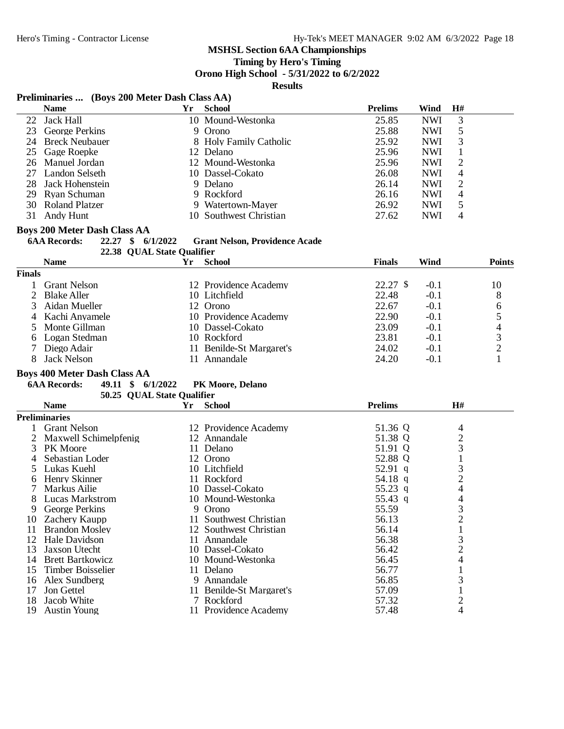## **Timing by Hero's Timing**

**Orono High School - 5/31/2022 to 6/2/2022**

**Results**

## **Preliminaries ... (Boys 200 Meter Dash Class AA)**

|    | <b>Name</b>           | Yr | <b>School</b>          | <b>Prelims</b> | Wind       | H#             |  |
|----|-----------------------|----|------------------------|----------------|------------|----------------|--|
| 22 | Jack Hall             |    | 10 Mound-Westonka      | 25.85          | <b>NWI</b> | 3              |  |
| 23 | George Perkins        |    | 9 Orono                | 25.88          | <b>NWI</b> |                |  |
| 24 | <b>Breck Neubauer</b> |    | 8 Holy Family Catholic | 25.92          | <b>NWI</b> |                |  |
| 25 | Gage Roepke           |    | 12 Delano              | 25.96          | <b>NWI</b> |                |  |
| 26 | Manuel Jordan         |    | 12 Mound-Westonka      | 25.96          | <b>NWI</b> | 2              |  |
| 27 | Landon Selseth        |    | 10 Dassel-Cokato       | 26.08          | <b>NWI</b> | 4              |  |
| 28 | Jack Hohenstein       |    | 9 Delano               | 26.14          | <b>NWI</b> | 2              |  |
|    | 29 Ryan Schuman       |    | 9 Rockford             | 26.16          | <b>NWI</b> | $\overline{4}$ |  |
| 30 | <b>Roland Platzer</b> |    | 9 Watertown-Mayer      | 26.92          | <b>NWI</b> |                |  |
| 31 | Andy Hunt             | 10 | Southwest Christian    | 27.62          | <b>NWI</b> | 4              |  |

### **Boys 200 Meter Dash Class AA**

| <b>6AA Records:</b> |  |  | 22.27 \$ 6/1/2022 | <b>Grant Nelson, Providence Acade</b> |  |  |
|---------------------|--|--|-------------------|---------------------------------------|--|--|
|---------------------|--|--|-------------------|---------------------------------------|--|--|

**22.38 QUAL State Qualifier**

|        | <b>Name</b>         | Yr | <b>School</b>            | <b>Finals</b> | Wind   | <b>Points</b> |
|--------|---------------------|----|--------------------------|---------------|--------|---------------|
| Finals |                     |    |                          |               |        |               |
|        | <b>Grant Nelson</b> |    | 12 Providence Academy    | 22.27 \$      | $-0.1$ | 10            |
|        | Blake Aller         |    | 10 Litchfield            | 22.48         | $-0.1$ | 8             |
|        | Aidan Mueller       |    | 12 Orono                 | 22.67         | $-0.1$ | 6             |
| 4      | Kachi Anyamele      |    | 10 Providence Academy    | 22.90         | $-0.1$ |               |
|        | 5 Monte Gillman     |    | 10 Dassel-Cokato         | 23.09         | $-0.1$ |               |
|        | Logan Stedman       |    | 10 Rockford              | 23.81         | $-0.1$ |               |
|        | Diego Adair         |    | 11 Benilde-St Margaret's | 24.02         | $-0.1$ |               |
|        | <b>Jack Nelson</b>  |    | Annandale                | 24.20         | $-0.1$ |               |

# **Boys 400 Meter Dash Class AA**<br>6AA Records: 49.11 \$6/

**6AA Records: 49.11 \$ 6/1/2022 PK Moore, Delano**

**50.25 QUAL State Qualifier**

|              | <b>Name</b>             | Yr  | <b>School</b>            | <b>Prelims</b> | H#             |  |
|--------------|-------------------------|-----|--------------------------|----------------|----------------|--|
|              | Preliminaries           |     |                          |                |                |  |
|              | <b>Grant Nelson</b>     |     | 12 Providence Academy    | 51.36 Q        | 4              |  |
|              | Maxwell Schimelpfenig   |     | 12 Annandale             | 51.38 Q        | $\overline{c}$ |  |
| 3            | PK Moore                | 11- | Delano                   | 51.91 Q        | 3              |  |
|              | Sebastian Loder         |     | 12 Orono                 | 52.88 Q        |                |  |
| 5            | Lukas Kuehl             |     | 10 Litchfield            | $52.91$ q      | 3              |  |
| <sub>6</sub> | Henry Skinner           |     | 11 Rockford              | 54.18 q        | $\overline{2}$ |  |
|              | Markus Ailie            |     | 10 Dassel-Cokato         | 55.23 q        | 4              |  |
| 8            | Lucas Markstrom         |     | 10 Mound-Westonka        | 55.43 q        | 4              |  |
| 9            | George Perkins          |     | 9 Orono                  | 55.59          | 3              |  |
| 10           | Zachery Kaupp           |     | 11 Southwest Christian   | 56.13          | $\overline{2}$ |  |
|              | <b>Brandon Mosley</b>   |     | 12 Southwest Christian   | 56.14          |                |  |
| 12           | Hale Davidson           | 11  | Annandale                | 56.38          | 3              |  |
| 13           | Jaxson Utecht           |     | 10 Dassel-Cokato         | 56.42          | $\overline{2}$ |  |
| 14           | <b>Brett Bartkowicz</b> |     | 10 Mound-Westonka        | 56.45          | 4              |  |
| 15           | Timber Boisselier       | 11- | Delano                   | 56.77          |                |  |
| 16           | Alex Sundberg           | 9   | Annandale                | 56.85          |                |  |
| 17           | Jon Gettel              |     | 11 Benilde-St Margaret's | 57.09          |                |  |
| 18           | Jacob White             |     | 7 Rockford               | 57.32          | 2              |  |
| 19           | <b>Austin Young</b>     |     | 11 Providence Academy    | 57.48          | 4              |  |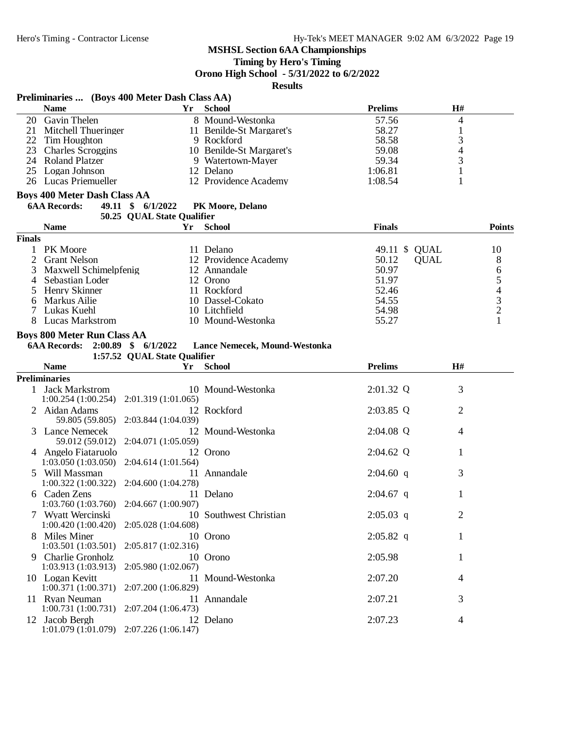# **Timing by Hero's Timing**

**Orono High School - 5/31/2022 to 6/2/2022**

### **Results**

## **Preliminaries ... (Boys 400 Meter Dash Class AA)**

|                | <b>Name</b>                                                   | Yr                                  | School                                   | <b>Prelims</b>       | H#             |                                                 |
|----------------|---------------------------------------------------------------|-------------------------------------|------------------------------------------|----------------------|----------------|-------------------------------------------------|
|                | 20 Gavin Thelen                                               |                                     | 8 Mound-Westonka                         | 57.56                | 4              |                                                 |
|                | 21 Mitchell Thueringer                                        |                                     | 11 Benilde-St Margaret's                 | 58.27                | 1              |                                                 |
|                | 22 Tim Houghton                                               |                                     | 9 Rockford                               | 58.58                | 3              |                                                 |
|                | 23 Charles Scroggins                                          |                                     | 10 Benilde-St Margaret's                 | 59.08                | 4              |                                                 |
|                | 24 Roland Platzer                                             |                                     | 9 Watertown-Mayer                        | 59.34                | 3              |                                                 |
|                | 25 Logan Johnson                                              |                                     | 12 Delano                                | 1:06.81              | 1              |                                                 |
|                | 26 Lucas Priemueller                                          |                                     | 12 Providence Academy                    | 1:08.54              | 1              |                                                 |
|                | <b>Boys 400 Meter Dash Class AA</b>                           |                                     |                                          |                      |                |                                                 |
|                | <b>6AA Records:</b>                                           | 49.11 \$ 6/1/2022                   | <b>PK Moore, Delano</b>                  |                      |                |                                                 |
|                |                                                               | 50.25 QUAL State Qualifier          |                                          |                      |                |                                                 |
|                | <b>Name</b>                                                   | Yr                                  | <b>School</b>                            | <b>Finals</b>        |                | <b>Points</b>                                   |
| <b>Finals</b>  |                                                               |                                     |                                          |                      |                |                                                 |
|                | 1 PK Moore                                                    |                                     | 11 Delano                                | 49.11 \$ QUAL        |                | 10                                              |
| $\overline{2}$ | <b>Grant Nelson</b>                                           |                                     | 12 Providence Academy                    | 50.12<br><b>QUAL</b> |                | 8                                               |
| 3              | Maxwell Schimelpfenig                                         |                                     | 12 Annandale                             | 50.97                |                | 6                                               |
|                | 4 Sebastian Loder                                             |                                     | 12 Orono                                 | 51.97                |                | $\begin{array}{c} 5 \\ 4 \\ 3 \\ 2 \end{array}$ |
|                | 5 Henry Skinner                                               |                                     | 11 Rockford                              | 52.46                |                |                                                 |
|                | 6 Markus Ailie                                                |                                     | 10 Dassel-Cokato                         | 54.55                |                |                                                 |
|                | 7 Lukas Kuehl                                                 |                                     | 10 Litchfield                            | 54.98                |                |                                                 |
|                | <b>Lucas Markstrom</b>                                        |                                     | 10 Mound-Westonka                        | 55.27                |                | 1                                               |
|                | <b>Boys 800 Meter Run Class AA</b>                            |                                     |                                          |                      |                |                                                 |
|                | <b>6AA Records:</b>                                           | $2:00.89$ \$ $6/1/2022$             | Lance Nemecek, Mound-Westonka            |                      |                |                                                 |
|                |                                                               | 1:57.52 QUAL State Qualifier        |                                          |                      |                |                                                 |
|                | <b>Name</b>                                                   | Yr                                  | <b>School</b>                            | <b>Prelims</b>       | H#             |                                                 |
|                | <b>Preliminaries</b>                                          |                                     |                                          |                      |                |                                                 |
|                | 1 Jack Markstrom<br>$1:00.254(1:00.254)$ $2:01.319(1:01.065)$ |                                     | 10 Mound-Westonka                        | 2:01.32 Q            | 3              |                                                 |
|                | 2 Aidan Adams                                                 | 59.805 (59.805) 2:03.844 (1:04.039) | 12 Rockford                              | 2:03.85 Q            | $\overline{2}$ |                                                 |
|                | 3 Lance Nemecek                                               |                                     | 12 Mound-Westonka                        | 2:04.08 Q            | 4              |                                                 |
|                |                                                               | 59.012 (59.012) 2:04.071 (1:05.059) |                                          |                      |                |                                                 |
|                | 4 Angelo Fiataruolo                                           |                                     | 12 Orono                                 | $2:04.62$ Q          | 1              |                                                 |
|                | $1:03.050(1:03.050)$ $2:04.614(1:01.564)$                     |                                     |                                          |                      |                |                                                 |
|                | 5 Will Massman<br>1:00.322 (1:00.322) 2:04.600 (1:04.278)     |                                     | 11 Annandale                             | $2:04.60$ q          | 3              |                                                 |
|                | 6 Caden Zens                                                  |                                     | 11 Delano                                | $2:04.67$ q          | 1              |                                                 |
|                | $1:03.760(1:03.760)$ $2:04.667(1:00.907)$                     |                                     |                                          |                      |                |                                                 |
|                |                                                               |                                     | 7 Wyatt Wercinski 10 Southwest Christian | $2:05.03$ q          | 2              |                                                 |
|                | 1:00.420(1:00.420)                                            | 2:05.028 (1:04.608)                 |                                          |                      |                |                                                 |
|                | 8 Miles Miner                                                 |                                     | 10 Orono                                 | $2:05.82$ q          | 1              |                                                 |
|                | 1:03.501(1:03.501)                                            | 2:05.817 (1:02.316)                 |                                          |                      |                |                                                 |
|                | 9 Charlie Gronholz                                            |                                     | 10 Orono                                 | 2:05.98              | 1              |                                                 |
|                | 1:03.913(1:03.913)                                            | 2:05.980 (1:02.067)                 |                                          |                      |                |                                                 |
|                |                                                               |                                     | 11 Mound-Westonka                        |                      |                |                                                 |
|                | 10 Logan Kevitt<br>1:00.371(1:00.371)                         | 2:07.200 (1:06.829)                 |                                          | 2:07.20              | 4              |                                                 |
|                |                                                               |                                     |                                          |                      |                |                                                 |
|                | 11 Ryan Neuman<br>1:00.731(1:00.731)                          | 2:07.204 (1:06.473)                 | 11 Annandale                             | 2:07.21              | 3              |                                                 |
|                | 12 Jacob Bergh                                                |                                     | 12 Delano                                | 2:07.23              | $\overline{4}$ |                                                 |
|                | $1:01.079(1:01.079)$ $2:07.226(1:06.147)$                     |                                     |                                          |                      |                |                                                 |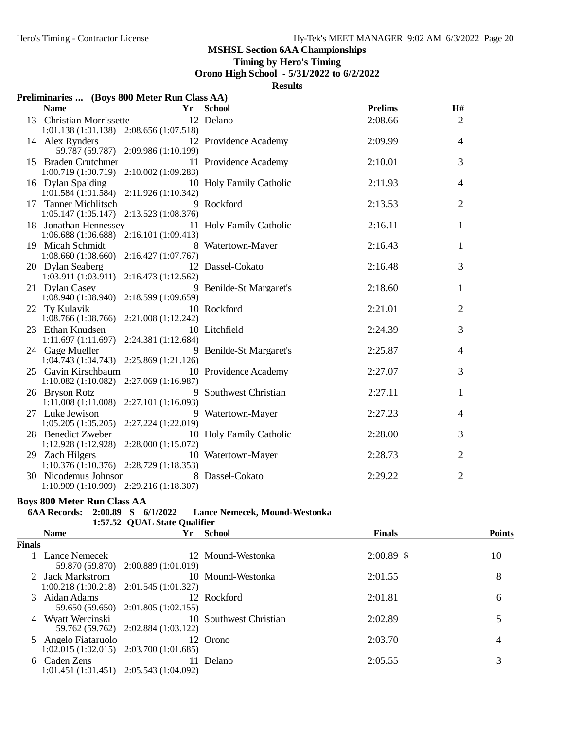**Timing by Hero's Timing**

**Orono High School - 5/31/2022 to 6/2/2022**

**Results**

## **Preliminaries ... (Boys 800 Meter Run Class AA)**

| <b>Name</b><br>Yr                                                     | <b>School</b>           | <b>Prelims</b> | $\mathbf{H}$ # |  |
|-----------------------------------------------------------------------|-------------------------|----------------|----------------|--|
| 13 Christian Morrissette<br>$1:01.138(1:01.138)$ $2:08.656(1:07.518)$ | 12 Delano               | 2:08.66        | $\overline{2}$ |  |
| 14 Alex Rynders<br>59.787 (59.787) 2:09.986 (1:10.199)                | 12 Providence Academy   | 2:09.99        | 4              |  |
| 15 Braden Crutchmer<br>$1:00.719(1:00.719)$ $2:10.002(1:09.283)$      | 11 Providence Academy   | 2:10.01        | 3              |  |
| 16 Dylan Spalding<br>$1:01.584(1:01.584)$ $2:11.926(1:10.342)$        | 10 Holy Family Catholic | 2:11.93        | 4              |  |
| 17 Tanner Michlitsch<br>$1:05.147(1:05.147)$ $2:13.523(1:08.376)$     | 9 Rockford              | 2:13.53        | 2              |  |
| 18 Jonathan Hennessey<br>$1:06.688(1:06.688)$ $2:16.101(1:09.413)$    | 11 Holy Family Catholic | 2:16.11        | 1              |  |
| 19 Micah Schmidt<br>$1:08.660(1:08.660)$ $2:16.427(1:07.767)$         | 8 Watertown-Mayer       | 2:16.43        | 1              |  |
| 20 Dylan Seaberg<br>$1:03.911(1:03.911)$ $2:16.473(1:12.562)$         | 12 Dassel-Cokato        | 2:16.48        | 3              |  |
| 21 Dylan Casey<br>1:08.940 (1:08.940) 2:18.599 (1:09.659)             | 9 Benilde-St Margaret's | 2:18.60        | $\mathbf{1}$   |  |
| 22 Ty Kulavik<br>$1:08.766(1:08.766)$ $2:21.008(1:12.242)$            | 10 Rockford             | 2:21.01        | $\overline{2}$ |  |
| 23 Ethan Knudsen<br>$1:11.697(1:11.697)$ $2:24.381(1:12.684)$         | 10 Litchfield           | 2:24.39        | 3              |  |
| 24 Gage Mueller<br>$1:04.743(1:04.743)$ $2:25.869(1:21.126)$          | 9 Benilde-St Margaret's | 2:25.87        | 4              |  |
| 25 Gavin Kirschbaum<br>1:10.082 (1:10.082) 2:27.069 (1:16.987)        | 10 Providence Academy   | 2:27.07        | 3              |  |
| 26 Bryson Rotz<br>$1:11.008(1:11.008)$ $2:27.101(1:16.093)$           | 9 Southwest Christian   | 2:27.11        | $\mathbf{1}$   |  |
| 27 Luke Jewison<br>$1:05.205(1:05.205)$ $2:27.224(1:22.019)$          | 9 Watertown-Mayer       | 2:27.23        | 4              |  |
| 28 Benedict Zweber<br>1:12.928 (1:12.928) 2:28.000 (1:15.072)         | 10 Holy Family Catholic | 2:28.00        | 3              |  |
| 29 Zach Hilgers<br>$1:10.376(1:10.376)$ $2:28.729(1:18.353)$          | 10 Watertown-Mayer      | 2:28.73        | $\overline{2}$ |  |
| 30 Nicodemus Johnson<br>1:10.909 (1:10.909) 2:29.216 (1:18.307)       | 8 Dassel-Cokato         | 2:29.22        | $\overline{2}$ |  |

## **Boys 800 Meter Run Class AA**

**6AA Records: 2:00.89 \$ 6/1/2022 Lance Nemecek, Mound-Westonka**

|  | 1:57.52 QUAL State Qualifier |
|--|------------------------------|
|--|------------------------------|

|               | <b>Name</b>         | Yr                                        | School                 | <b>Finals</b> | <b>Points</b> |
|---------------|---------------------|-------------------------------------------|------------------------|---------------|---------------|
| <b>Finals</b> |                     |                                           |                        |               |               |
|               | 1 Lance Nemecek     | 59.870 (59.870) 2:00.889 (1:01.019)       | 12 Mound-Westonka      | $2:00.89$ \$  | 10            |
|               | 2 Jack Markstrom    | $1:00.218(1:00.218)$ $2:01.545(1:01.327)$ | 10 Mound-Westonka      | 2:01.55       | 8             |
|               | 3 Aidan Adams       | 59.650 (59.650) 2:01.805 (1:02.155)       | 12 Rockford            | 2:01.81       | 6             |
|               | 4 Wyatt Wercinski   | 59.762 (59.762) 2:02.884 (1:03.122)       | 10 Southwest Christian | 2:02.89       |               |
|               | 5 Angelo Fiataruolo | $1:02.015(1:02.015)$ $2:03.700(1:01.685)$ | 12 Orono               | 2:03.70       | 4             |
|               | 6 Caden Zens        | $1:01.451(1:01.451)$ $2:05.543(1:04.092)$ | Delano                 | 2:05.55       |               |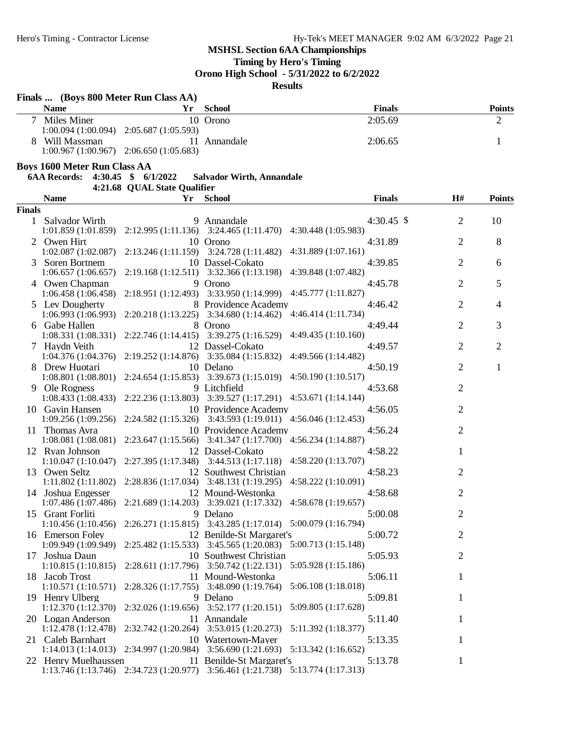**Timing by Hero's Timing**

**Orono High School - 5/31/2022 to 6/2/2022**

**Results**

| Finals  (Boys 800 Meter Run Class AA) |                                                  |               |               |               |  |
|---------------------------------------|--------------------------------------------------|---------------|---------------|---------------|--|
| <b>Name</b>                           |                                                  | <b>School</b> | <b>Finals</b> | <b>Points</b> |  |
| Miles Miner                           | $1:00.094(1:00.094)$ $2:05.687(1:05.593)$        | 10 Orono      | 2:05.69       |               |  |
| Will Massman                          | 11.<br>$1:00.967(1:00.967)$ $2:06.650(1:05.683)$ | Annandale     | 2:06.65       |               |  |

## **Boys 1600 Meter Run Class AA**

## **6AA Records: 4:30.45 \$ 6/1/2022 Salvador Wirth, Annandale**

**4:21.68 QUAL State Qualifier** 

|               | <b>Name</b>                              | Yr | <b>School</b>                                                                                               | <b>Finals</b> | H#             | <b>Points</b>  |
|---------------|------------------------------------------|----|-------------------------------------------------------------------------------------------------------------|---------------|----------------|----------------|
| <b>Finals</b> |                                          |    |                                                                                                             |               |                |                |
|               | 1 Salvador Wirth<br>1:01.859(1:01.859)   |    | 9 Annandale<br>2:12.995 (1:11.136) 3:24.465 (1:11.470) 4:30.448 (1:05.983)                                  | 4:30.45 \$    | $\overline{2}$ | 10             |
|               | Owen Hirt<br>1:02.087(1:02.087)          |    | 10 Orono<br>4:31.889 (1:07.161)<br>2:13.246 (1:11.159) 3:24.728 (1:11.482)                                  | 4:31.89       | $\overline{2}$ | 8              |
|               | 3 Soren Bortnem<br>1:06.657(1:06.657)    |    | 10 Dassel-Cokato<br>4:39.848 (1:07.482)<br>2:19.168 (1:12.511) 3:32.366 (1:13.198)                          | 4:39.85       | 2              | 6              |
|               | 4 Owen Chapman<br>1:06.458(1:06.458)     |    | 9 Orono<br>4:45.777 (1:11.827)<br>2:18.951 (1:12.493) 3:33.950 (1:14.999)                                   | 4:45.78       | 2              | 5              |
|               | 5 Lev Dougherty<br>1:06.993(1:06.993)    |    | 8 Providence Academy<br>4:46.414 (1:11.734)<br>2:20.218 (1:13.225) 3:34.680 (1:14.462)                      | 4:46.42       | 2              | 4              |
|               | 6 Gabe Hallen<br>1:08.331(1:08.331)      |    | 8 Orono<br>2:22.746 (1:14.415) 3:39.275 (1:16.529)<br>4:49.435 (1:10.160)                                   | 4:49.44       | 2              | 3              |
|               | 7 Haydn Veith<br>1:04.376 (1:04.376)     |    | 12 Dassel-Cokato<br>$2:19.252(1:14.876)$ $3:35.084(1:15.832)$<br>4:49.566 (1:14.482)                        | 4:49.57       | $\overline{2}$ | $\overline{2}$ |
|               | 8 Drew Huotari<br>1:08.801 (1:08.801)    |    | 10 Delano<br>2:24.654 (1:15.853) 3:39.673 (1:15.019) 4:50.190 (1:10.517)                                    | 4:50.19       | 2              | $\mathbf{1}$   |
|               | 9 Ole Rogness<br>1:08.433(1:08.433)      |    | 9 Litchfield<br>2:22.236 (1:13.803) 3:39.527 (1:17.291) 4:53.671 (1:14.144)                                 | 4:53.68       | $\overline{2}$ |                |
|               | 10 Gavin Hansen<br>1:09.256(1:09.256)    |    | 10 Providence Academy<br>2:24.582 (1:15.326) 3:43.593 (1:19.011) 4:56.046 (1:12.453)                        | 4:56.05       | $\overline{2}$ |                |
|               | 11 Thomas Avra<br>1:08.081(1:08.081)     |    | 10 Providence Academy<br>4:56.234(1:14.887)<br>$2:23.647(1:15.566)$ $3:41.347(1:17.700)$                    | 4:56.24       | $\overline{2}$ |                |
|               | 12 Ryan Johnson<br>1:10.047(1:10.047)    |    | 12 Dassel-Cokato<br>4:58.220 (1:13.707)<br>$2:27.395(1:17.348)$ $3:44.513(1:17.118)$                        | 4:58.22       | $\mathbf{1}$   |                |
|               | 13 Owen Seltz<br>1:11.802(1:11.802)      |    | 12 Southwest Christian<br>4:58.222 (1:10.091)<br>$2:28.836(1:17.034)$ 3:48.131 (1:19.295)                   | 4:58.23       | $\overline{2}$ |                |
|               | 14 Joshua Engesser<br>1:07.486(1:07.486) |    | 12 Mound-Westonka<br>4:58.678 (1:19.657)<br>2:21.689 (1:14.203) 3:39.021 (1:17.332)                         | 4:58.68       | 2              |                |
|               | 15 Grant Forliti<br>1:10.456(1:10.456)   |    | 9 Delano<br>2:26.271 (1:15.815) 3:43.285 (1:17.014) 5:00.079 (1:16.794)                                     | 5:00.08       | $\overline{2}$ |                |
|               | 16 Emerson Foley<br>1:09.949(1:09.949)   |    | 12 Benilde-St Margaret's<br>2:25.482 (1:15.533) 3:45.565 (1:20.083) 5:00.713 (1:15.148)                     | 5:00.72       | $\overline{2}$ |                |
|               | 17 Joshua Daun<br>1:10.815(1:10.815)     |    | 10 Southwest Christian<br>2:28.611 (1:17.796) 3:50.742 (1:22.131) 5:05.928 (1:15.186)                       | 5:05.93       | $\overline{2}$ |                |
|               | 18 Jacob Trost<br>1:10.571(1:10.571)     |    | 11 Mound-Westonka<br>2:28.326 (1:17.755) 3:48.090 (1:19.764) 5:06.108 (1:18.018)                            | 5:06.11       | $\mathbf{1}$   |                |
|               | 19 Henry Ulberg<br>1:12.370(1:12.370)    |    | 9 Delano<br>2:32.026 (1:19.656) 3:52.177 (1:20.151) 5:09.805 (1:17.628)                                     | 5:09.81       | $\mathbf{1}$   |                |
|               | 20 Logan Anderson                        |    | 11 Annandale<br>5:11.392 (1:18.377)<br>$1:12.478(1:12.478)$ $2:32.742(1:20.264)$ $3:53.015(1:20.273)$       | 5:11.40       | 1              |                |
|               | 21 Caleb Barnhart                        |    | 10 Watertown-Mayer<br>1:14.013 (1:14.013) 2:34.997 (1:20.984) 3:56.690 (1:21.693) 5:13.342 (1:16.652)       | 5:13.35       | 1              |                |
|               | 22 Henry Muelhaussen                     |    | 11 Benilde-St Margaret's<br>1:13.746 (1:13.746) 2:34.723 (1:20.977) 3:56.461 (1:21.738) 5:13.774 (1:17.313) | 5:13.78       | 1              |                |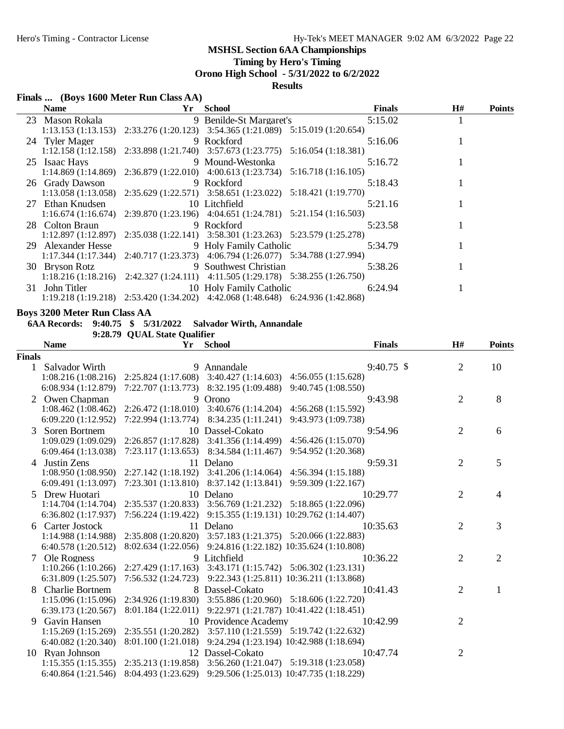**Timing by Hero's Timing**

**Orono High School - 5/31/2022 to 6/2/2022**

**Results**

## **Finals ... (Boys 1600 Meter Run Class AA)**

| <b>Name</b>        | Yr School                                                                                       | <b>Finals</b> | H# | <b>Points</b> |
|--------------------|-------------------------------------------------------------------------------------------------|---------------|----|---------------|
| 23 Mason Rokala    | 9 Benilde-St Margaret's                                                                         | 5:15.02       |    |               |
|                    | $1:13.153$ $(1:13.153)$ $2:33.276$ $(1:20.123)$ $3:54.365$ $(1:21.089)$ $5:15.019$ $(1:20.654)$ |               |    |               |
| 24 Tyler Mager     | 9 Rockford                                                                                      | 5:16.06       |    |               |
|                    | $1:12.158$ (1:12.158) $2:33.898$ (1:21.740) $3:57.673$ (1:23.775) $5:16.054$ (1:18.381)         |               |    |               |
| 25 Isaac Havs      | 9 Mound-Westonka                                                                                | 5:16.72       |    |               |
|                    | $1:14.869$ $(1:14.869)$ $2:36.879$ $(1:22.010)$ $4:00.613$ $(1:23.734)$ $5:16.718$ $(1:16.105)$ |               |    |               |
| 26 Grady Dawson    | 9 Rockford                                                                                      | 5:18.43       |    |               |
|                    | $1:13.058(1:13.058)$ $2:35.629(1:22.571)$ $3:58.651(1:23.022)$ $5:18.421(1:19.770)$             |               |    |               |
| 27 Ethan Knudsen   | 10 Litchfield                                                                                   | 5:21.16       |    |               |
|                    | $1:16.674(1:16.674)$ $2:39.870(1:23.196)$ $4:04.651(1:24.781)$ $5:21.154(1:16.503)$             |               |    |               |
| 28 Colton Braun    | 9 Rockford                                                                                      | 5:23.58       |    |               |
|                    | $1:12.897(1:12.897)$ $2:35.038(1:22.141)$ $3:58.301(1:23.263)$ $5:23.579(1:25.278)$             |               |    |               |
| 29 Alexander Hesse | 9 Holy Family Catholic                                                                          | 5:34.79       |    |               |
|                    | $1:17.344(1:17.344)$ $2:40.717(1:23.373)$ $4:06.794(1:26.077)$ $5:34.788(1:27.994)$             |               |    |               |
| 30 Bryson Rotz     | 9 Southwest Christian                                                                           | 5:38.26       |    |               |
|                    | $1:18.216(1:18.216)$ $2:42.327(1:24.111)$ $4:11.505(1:29.178)$ $5:38.255(1:26.750)$             |               |    |               |
| 31 John Titler     | 10 Holy Family Catholic                                                                         | 6:24.94       |    |               |
|                    | $1:19.218(1:19.218)$ $2:53.420(1:34.202)$ $4:42.068(1:48.648)$ $6:24.936(1:42.868)$             |               |    |               |

### **Boys 3200 Meter Run Class AA**

|  |  |  |  |  | <b>6AA Records:</b> 9:40.75 \$ 5/31/2022 Salvador Wirth, Annandale |
|--|--|--|--|--|--------------------------------------------------------------------|
|--|--|--|--|--|--------------------------------------------------------------------|

**9:28.79 QUAL State Qualifier**

|               | <b>Name</b>            | Yr                  | <b>School</b>                                               |                                          | <b>Finals</b> | H#             | <b>Points</b>  |
|---------------|------------------------|---------------------|-------------------------------------------------------------|------------------------------------------|---------------|----------------|----------------|
| <b>Finals</b> |                        |                     |                                                             |                                          |               |                |                |
| $\mathbf{1}$  | Salvador Wirth         |                     | 9 Annandale                                                 |                                          | 9:40.75 \$    | 2              | 10             |
|               | 1:08.216(1:08.216)     | 2:25.824(1:17.608)  | 3:40.427(1:14.603)                                          | 4:56.055(1:15.628)                       |               |                |                |
|               | 6:08.934 (1:12.879)    | 7:22.707 (1:13.773) | 8:32.195 (1:09.488)                                         | 9:40.745 (1:08.550)                      |               |                |                |
|               | 2 Owen Chapman         | 9                   | Orono                                                       |                                          | 9:43.98       | $\overline{2}$ | 8              |
|               | 1:08.462(1:08.462)     | 2:26.472(1:18.010)  | 3:40.676 (1:14.204)                                         | 4:56.268 (1:15.592)                      |               |                |                |
|               | 6:09.220 (1:12.952)    | 7:22.994 (1:13.774) | 8:34.235 (1:11.241)                                         | 9:43.973 (1:09.738)                      |               |                |                |
| 3             | Soren Bortnem          |                     | 10 Dassel-Cokato                                            |                                          | 9:54.96       | $\mathbf{2}$   | 6              |
|               | 1:09.029 (1:09.029)    | 2:26.857 (1:17.828) | 3:41.356 (1:14.499)                                         | 4:56.426 (1:15.070)                      |               |                |                |
|               | 6:09.464 (1:13.038)    | 7:23.117(1:13.653)  | 8:34.584 (1:11.467)                                         | 9:54.952 (1:20.368)                      |               |                |                |
|               | 4 Justin Zens          | 11                  | Delano                                                      |                                          | 9:59.31       | $\overline{2}$ | 5              |
|               | 1:08.950 (1:08.950)    | 2:27.142(1:18.192)  | 3:41.206(1:14.064)                                          | 4:56.394 (1:15.188)                      |               |                |                |
|               | 6:09.491 (1:13.097)    | 7:23.301 (1:13.810) | 8:37.142 (1:13.841)                                         | 9:59.309 (1:22.167)                      |               |                |                |
| 5             | Drew Huotari           |                     | 10 Delano                                                   |                                          | 10:29.77      | $\overline{2}$ | 4              |
|               | 1:14.704(1:14.704)     | 2:35.537(1:20.833)  |                                                             | 3:56.769 (1:21.232) 5:18.865 (1:22.096)  |               |                |                |
|               | 6:36.802 (1:17.937)    | 7:56.224 (1:19.422) |                                                             | 9:15.355 (1:19.131) 10:29.762 (1:14.407) |               |                |                |
|               | 6 Carter Jostock       |                     | 11 Delano                                                   |                                          | 10:35.63      | $\overline{2}$ | 3              |
|               | 1:14.988 (1:14.988)    |                     | 2:35.808 (1:20.820) 3:57.183 (1:21.375) 5:20.066 (1:22.883) |                                          |               |                |                |
|               | 6:40.578 (1:20.512)    | 8:02.634 (1:22.056) |                                                             | 9:24.816 (1:22.182) 10:35.624 (1:10.808) |               |                |                |
| 7             | Ole Rogness            |                     | 9 Litchfield                                                |                                          | 10:36.22      | $\overline{2}$ | $\overline{2}$ |
|               | 1:10.266(1:10.266)     | 2:27.429(1:17.163)  |                                                             | 3:43.171 (1:15.742) 5:06.302 (1:23.131)  |               |                |                |
|               | 6:31.809 (1:25.507)    | 7:56.532 (1:24.723) |                                                             | 9:22.343 (1:25.811) 10:36.211 (1:13.868) |               |                |                |
| 8             | <b>Charlie Bortnem</b> |                     | 8 Dassel-Cokato                                             |                                          | 10:41.43      | $\overline{2}$ | 1              |
|               | 1:15.096(1:15.096)     | 2:34.926(1:19.830)  |                                                             | 3:55.886 (1:20.960) 5:18.606 (1:22.720)  |               |                |                |
|               | 6:39.173 (1:20.567)    | 8:01.184 (1:22.011) |                                                             | 9:22.971 (1:21.787) 10:41.422 (1:18.451) |               |                |                |
| 9             | Gavin Hansen           |                     | 10 Providence Academy                                       |                                          | 10:42.99      | $\overline{2}$ |                |
|               | 1:15.269(1:15.269)     | 2:35.551 (1:20.282) |                                                             | 3:57.110 (1:21.559) 5:19.742 (1:22.632)  |               |                |                |
|               | 6:40.082(1:20.340)     | 8:01.100 (1:21.018) |                                                             | 9:24.294 (1:23.194) 10:42.988 (1:18.694) |               |                |                |
|               | 10 Ryan Johnson        |                     | 12 Dassel-Cokato                                            |                                          | 10:47.74      | $\mathfrak{2}$ |                |
|               | 1:15.355(1:15.355)     | 2:35.213(1:19.858)  |                                                             | 3:56.260 (1:21.047) 5:19.318 (1:23.058)  |               |                |                |
|               | 6:40.864 (1:21.546)    | 8:04.493 (1:23.629) |                                                             | 9:29.506 (1:25.013) 10:47.735 (1:18.229) |               |                |                |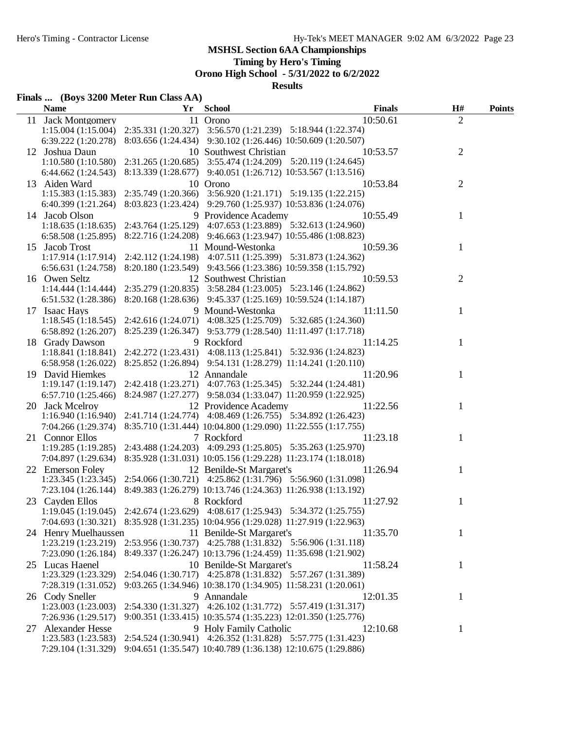**Timing by Hero's Timing**

**Orono High School - 5/31/2022 to 6/2/2022**

**Results**

|    | Finals  (Boys 3200 Meter Run Class AA) |    |                                                                                   |                |               |  |
|----|----------------------------------------|----|-----------------------------------------------------------------------------------|----------------|---------------|--|
|    | <b>Name</b>                            | Yr | <b>School</b><br><b>Finals</b>                                                    | H#             | <b>Points</b> |  |
| 11 | <b>Jack Montgomery</b>                 | 11 | 10:50.61<br>Orono                                                                 | $\overline{2}$ |               |  |
|    | 1:15.004(1:15.004)                     |    | 2:35.331 (1:20.327) 3:56.570 (1:21.239) 5:18.944 (1:22.374)                       |                |               |  |
|    | 6:39.222(1:20.278)                     |    | 8:03.656 (1:24.434) 9:30.102 (1:26.446) 10:50.609 (1:20.507)                      |                |               |  |
|    | 12 Joshua Daun                         |    | 10 Southwest Christian<br>10:53.57                                                | $\mathfrak{2}$ |               |  |
|    |                                        |    | 1:10.580 (1:10.580) 2:31.265 (1:20.685) 3:55.474 (1:24.209) 5:20.119 (1:24.645)   |                |               |  |
|    | 6:44.662(1:24.543)                     |    | 8:13.339 (1:28.677) 9:40.051 (1:26.712) 10:53.567 (1:13.516)                      |                |               |  |
|    | 13 Aiden Ward                          |    | 10 Orono<br>10:53.84                                                              | $\overline{2}$ |               |  |
|    | 1:15.383(1:15.383)                     |    | 2:35.749 (1:20.366) 3:56.920 (1:21.171) 5:19.135 (1:22.215)                       |                |               |  |
|    |                                        |    | 6:40.399 (1:21.264) 8:03.823 (1:23.424) 9:29.760 (1:25.937) 10:53.836 (1:24.076)  |                |               |  |
|    | 14 Jacob Olson                         |    | 9 Providence Academy<br>10:55.49                                                  | $\mathbf{1}$   |               |  |
|    |                                        |    | 1:18.635 (1:18.635) 2:43.764 (1:25.129) 4:07.653 (1:23.889) 5:32.613 (1:24.960)   |                |               |  |
|    |                                        |    | 6:58.508 (1:25.895) 8:22.716 (1:24.208) 9:46.663 (1:23.947) 10:55.486 (1:08.823)  |                |               |  |
|    | 15 Jacob Trost                         |    | 11 Mound-Westonka<br>10:59.36                                                     | $\mathbf{1}$   |               |  |
|    | 1:17.914(1:17.914)                     |    | 2:42.112 (1:24.198) 4:07.511 (1:25.399) 5:31.873 (1:24.362)                       |                |               |  |
|    |                                        |    |                                                                                   |                |               |  |
|    |                                        |    | 6:56.631 (1:24.758) 8:20.180 (1:23.549) 9:43.566 (1:23.386) 10:59.358 (1:15.792)  |                |               |  |
|    | 16 Owen Seltz<br>1:14.444(1:14.444)    |    | 12 Southwest Christian<br>10:59.53                                                | $\mathbf{2}$   |               |  |
|    |                                        |    | 2:35.279 (1:20.835) 3:58.284 (1:23.005) 5:23.146 (1:24.862)                       |                |               |  |
|    | 6:51.532(1:28.386)                     |    | 8:20.168 (1:28.636) 9:45.337 (1:25.169) 10:59.524 (1:14.187)                      |                |               |  |
|    | 17 Isaac Hays                          |    | 9 Mound-Westonka<br>11:11.50                                                      | $\mathbf{1}$   |               |  |
|    | 1:18.545(1:18.545)                     |    | 2:42.616 (1:24.071) 4:08.325 (1:25.709) 5:32.685 (1:24.360)                       |                |               |  |
|    | 6:58.892(1:26.207)                     |    | 8:25.239 (1:26.347) 9:53.779 (1:28.540) 11:11.497 (1:17.718)                      |                |               |  |
|    | 18 Grady Dawson                        |    | 9 Rockford<br>11:14.25                                                            | 1              |               |  |
|    | 1:18.841(1:18.841)                     |    | 2:42.272 (1:23.431) 4:08.113 (1:25.841) 5:32.936 (1:24.823)                       |                |               |  |
|    | 6:58.958(1:26.022)                     |    | 8:25.852 (1:26.894) 9:54.131 (1:28.279) 11:14.241 (1:20.110)                      |                |               |  |
|    | 19 David Hiemkes                       |    | 12 Annandale<br>11:20.96                                                          | 1              |               |  |
|    | 1:19.147(1:19.147)                     |    | 2:42.418 (1:23.271) 4:07.763 (1:25.345) 5:32.244 (1:24.481)                       |                |               |  |
|    | 6:57.710 (1:25.466)                    |    | 8:24.987 (1:27.277) 9:58.034 (1:33.047) 11:20.959 (1:22.925)                      |                |               |  |
|    | 20 Jack Mcelroy                        |    | 12 Providence Academy<br>11:22.56                                                 | 1              |               |  |
|    | 1:16.940(1:16.940)                     |    | 2:41.714 (1:24.774) 4:08.469 (1:26.755) 5:34.892 (1:26.423)                       |                |               |  |
|    | 7:04.266 (1:29.374)                    |    | 8:35.710 (1:31.444) 10:04.800 (1:29.090) 11:22.555 (1:17.755)                     |                |               |  |
|    | 21 Connor Ellos                        |    | 7 Rockford<br>11:23.18                                                            | 1              |               |  |
|    | 1:19.285(1:19.285)                     |    | 2:43.488 (1:24.203) 4:09.293 (1:25.805) 5:35.263 (1:25.970)                       |                |               |  |
|    | 7:04.897 (1:29.634)                    |    | 8:35.928 (1:31.031) 10:05.156 (1:29.228) 11:23.174 (1:18.018)                     |                |               |  |
|    | 22 Emerson Foley                       |    | 12 Benilde-St Margaret's<br>11:26.94                                              | $\mathbf{1}$   |               |  |
|    |                                        |    | 1:23.345 (1:23.345) 2:54.066 (1:30.721) 4:25.862 (1:31.796) 5:56.960 (1:31.098)   |                |               |  |
|    |                                        |    | 7:23.104 (1:26.144) 8:49.383 (1:26.279) 10:13.746 (1:24.363) 11:26.938 (1:13.192) |                |               |  |
|    | 23 Cayden Ellos                        |    | 8 Rockford<br>11:27.92                                                            | 1              |               |  |
|    |                                        |    | 1:19.045 (1:19.045) 2:42.674 (1:23.629) 4:08.617 (1:25.943) 5:34.372 (1:25.755)   |                |               |  |
|    |                                        |    | 7:04.693 (1:30.321) 8:35.928 (1:31.235) 10:04.956 (1:29.028) 11:27.919 (1:22.963) |                |               |  |
|    | 24 Henry Muelhaussen                   |    | 11 Benilde-St Margaret's<br>11:35.70                                              | 1              |               |  |
|    | 1:23.219(1:23.219)                     |    | 2:53.956 (1:30.737) 4:25.788 (1:31.832) 5:56.906 (1:31.118)                       |                |               |  |
|    | 7:23.090 (1:26.184)                    |    | 8:49.337 (1:26.247) 10:13.796 (1:24.459) 11:35.698 (1:21.902)                     |                |               |  |
|    | 25 Lucas Haenel                        |    | 10 Benilde-St Margaret's<br>11:58.24                                              | 1              |               |  |
|    | 1:23.329 (1:23.329)                    |    | 2:54.046 (1:30.717) 4:25.878 (1:31.832) 5:57.267 (1:31.389)                       |                |               |  |
|    |                                        |    | 9:03.265 (1:34.946) 10:38.170 (1:34.905) 11:58.231 (1:20.061)                     |                |               |  |
|    | 7:28.319 (1:31.052)                    |    |                                                                                   |                |               |  |
|    | 26 Cody Sneller                        |    | 9 Annandale<br>12:01.35                                                           | 1              |               |  |
|    | 1:23.003(1:23.003)                     |    | 2:54.330 (1:31.327) 4:26.102 (1:31.772) 5:57.419 (1:31.317)                       |                |               |  |
|    | 7:26.936 (1:29.517)                    |    | 9:00.351 (1:33.415) 10:35.574 (1:35.223) 12:01.350 (1:25.776)                     |                |               |  |
| 27 | <b>Alexander Hesse</b>                 |    | 9 Holy Family Catholic<br>12:10.68                                                | 1              |               |  |
|    | 1:23.583 (1:23.583)                    |    | 2:54.524 (1:30.941) 4:26.352 (1:31.828) 5:57.775 (1:31.423)                       |                |               |  |
|    | 7:29.104 (1:31.329)                    |    | 9:04.651 (1:35.547) 10:40.789 (1:36.138) 12:10.675 (1:29.886)                     |                |               |  |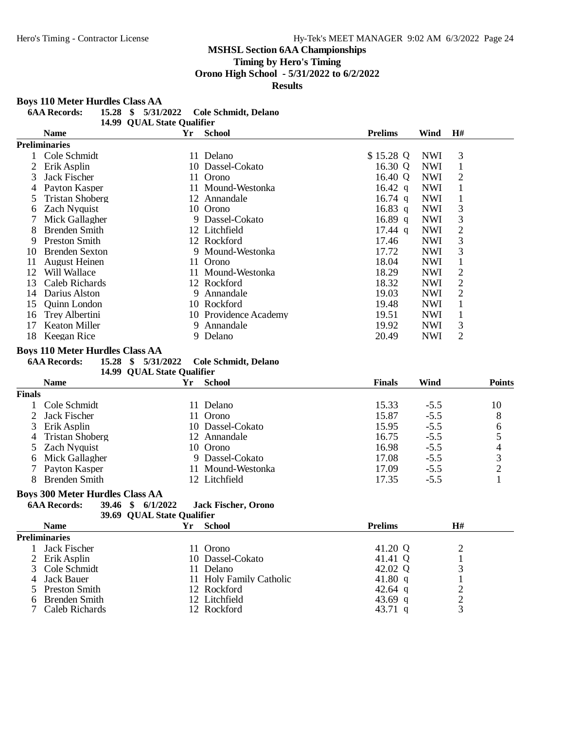**Timing by Hero's Timing**

**Orono High School - 5/31/2022 to 6/2/2022**

**Results**

**Boys 110 Meter Hurdles Class AA**

| <b>6AA Records:</b> |  |                            | 15.28 \$ 5/31/2022 Cole Schmidt, Delano |
|---------------------|--|----------------------------|-----------------------------------------|
|                     |  | 14.99 OUAL State Qualifier |                                         |

|    | Name                  | Yr  | <b>School</b>         | <b>Prelims</b>    | Wind       | H#             |  |
|----|-----------------------|-----|-----------------------|-------------------|------------|----------------|--|
|    | <b>Preliminaries</b>  |     |                       |                   |            |                |  |
|    | Cole Schmidt          |     | 11 Delano             | \$15.28 Q         | <b>NWI</b> | 3              |  |
|    | Erik Asplin           |     | 10 Dassel-Cokato      | 16.30 Q           | <b>NWI</b> |                |  |
| 3  | Jack Fischer          |     | 11 Orono              | 16.40 Q           | <b>NWI</b> | $\overline{2}$ |  |
|    | Payton Kasper         | 11. | Mound-Westonka        | $16.42 \text{ q}$ | <b>NWI</b> |                |  |
|    | Tristan Shoberg       |     | 12 Annandale          | 16.74 $q$         | <b>NWI</b> |                |  |
| 6  | Zach Nyquist          |     | 10 Orono              | 16.83 q           | <b>NWI</b> | 3              |  |
|    | Mick Gallagher        |     | 9 Dassel-Cokato       | $16.89$ q         | <b>NWI</b> | 3              |  |
| 8  | Brenden Smith         |     | 12 Litchfield         | $17.44 \text{ q}$ | <b>NWI</b> | 2              |  |
| 9  | <b>Preston Smith</b>  |     | 12 Rockford           | 17.46             | <b>NWI</b> | 3              |  |
| 10 | <b>Brenden Sexton</b> |     | 9 Mound-Westonka      | 17.72             | NWI        | 3              |  |
| 11 | <b>August Heinen</b>  | 11. | Orono                 | 18.04             | <b>NWI</b> |                |  |
| 12 | Will Wallace          | 11. | Mound-Westonka        | 18.29             | <b>NWI</b> | 2              |  |
| 13 | Caleb Richards        |     | 12 Rockford           | 18.32             | <b>NWI</b> | 2              |  |
| 14 | Darius Alston         | 9   | Annandale             | 19.03             | <b>NWI</b> | 2              |  |
| 15 | Quinn London          |     | 10 Rockford           | 19.48             | <b>NWI</b> |                |  |
| 16 | Trey Albertini        |     | 10 Providence Academy | 19.51             | <b>NWI</b> |                |  |
| 17 | Keaton Miller         | 9   | Annandale             | 19.92             | <b>NWI</b> | 3              |  |
| 18 | Keegan Rice           | 9   | Delano                | 20.49             | <b>NWI</b> | 2              |  |

**Boys 110 Meter Hurdles Class AA**<br>6AA Records: **15.28** \$ 5/31/

**6AA Records: 15.28 \$ 5/31/2022 Cole Schmidt, Delano**

**14.99 QUAL State Qualifier**

|               | <b>Name</b>          | Yr | <b>School</b>     | <b>Finals</b> | Wind   | <b>Points</b> |
|---------------|----------------------|----|-------------------|---------------|--------|---------------|
| <b>Finals</b> |                      |    |                   |               |        |               |
|               | Cole Schmidt         |    | 11 Delano         | 15.33         | $-5.5$ | 10            |
|               | 2 Jack Fischer       |    | 11 Orono          | 15.87         | $-5.5$ | 8             |
|               | 3 Erik Asplin        |    | 10 Dassel-Cokato  | 15.95         | $-5.5$ | 6             |
|               | 4 Tristan Shoberg    |    | 12 Annandale      | 16.75         | $-5.5$ |               |
|               | 5 Zach Nyquist       |    | 10 Orono          | 16.98         | $-5.5$ |               |
|               | 6 Mick Gallagher     |    | 9 Dassel-Cokato   | 17.08         | $-5.5$ |               |
|               | Payton Kasper        |    | 11 Mound-Westonka | 17.09         | $-5.5$ |               |
|               | <b>Brenden Smith</b> |    | 12 Litchfield     | 17.35         | $-5.5$ |               |

# **Boys 300 Meter Hurdles Class AA**<br>6AA Records: **39.46** \$ 6/1/20

**6AA Records: 39.46 \$ 6/1/2022 Jack Fischer, Orono**

|    | 39.69 QUAL State Qualifier |    |                         |                |    |  |
|----|----------------------------|----|-------------------------|----------------|----|--|
|    | <b>Name</b>                | Yr | School                  | <b>Prelims</b> | H# |  |
|    | Preliminaries              |    |                         |                |    |  |
|    | Jack Fischer               |    | 11 Orono                | 41.20 Q        |    |  |
|    | 2 Erik Asplin              |    | 10 Dassel-Cokato        | 41.41 Q        |    |  |
|    | 3 Cole Schmidt             |    | 11 Delano               | 42.02 Q        |    |  |
| 4  | Jack Bauer                 |    | 11 Holy Family Catholic | 41.80 q        |    |  |
|    | 5 Preston Smith            |    | 12 Rockford             | 42.64 q        |    |  |
| 6. | Brenden Smith              |    | 12 Litchfield           | 43.69 q        |    |  |
|    | 7 Caleb Richards           |    | 12 Rockford             | 43.71 q        |    |  |
|    |                            |    |                         |                |    |  |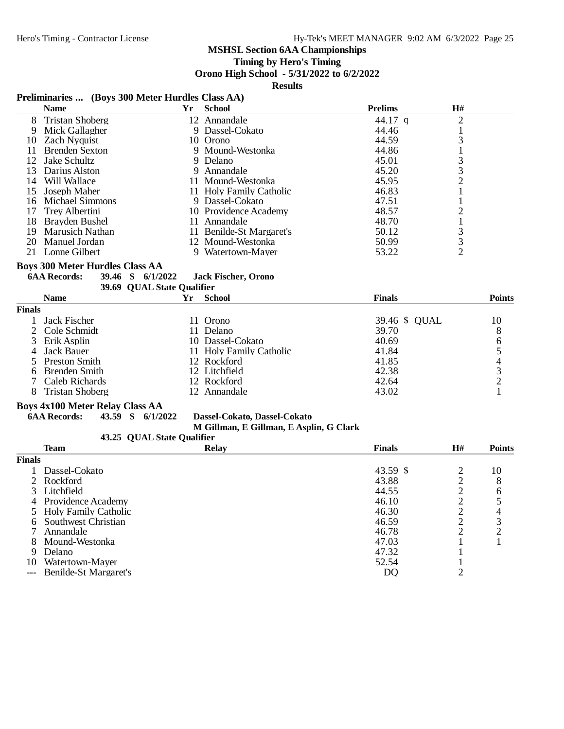## **Timing by Hero's Timing**

**Orono High School - 5/31/2022 to 6/2/2022**

**Results**

## **Preliminaries ... (Boys 300 Meter Hurdles Class AA)**

|     | <b>Name</b>            | Yr  | <b>School</b>            | <b>Prelims</b> | H# |  |
|-----|------------------------|-----|--------------------------|----------------|----|--|
| 8   | <b>Tristan Shoberg</b> |     | 12 Annandale             | 44.17 q        |    |  |
| 9   | Mick Gallagher         |     | 9 Dassel-Cokato          | 44.46          |    |  |
| 10  | Zach Nyquist           |     | 10 Orono                 | 44.59          |    |  |
| 11  | <b>Brenden Sexton</b>  |     | 9 Mound-Westonka         | 44.86          |    |  |
| 12  | Jake Schultz           |     | 9 Delano                 | 45.01          |    |  |
| 13  | Darius Alston          |     | 9 Annandale              | 45.20          |    |  |
| 14  | Will Wallace           |     | 11 Mound-Westonka        | 45.95          |    |  |
| 15. | Joseph Maher           |     | 11 Holy Family Catholic  | 46.83          |    |  |
| 16  | Michael Simmons        |     | 9 Dassel-Cokato          | 47.51          |    |  |
| 17  | Trev Albertini         |     | 10 Providence Academy    | 48.57          |    |  |
| 18  | Brayden Bushel         | 11. | Annandale                | 48.70          |    |  |
| 19  | Marusich Nathan        |     | 11 Benilde-St Margaret's | 50.12          |    |  |
| 20  | Manuel Jordan          |     | 12 Mound-Westonka        | 50.99          |    |  |
| 21  | Lonne Gilbert          |     | Watertown-Mayer          | 53.22          |    |  |

# **Boys 300 Meter Hurdles Class AA**<br>6AA Records: 39.46 \$ 6/1/20

| <b>6AA Records:</b> |  | 39.46 \$ 6/1/2022           | <b>Jack Fischer, Orono</b> |
|---------------------|--|-----------------------------|----------------------------|
|                     |  | 30.60 AIIAI Stote Auglifier |                            |

| <i>JINI</i> QUAL State Qualifier |                  |    |                         |               |               |
|----------------------------------|------------------|----|-------------------------|---------------|---------------|
|                                  | <b>Name</b>      | Yг | <b>School</b>           | <b>Finals</b> | <b>Points</b> |
| <b>Finals</b>                    |                  |    |                         |               |               |
|                                  | Jack Fischer     |    | 11 Orono                | 39.46 \$ QUAL | 10            |
|                                  | 2 Cole Schmidt   |    | 11 Delano               | 39.70         | 8             |
|                                  | 3 Erik Asplin    |    | 10 Dassel-Cokato        | 40.69         | 6             |
|                                  | 4 Jack Bauer     |    | 11 Holy Family Catholic | 41.84         |               |
|                                  | 5 Preston Smith  |    | 12 Rockford             | 41.85         |               |
|                                  | 6 Brenden Smith  |    | 12 Litchfield           | 42.38         |               |
|                                  | 7 Caleb Richards |    | 12 Rockford             | 42.64         |               |
|                                  | Tristan Shoberg  |    | 12 Annandale            | 43.02         |               |
|                                  |                  |    |                         |               |               |

# **Boys 4x100 Meter Relay Class AA**<br>6AA Records: **43.59** \$ 6/1/2022

## **6AA Records: 43.59 \$ 6/1/2022 Dassel-Cokato, Dassel-Cokato**

### **M Gillman, E Gillman, E Asplin, G Clark**

|               | 43.25 QUAL State Qualifier |              |               |    |               |
|---------------|----------------------------|--------------|---------------|----|---------------|
|               | <b>Team</b>                | <b>Relay</b> | <b>Finals</b> | H# | <b>Points</b> |
| <b>Finals</b> |                            |              |               |    |               |
|               | Dassel-Cokato              |              | 43.59 \$      | ↑  | 10            |
|               | Rockford                   |              | 43.88         | ⌒  | 8             |
|               | 3 Litchfield               |              | 44.55         | ⌒  | 6             |
|               | 4 Providence Academy       |              | 46.10         | ⌒  |               |
|               | 5 Holy Family Catholic     |              | 46.30         | ⌒  | 4             |
| 6             | Southwest Christian        |              | 46.59         | ◠  | 3             |
|               | Annandale                  |              | 46.78         | ◠  | ⌒             |
| 8             | Mound-Westonka             |              | 47.03         |    |               |
| 9             | Delano                     |              | 47.32         |    |               |
| 10            | Watertown-Mayer            |              | 52.54         |    |               |
| ---           | Benilde-St Margaret's      |              | DQ            |    |               |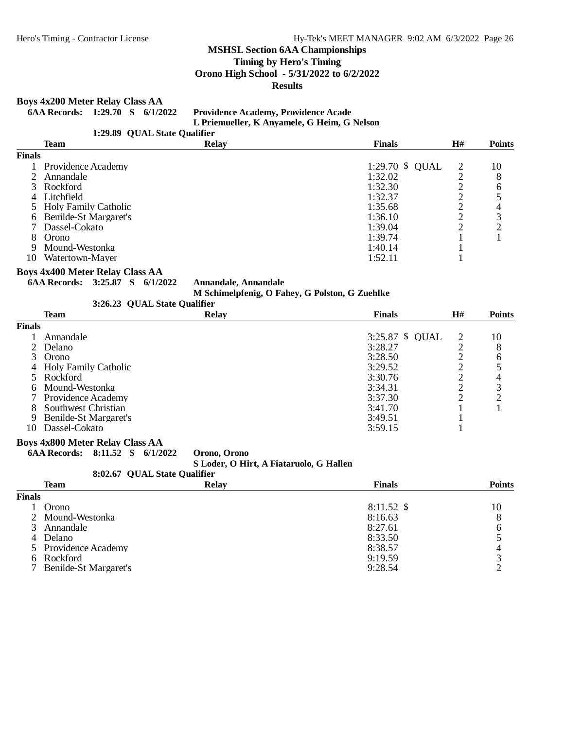**Timing by Hero's Timing**

**Orono High School - 5/31/2022 to 6/2/2022**

**Results**

# **Boys 4x200 Meter Relay Class AA**<br>6AA Records: 1:29.70 \$ 6/1/2022

**6AA Records: 1:29.70 \$ 6/1/2022 Providence Academy, Providence Acade**

**L Priemueller, K Anyamele, G Heim, G Nelson**

**1:29.89 OUAL State Qualifier** 

|               | <b>Team</b>             | <b>Relay</b> | <b>Finals</b>   | H# | <b>Points</b> |
|---------------|-------------------------|--------------|-----------------|----|---------------|
| <b>Finals</b> |                         |              |                 |    |               |
|               | Providence Academy      |              | 1:29.70 \$ QUAL | 2  | 10            |
|               | Annandale               |              | 1:32.02         |    | 8             |
|               | Rockford                |              | 1:32.30         |    | 6             |
| 4             | Litchfield              |              | 1:32.37         |    |               |
|               | 5 Holy Family Catholic  |              | 1:35.68         |    |               |
|               | 6 Benilde-St Margaret's |              | 1:36.10         | ⌒  | 2             |
|               | Dassel-Cokato           |              | 1:39.04         | ◠  |               |
| 8             | Orono                   |              | 1:39.74         |    |               |
| 9             | Mound-Westonka          |              | 1:40.14         |    |               |
| 10            | Watertown-Mayer         |              | 1:52.11         |    |               |

### **Boys 4x400 Meter Relay Class AA**

**6AA Records: 3:25.87 \$ 6/1/2022 Annandale, Annandale**

**M Schimelpfenig, O Fahey, G Polston, G Zuehlke**

## **3:26.23 QUAL State Qualifier**

| <b>Team</b>           | <b>Finals</b><br><b>Relay</b>                                                                           | H# | <b>Points</b> |
|-----------------------|---------------------------------------------------------------------------------------------------------|----|---------------|
|                       |                                                                                                         |    |               |
| Annandale             | 3:25.87 \$ QUAL                                                                                         | 2  | 10            |
|                       | 3:28.27                                                                                                 |    | 8             |
| Orono                 | 3:28.50                                                                                                 |    | 6             |
|                       | 3:29.52                                                                                                 |    |               |
|                       | 3:30.76                                                                                                 |    |               |
|                       | 3:34.31                                                                                                 | ◠  | 2             |
|                       | 3:37.30                                                                                                 | ◠  | ◠             |
| Southwest Christian   | 3:41.70                                                                                                 |    |               |
| Benilde-St Margaret's | 3:49.51                                                                                                 |    |               |
| Dassel-Cokato         | 3:59.15                                                                                                 |    |               |
|                       | Finals<br>2 Delano<br><b>Holy Family Catholic</b><br>5 Rockford<br>Mound-Westonka<br>Providence Academy |    |               |

#### **Boys 4x800 Meter Relay Class AA**

**6AA Records: 8:11.52 \$ 6/1/2022 Orono, Orono**

**S Loder, O Hirt, A Fiataruolo, G Hallen**

**8:02.67 OUAL State Qualifier** 

|               | -<br>Team             | -<br><b>Relay</b> | <b>Finals</b> | <b>Points</b> |
|---------------|-----------------------|-------------------|---------------|---------------|
| <b>Finals</b> |                       |                   |               |               |
|               | Orono                 |                   | $8:11.52$ \$  | 10            |
|               | 2 Mound-Westonka      |                   | 8:16.63       | 8             |
|               | 3 Annandale           |                   | 8:27.61       |               |
|               | 4 Delano              |                   | 8:33.50       |               |
|               | 5 Providence Academy  |                   | 8:38.57       |               |
|               | 6 Rockford            |                   | 9:19.59       |               |
|               | Benilde-St Margaret's |                   | 9:28.54       |               |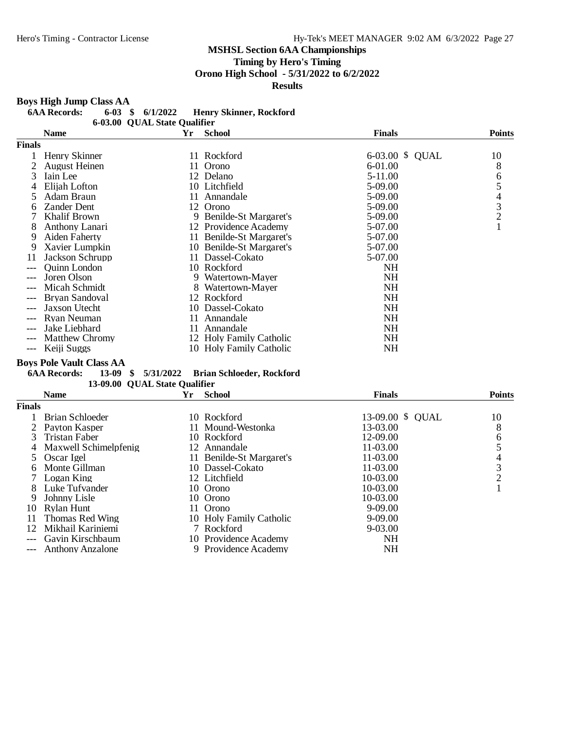**Timing by Hero's Timing**

**Orono High School - 5/31/2022 to 6/2/2022**

**Results**

**Boys High Jump Class AA**<br>6AA Records: 6-03

| <b>6AA Records:</b> | $6-03$ \$ $6/1/2022$                | <b>Henry Skinner, Rockford</b> |
|---------------------|-------------------------------------|--------------------------------|
|                     | $\ell$ 02.00. OULL State Overlifton |                                |

**6-03.00 QUAL State Qualifier**<br>**Prefixed** School

|               | Name                  | Yr  | <b>School</b>            | <b>Finals</b>   | <b>Points</b>  |
|---------------|-----------------------|-----|--------------------------|-----------------|----------------|
| <b>Finals</b> |                       |     |                          |                 |                |
|               | Henry Skinner         |     | 11 Rockford              | 6-03.00 \$ QUAL | 10             |
|               | <b>August Heinen</b>  | 11- | Orono                    | 6-01.00         | 8              |
| 3             | Iain Lee              |     | 12 Delano                | 5-11.00         | 6              |
| 4             | Elijah Lofton         |     | 10 Litchfield            | 5-09.00         | 5              |
| 5.            | Adam Braun            | 11  | Annandale                | 5-09.00         | 4              |
| 6             | <b>Zander Dent</b>    |     | 12 Orono                 | 5-09.00         | 3              |
|               | Khalif Brown          |     | 9 Benilde-St Margaret's  | 5-09.00         | $\overline{2}$ |
| 8             | Anthony Lanari        |     | 12 Providence Academy    | 5-07.00         |                |
| 9             | Aiden Faherty         |     | 11 Benilde-St Margaret's | 5-07.00         |                |
| 9             | Xavier Lumpkin        |     | 10 Benilde-St Margaret's | 5-07.00         |                |
| 11            | Jackson Schrupp       |     | 11 Dassel-Cokato         | 5-07.00         |                |
|               | <b>Ouinn London</b>   |     | 10 Rockford              | NH              |                |
|               | Joren Olson           |     | 9 Watertown-Mayer        | NH              |                |
|               | Micah Schmidt         | 8.  | Watertown-Mayer          | NH              |                |
|               | Bryan Sandoval        |     | 12 Rockford              | <b>NH</b>       |                |
|               | Jaxson Utecht         |     | 10 Dassel-Cokato         | <b>NH</b>       |                |
|               | Ryan Neuman           | 11- | Annandale                | <b>NH</b>       |                |
| $---$         | Jake Liebhard         | 11  | Annandale                | <b>NH</b>       |                |
| $---$         | <b>Matthew Chromy</b> |     | 12 Holy Family Catholic  | <b>NH</b>       |                |
| ---           | Keiji Suggs           |     | 10 Holy Family Catholic  | <b>NH</b>       |                |

**Boys Pole Vault Class AA**

| <b>6AA Records:</b> |  | 13-09 \$ 5/31/2022 Brian Schloeder, Rockford |  |
|---------------------|--|----------------------------------------------|--|
|                     |  |                                              |  |

**13-09.00 QUAL State Qualifier**

|               | <b>Name</b>             | Yr | <b>School</b>            | <b>Finals</b>    | <b>Points</b> |
|---------------|-------------------------|----|--------------------------|------------------|---------------|
| <b>Finals</b> |                         |    |                          |                  |               |
|               | Brian Schloeder         |    | 10 Rockford              | 13-09.00 \$ OUAL | 10            |
|               | Payton Kasper           |    | 11 Mound-Westonka        | 13-03.00         | 8             |
|               | Tristan Faber           |    | 10 Rockford              | 12-09.00         | 6             |
|               | 4 Maxwell Schimelpfenig |    | 12 Annandale             | 11-03.00         |               |
|               | 5 Oscar Igel            |    | 11 Benilde-St Margaret's | $11 - 03.00$     |               |
| 6.            | Monte Gillman           |    | 10 Dassel-Cokato         | 11-03.00         | 3             |
|               | Logan King              |    | 12 Litchfield            | 10-03.00         | ↑             |
|               | Luke Tufvander          |    | 10 Orono                 | 10-03.00         |               |
| 9             | Johnny Lisle            |    | 10 Orono                 | 10-03.00         |               |
| 10            | <b>Rylan Hunt</b>       |    | 11 Orono                 | $9-09.00$        |               |
|               | Thomas Red Wing         |    | 10 Holy Family Catholic  | $9-09.00$        |               |
| 12            | Mikhail Kariniemi       |    | 7 Rockford               | 9-03.00          |               |
|               | Gavin Kirschbaum        |    | 10 Providence Academy    | NH               |               |
|               | <b>Anthony Anzalone</b> |    | 9 Providence Academy     | NΗ               |               |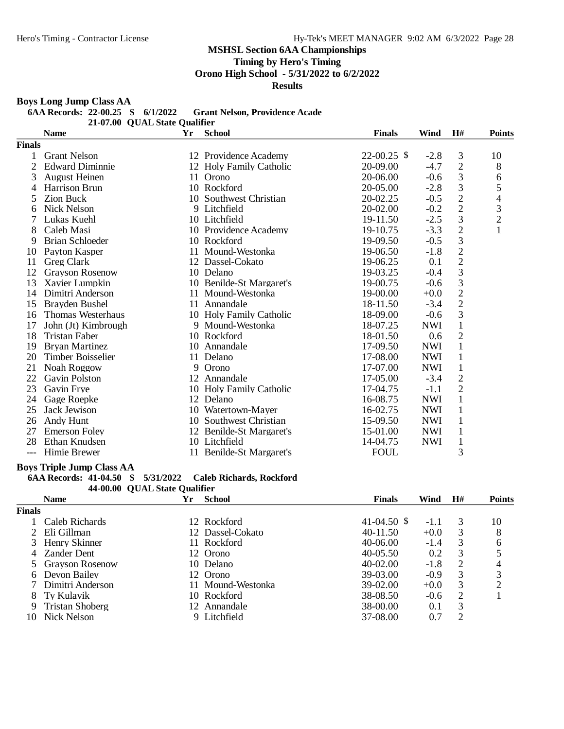**Timing by Hero's Timing**

**Orono High School - 5/31/2022 to 6/2/2022**

**Results**

**Boys Long Jump Class AA**

**6AA Records: 22-00.25 \$ 6/1/2022 Grant Nelson, Providence Acade**

|      | 21-07.00 QUAL State Qualifier |               |           |               |
|------|-------------------------------|---------------|-----------|---------------|
| Name | School                        | <b>Finals</b> | Wind $H#$ | <b>Points</b> |

| <b>Finals</b>  |                          |                          |               |            |                |                          |
|----------------|--------------------------|--------------------------|---------------|------------|----------------|--------------------------|
|                | <b>Grant Nelson</b>      | 12 Providence Academy    | $22-00.25$ \$ | $-2.8$     | 3              | 10                       |
| $\overline{2}$ | <b>Edward Diminnie</b>   | 12 Holy Family Catholic  | 20-09.00      | $-4.7$     | $\overline{2}$ | $8\,$                    |
| 3              | <b>August Heinen</b>     | Orono<br>11              | 20-06.00      | $-0.6$     | 3              | 6                        |
| 4              | Harrison Brun            | 10 Rockford              | 20-05.00      | $-2.8$     | 3              | 5                        |
| 5              | <b>Zion Buck</b>         | 10 Southwest Christian   | 20-02.25      | $-0.5$     | $\overline{2}$ | $\overline{\mathcal{L}}$ |
| 6              | <b>Nick Nelson</b>       | 9 Litchfield             | 20-02.00      | $-0.2$     | $\overline{2}$ | 3                        |
|                | Lukas Kuehl              | 10 Litchfield            | 19-11.50      | $-2.5$     | 3              | $\overline{c}$           |
| 8              | Caleb Masi               | 10 Providence Academy    | 19-10.75      | $-3.3$     | $\overline{2}$ | $\mathbf{1}$             |
| 9              | <b>Brian Schloeder</b>   | 10 Rockford              | 19-09.50      | $-0.5$     | 3              |                          |
| 10             | Payton Kasper            | Mound-Westonka<br>11     | 19-06.50      | $-1.8$     | $\overline{2}$ |                          |
| 11             | Greg Clark               | 12 Dassel-Cokato         | 19-06.25      | 0.1        | $\overline{c}$ |                          |
| 12             | <b>Grayson Rosenow</b>   | 10 Delano                | 19-03.25      | $-0.4$     | 3              |                          |
| 13             | Xavier Lumpkin           | 10 Benilde-St Margaret's | 19-00.75      | $-0.6$     | 3              |                          |
| 14             | Dimitri Anderson         | 11 Mound-Westonka        | 19-00.00      | $+0.0$     | $\overline{c}$ |                          |
| 15             | <b>Brayden Bushel</b>    | 11 Annandale             | 18-11.50      | $-3.4$     | $\overline{c}$ |                          |
| 16             | <b>Thomas Westerhaus</b> | 10 Holy Family Catholic  | 18-09.00      | $-0.6$     | 3              |                          |
| 17             | John (Jt) Kimbrough      | 9 Mound-Westonka         | 18-07.25      | <b>NWI</b> | $\mathbf{1}$   |                          |
| 18             | <b>Tristan Faber</b>     | 10 Rockford              | 18-01.50      | 0.6        | $\overline{2}$ |                          |
| 19             | <b>Bryan Martinez</b>    | 10 Annandale             | 17-09.50      | <b>NWI</b> | $\mathbf{1}$   |                          |
| 20             | <b>Timber Boisselier</b> | Delano<br>11             | 17-08.00      | <b>NWI</b> |                |                          |
| 21             | Noah Roggow              | 9<br>Orono               | 17-07.00      | <b>NWI</b> | $\mathbf{1}$   |                          |
| 22             | <b>Gavin Polston</b>     | 12 Annandale             | 17-05.00      | $-3.4$     | $\overline{2}$ |                          |
| 23             | Gavin Frye               | 10 Holy Family Catholic  | 17-04.75      | $-1.1$     | $\overline{2}$ |                          |
| 24             | Gage Roepke              | 12 Delano                | 16-08.75      | <b>NWI</b> |                |                          |
| 25             | Jack Jewison             | 10 Watertown-Mayer       | 16-02.75      | <b>NWI</b> | $\mathbf{1}$   |                          |
| 26             | Andy Hunt                | 10 Southwest Christian   | 15-09.50      | <b>NWI</b> |                |                          |
| 27             | <b>Emerson Foley</b>     | 12 Benilde-St Margaret's | 15-01.00      | <b>NWI</b> |                |                          |
| 28             | Ethan Knudsen            | 10 Litchfield            | 14-04.75      | <b>NWI</b> | 1              |                          |
| $---$          | Himie Brewer             | 11 Benilde-St Margaret's | <b>FOUL</b>   |            | 3              |                          |

### **Boys Triple Jump Class AA**

**44-00.00 QUAL State Qualifier**

| <b>Name</b>      | Yr                                                                                                                      | <b>School</b> | <b>Finals</b>                                                                                                                                           | Wind   | H#                          | <b>Points</b> |
|------------------|-------------------------------------------------------------------------------------------------------------------------|---------------|---------------------------------------------------------------------------------------------------------------------------------------------------------|--------|-----------------------------|---------------|
|                  |                                                                                                                         |               |                                                                                                                                                         |        |                             |               |
| Caleb Richards   |                                                                                                                         |               | $41-04.50$ \$                                                                                                                                           | $-1.1$ | 3                           | 10            |
|                  |                                                                                                                         |               | $40 - 11.50$                                                                                                                                            | $+0.0$ | 3                           | 8             |
|                  |                                                                                                                         |               | 40-06.00                                                                                                                                                | $-1.4$ | 3                           | 6             |
|                  |                                                                                                                         |               | $40-05.50$                                                                                                                                              | 0.2    | 3                           |               |
|                  |                                                                                                                         |               | $40-02.00$                                                                                                                                              | $-1.8$ | 2                           |               |
|                  |                                                                                                                         |               | 39-03.00                                                                                                                                                | $-0.9$ | 3                           | 3             |
| Dimitri Anderson |                                                                                                                         |               | 39-02.00                                                                                                                                                | $+0.0$ | 3                           |               |
|                  |                                                                                                                         |               | 38-08.50                                                                                                                                                | $-0.6$ | $\mathcal{D}_{\mathcal{L}}$ |               |
| Tristan Shoberg  |                                                                                                                         |               | 38-00.00                                                                                                                                                | 0.1    | 3                           |               |
| Nick Nelson      |                                                                                                                         |               | 37-08.00                                                                                                                                                | 0.7    | ∍                           |               |
|                  | <b>Finals</b><br>2 Eli Gillman<br>3 Henry Skinner<br>4 Zander Dent<br>5 Grayson Rosenow<br>6 Devon Bailey<br>Ty Kulavik |               | 12 Rockford<br>12 Dassel-Cokato<br>11 Rockford<br>12 Orono<br>10 Delano<br>12 Orono<br>11 Mound-Westonka<br>10 Rockford<br>12 Annandale<br>9 Litchfield |        |                             |               |

**<sup>6</sup>AA Records: 41-04.50 \$ 5/31/2022 Caleb Richards, Rockford**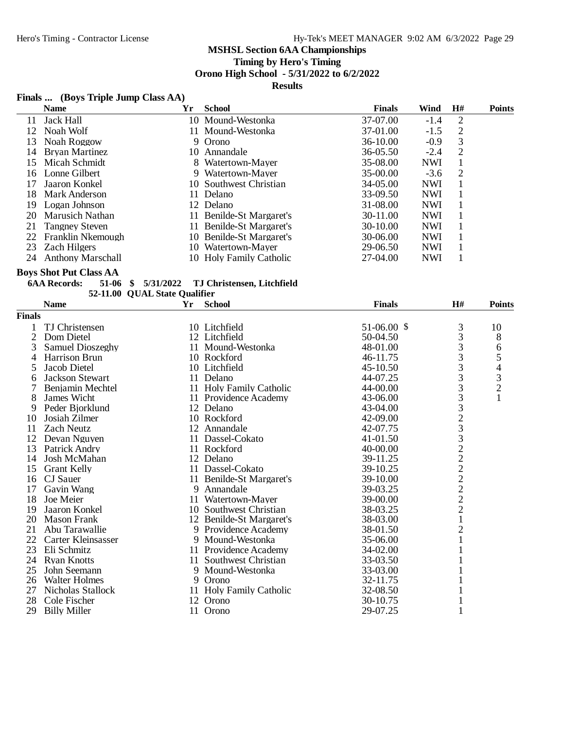**Timing by Hero's Timing**

**Orono High School - 5/31/2022 to 6/2/2022**

**Results**

## **Finals ... (Boys Triple Jump Class AA)**

|     | <b>Name</b>            | Yr  | <b>School</b>            | <b>Finals</b> | Wind       | H# | <b>Points</b> |
|-----|------------------------|-----|--------------------------|---------------|------------|----|---------------|
| 11  | Jack Hall              |     | 10 Mound-Westonka        | 37-07.00      | $-1.4$     | 2  |               |
| 12  | Noah Wolf              |     | 11 Mound-Westonka        | 37-01.00      | $-1.5$     | 2  |               |
| 13  | Noah Roggow            |     | 9 Orono                  | $36-10.00$    | $-0.9$     | 3  |               |
| 14  | <b>Brvan Martinez</b>  | 10- | Annandale                | 36-05.50      | $-2.4$     | 2  |               |
| 15  | Micah Schmidt          |     | 8 Watertown-Mayer        | 35-08.00      | <b>NWI</b> |    |               |
| 16  | Lonne Gilbert          |     | 9 Watertown-Mayer        | 35-00.00      | $-3.6$     | 2  |               |
| 17  | Jaaron Konkel          |     | 10 Southwest Christian   | 34-05.00      | <b>NWI</b> |    |               |
| 18  | Mark Anderson          |     | 11 Delano                | 33-09.50      | <b>NWI</b> |    |               |
| 19. | Logan Johnson          |     | 12 Delano                | 31-08.00      | <b>NWI</b> |    |               |
| 20  | <b>Marusich Nathan</b> |     | 11 Benilde-St Margaret's | $30-11.00$    | <b>NWI</b> |    |               |
| 21  | <b>Tangney Steven</b>  | 11. | Benilde-St Margaret's    | $30-10.00$    | <b>NWI</b> |    |               |
| 22  | Franklin Nkemough      |     | 10 Benilde-St Margaret's | $30-06.00$    | <b>NWI</b> |    |               |
| 23  | <b>Zach Hilgers</b>    |     | 10 Watertown-Mayer       | 29-06.50      | <b>NWI</b> |    |               |
| 24  | Anthony Marschall      |     | 10 Holy Family Catholic  | $27-04.00$    | <b>NWI</b> |    |               |

## **Boys Shot Put Class AA**

| <b>6AA Records:</b> |  |                               | 51-06 \$ 5/31/2022 TJ Christensen, Litchfield |  |
|---------------------|--|-------------------------------|-----------------------------------------------|--|
|                     |  | 52-11.00 QUAL State Qualifier |                                               |  |

|               | <b>Name</b>             | Yr | <b>School</b>            | <b>Finals</b> | H#             | <b>Points</b>                              |
|---------------|-------------------------|----|--------------------------|---------------|----------------|--------------------------------------------|
| <b>Finals</b> |                         |    |                          |               |                |                                            |
|               | <b>TJ</b> Christensen   |    | 10 Litchfield            | 51-06.00 \$   | 3              | 10                                         |
| 2             | Dom Dietel              |    | 12 Litchfield            | 50-04.50      | 3              | 8                                          |
| 3             | <b>Samuel Dioszeghy</b> |    | 11 Mound-Westonka        | 48-01.00      | 3              | 6                                          |
| 4             | Harrison Brun           |    | 10 Rockford              | 46-11.75      | 3              | 5                                          |
| 5             | Jacob Dietel            |    | 10 Litchfield            | 45-10.50      | 3              |                                            |
| 6             | <b>Jackson Stewart</b>  |    | 11 Delano                | 44-07.25      | 3              | $\begin{array}{c} 4 \\ 3 \\ 2 \end{array}$ |
|               | Benjamin Mechtel        |    | 11 Holy Family Catholic  | 44-00.00      | 3              |                                            |
| 8             | James Wicht             |    | 11 Providence Academy    | 43-06.00      | 3              | $\mathbf{1}$                               |
| 9             | Peder Bjorklund         |    | 12 Delano                | 43-04.00      |                |                                            |
| 10            | Josiah Zilmer           |    | 10 Rockford              | 42-09.00      | 3233222222     |                                            |
| 11            | <b>Zach Neutz</b>       |    | 12 Annandale             | 42-07.75      |                |                                            |
| 12            | Devan Nguyen            |    | 11 Dassel-Cokato         | 41-01.50      |                |                                            |
| 13            | Patrick Andry           |    | 11 Rockford              | 40-00.00      |                |                                            |
| 14            | Josh McMahan            |    | 12 Delano                | 39-11.25      |                |                                            |
| 15            | <b>Grant Kelly</b>      |    | 11 Dassel-Cokato         | 39-10.25      |                |                                            |
| 16            | <b>CJ</b> Sauer         |    | 11 Benilde-St Margaret's | 39-10.00      |                |                                            |
| 17            | Gavin Wang              | 9  | Annandale                | 39-03.25      |                |                                            |
| 18            | Joe Meier               | 11 | Watertown-Mayer          | 39-00.00      |                |                                            |
| 19            | Jaaron Konkel           |    | 10 Southwest Christian   | 38-03.25      |                |                                            |
| 20            | <b>Mason Frank</b>      |    | 12 Benilde-St Margaret's | 38-03.00      |                |                                            |
| 21            | Abu Tarawallie          |    | 9 Providence Academy     | 38-01.50      | $\overline{c}$ |                                            |
| 22            | Carter Kleinsasser      | 9  | Mound-Westonka           | 35-06.00      |                |                                            |
| 23            | Eli Schmitz             |    | 11 Providence Academy    | 34-02.00      |                |                                            |
| 24            | <b>Ryan Knotts</b>      |    | 11 Southwest Christian   | 33-03.50      |                |                                            |
| 25            | John Seemann            | 9  | Mound-Westonka           | 33-03.00      |                |                                            |
| 26            | <b>Walter Holmes</b>    | 9  | Orono                    | 32-11.75      |                |                                            |
| 27            | Nicholas Stallock       |    | 11 Holy Family Catholic  | 32-08.50      |                |                                            |
| 28            | Cole Fischer            | 12 | Orono                    | 30-10.75      |                |                                            |
| 29            | <b>Billy Miller</b>     |    | 11 Orono                 | 29-07.25      |                |                                            |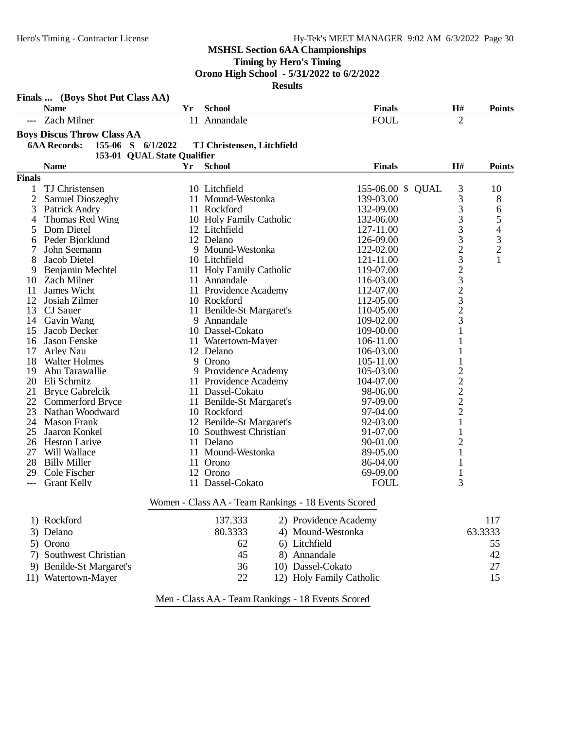**Timing by Hero's Timing**

**Orono High School - 5/31/2022 to 6/2/2022**

**Results**

|                | Finals  (Boys Shot Put Class AA)<br><b>Name</b> | Yr                          | <b>School</b>                          | <b>Finals</b>                                       | H#                                             | <b>Points</b>                  |
|----------------|-------------------------------------------------|-----------------------------|----------------------------------------|-----------------------------------------------------|------------------------------------------------|--------------------------------|
|                | Zach Milner                                     |                             | 11 Annandale                           | <b>FOUL</b>                                         | $\overline{2}$                                 |                                |
|                | <b>Boys Discus Throw Class AA</b>               |                             |                                        |                                                     |                                                |                                |
|                | <b>6AA Records:</b>                             | 155-06 \$ 6/1/2022          | <b>TJ Christensen, Litchfield</b>      |                                                     |                                                |                                |
|                |                                                 | 153-01 QUAL State Qualifier |                                        |                                                     |                                                |                                |
|                | <b>Name</b>                                     | Yr                          | <b>School</b>                          | <b>Finals</b>                                       | H#                                             | <b>Points</b>                  |
| <b>Finals</b>  |                                                 |                             |                                        |                                                     |                                                |                                |
| 1              | TJ Christensen                                  |                             | 10 Litchfield                          | 155-06.00 \$ QUAL                                   | 3                                              | 10                             |
| $\overline{2}$ | <b>Samuel Dioszeghy</b>                         |                             | 11 Mound-Westonka                      | 139-03.00<br>132-09.00                              | 3<br>3                                         | 8                              |
| 3              | Patrick Andry<br>Thomas Red Wing                |                             | 11 Rockford<br>10 Holy Family Catholic | 132-06.00                                           |                                                | 6                              |
| 4<br>5         | Dom Dietel                                      |                             | 12 Litchfield                          | 127-11.00                                           | 3<br>3                                         | $\frac{5}{4}$<br>$\frac{3}{2}$ |
| 6              | Peder Bjorklund                                 |                             | 12 Delano                              | 126-09.00                                           | 3                                              |                                |
| 7              | John Seemann                                    |                             | 9 Mound-Westonka                       | 122-02.00                                           | $\overline{c}$                                 |                                |
| 8              | Jacob Dietel                                    |                             | 10 Litchfield                          | 121-11.00                                           | 3                                              | $\mathbf{1}$                   |
| 9              | Benjamin Mechtel                                |                             | 11 Holy Family Catholic                | 119-07.00                                           |                                                |                                |
| 10             | <b>Zach Milner</b>                              |                             | 11 Annandale                           | 116-03.00                                           | $\begin{array}{c}\n23 \\ 23 \\ 2\n\end{array}$ |                                |
| 11             | James Wicht                                     |                             | 11 Providence Academy                  | 112-07.00                                           |                                                |                                |
| 12             | Josiah Zilmer                                   |                             | 10 Rockford                            | 112-05.00                                           |                                                |                                |
| 13             | CJ Sauer                                        |                             | 11 Benilde-St Margaret's               | 110-05.00                                           |                                                |                                |
| 14             | Gavin Wang                                      |                             | 9 Annandale                            | 109-02.00                                           | 3                                              |                                |
| 15             | Jacob Decker                                    |                             | 10 Dassel-Cokato                       | 109-00.00                                           | 1                                              |                                |
| 16             | Jason Fenske                                    |                             | 11 Watertown-Mayer                     | 106-11.00                                           |                                                |                                |
| 17             | <b>Arley Nau</b>                                |                             | 12 Delano                              | 106-03.00                                           |                                                |                                |
| 18             | <b>Walter Holmes</b>                            |                             | 9 Orono                                | 105-11.00                                           |                                                |                                |
| 19             | Abu Tarawallie                                  |                             | 9 Providence Academy                   | 105-03.00                                           | $\overline{c}$                                 |                                |
| 20             | Eli Schmitz                                     |                             | 11 Providence Academy                  | 104-07.00                                           | $\begin{array}{c} 2 \\ 2 \\ 2 \end{array}$     |                                |
| 21             | <b>Bryce Gabrelcik</b>                          |                             | 11 Dassel-Cokato                       | 98-06.00                                            |                                                |                                |
|                | 22 Commerford Bryce                             |                             | 11 Benilde-St Margaret's               | 97-09.00                                            |                                                |                                |
| 23             | Nathan Woodward                                 |                             | 10 Rockford                            | 97-04.00                                            |                                                |                                |
| 24             | <b>Mason Frank</b>                              |                             | 12 Benilde-St Margaret's               | 92-03.00                                            | 1                                              |                                |
| 25             | Jaaron Konkel                                   |                             | 10 Southwest Christian                 | 91-07.00                                            | 1                                              |                                |
| 26             | <b>Heston Larive</b>                            |                             | 11 Delano                              | 90-01.00                                            | $\overline{2}$                                 |                                |
| 27             | Will Wallace                                    |                             | 11 Mound-Westonka                      | 89-05.00                                            | 1                                              |                                |
| 28             | <b>Billy Miller</b>                             |                             | 11 Orono                               | 86-04.00                                            | 1                                              |                                |
| 29             | Cole Fischer                                    |                             | 12 Orono                               | 69-09.00                                            | 1                                              |                                |
| $---$          | <b>Grant Kelly</b>                              |                             | 11 Dassel-Cokato                       | <b>FOUL</b>                                         | 3                                              |                                |
|                |                                                 |                             |                                        | Women - Class AA - Team Rankings - 18 Events Scored |                                                |                                |
|                | 1) Rockford                                     |                             | 137.333                                | 2) Providence Academy                               |                                                | 117                            |
|                | 3) Delano                                       |                             | 80.3333                                | 4) Mound-Westonka                                   |                                                | 63.3333                        |
|                | 5) Orono                                        |                             | 62                                     | 6) Litchfield                                       |                                                | 55                             |
| 7).            | Southwest Christian                             |                             | 45                                     | 8) Annandale                                        |                                                | 42                             |
|                | 9) Benilde-St Margaret's                        |                             | 36                                     | 10) Dassel-Cokato                                   |                                                | 27                             |
|                | 11) Watertown-Mayer                             |                             | 22                                     | 12) Holy Family Catholic                            |                                                | 15                             |
|                |                                                 |                             |                                        |                                                     |                                                |                                |

Men - Class AA - Team Rankings - 18 Events Scored